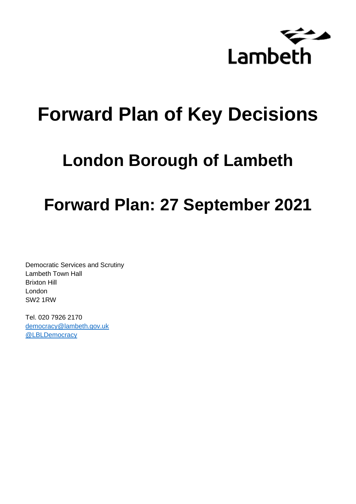

# **Forward Plan of Key Decisions**

# **London Borough of Lambeth**

# **Forward Plan: 27 September 2021**

Democratic Services and Scrutiny Lambeth Town Hall Brixton Hill London SW2 1RW

Tel. 020 7926 2170 [democracy@lambeth.gov.uk](mailto:democracy@lambeth.gov.uk) [@LBLDemocracy](https://twitter.com/LBLDemocracy?lang=en)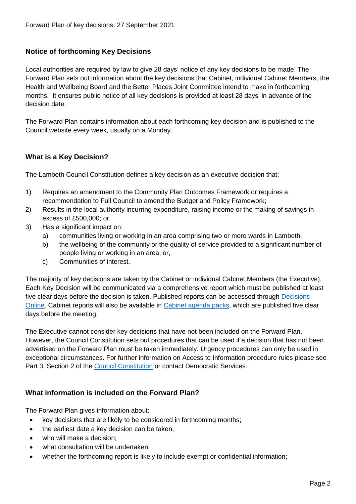# **Notice of forthcoming Key Decisions**

Local authorities are required by law to give 28 days' notice of any key decisions to be made. The Forward Plan sets out information about the key decisions that Cabinet, individual Cabinet Members, the Health and Wellbeing Board and the Better Places Joint Committee intend to make in forthcoming months. It ensures public notice of all key decisions is provided at least 28 days' in advance of the decision date.

The Forward Plan contains information about each forthcoming key decision and is published to the Council website every week, usually on a Monday.

# **What is a Key Decision?**

The Lambeth Council Constitution defines a key decision as an executive decision that:

- 1) Requires an amendment to the Community Plan Outcomes Framework or requires a recommendation to Full Council to amend the Budget and Policy Framework;
- 2) Results in the local authority incurring expenditure, raising income or the making of savings in excess of £500,000; or,
- 3) Has a significant impact on:
	- a) communities living or working in an area comprising two or more wards in Lambeth;
	- b) the wellbeing of the community or the quality of service provided to a significant number of people living or working in an area; or,
	- c) Communities of interest.

The majority of key decisions are taken by the Cabinet or individual Cabinet Members (the Executive). Each Key Decision will be communicated via a comprehensive report which must be published at least five clear days before the decision is taken. Published reports can be accessed through Decisions [Online.](http://moderngov.lambeth.gov.uk/mgDelegatedDecisions.aspx?bcr=1&DM=0&DS=2&K=0&DR=&V=0) Cabinet reports will also be available in [Cabinet agenda packs,](https://moderngov.lambeth.gov.uk/ieListMeetings.aspx?CommitteeId=225) which are published five clear days before the meeting.

The Executive cannot consider key decisions that have not been included on the Forward Plan. However, the Council Constitution sets out procedures that can be used if a decision that has not been advertised on the Forward Plan must be taken immediately. Urgency procedures can only be used in exceptional circumstances. For further information on Access to Information procedure rules please see Part 3, Section 2 of the [Council Constitution](http://moderngov.lambeth.gov.uk/ieListMeetings.aspx?CId=738&info=1&MD=Constitution) or contact Democratic Services.

# **What information is included on the Forward Plan?**

The Forward Plan gives information about:

- key decisions that are likely to be considered in forthcoming months;
- the earliest date a key decision can be taken;
- who will make a decision;
- what consultation will be undertaken;
- whether the forthcoming report is likely to include exempt or confidential information;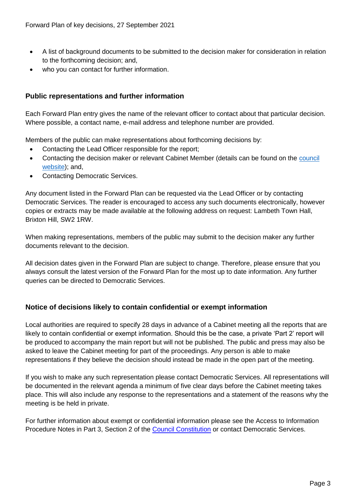- A list of background documents to be submitted to the decision maker for consideration in relation to the forthcoming decision; and,
- who you can contact for further information.

## **Public representations and further information**

Each Forward Plan entry gives the name of the relevant officer to contact about that particular decision. Where possible, a contact name, e-mail address and telephone number are provided.

Members of the public can make representations about forthcoming decisions by:

- Contacting the Lead Officer responsible for the report;
- Contacting the decision maker or relevant Cabinet Member (details can be found on the council [website\)](http://moderngov.lambeth.gov.uk/mgMemberIndex.aspx?bcr=1); and,
- Contacting Democratic Services.

Any document listed in the Forward Plan can be requested via the Lead Officer or by contacting Democratic Services. The reader is encouraged to access any such documents electronically, however copies or extracts may be made available at the following address on request: Lambeth Town Hall, Brixton Hill, SW2 1RW.

When making representations, members of the public may submit to the decision maker any further documents relevant to the decision.

All decision dates given in the Forward Plan are subject to change. Therefore, please ensure that you always consult the latest version of the Forward Plan for the most up to date information. Any further queries can be directed to Democratic Services.

# **Notice of decisions likely to contain confidential or exempt information**

Local authorities are required to specify 28 days in advance of a Cabinet meeting all the reports that are likely to contain confidential or exempt information. Should this be the case, a private 'Part 2' report will be produced to accompany the main report but will not be published. The public and press may also be asked to leave the Cabinet meeting for part of the proceedings. Any person is able to make representations if they believe the decision should instead be made in the open part of the meeting.

If you wish to make any such representation please contact Democratic Services. All representations will be documented in the relevant agenda a minimum of five clear days before the Cabinet meeting takes place. This will also include any response to the representations and a statement of the reasons why the meeting is be held in private.

For further information about exempt or confidential information please see the Access to Information Procedure Notes in Part 3, Section 2 of the [Council Constitution](http://moderngov.lambeth.gov.uk/ieListMeetings.aspx?CId=738&info=1&MD=Constitution) or contact Democratic Services.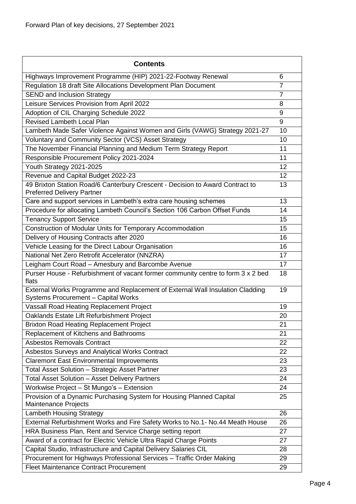| <b>Contents</b>                                                                                                             |                |
|-----------------------------------------------------------------------------------------------------------------------------|----------------|
| Highways Improvement Programme (HIP) 2021-22-Footway Renewal                                                                | 6              |
| Regulation 18 draft Site Allocations Development Plan Document                                                              | $\overline{7}$ |
| <b>SEND and Inclusion Strategy</b>                                                                                          | $\overline{7}$ |
| Leisure Services Provision from April 2022                                                                                  | 8              |
| Adoption of CIL Charging Schedule 2022                                                                                      | 9              |
| <b>Revised Lambeth Local Plan</b>                                                                                           | 9              |
| Lambeth Made Safer Violence Against Women and Girls (VAWG) Strategy 2021-27                                                 | 10             |
| Voluntary and Community Sector (VCS) Asset Strategy                                                                         | 10             |
| The November Financial Planning and Medium Term Strategy Report                                                             | 11             |
| Responsible Procurement Policy 2021-2024                                                                                    | 11             |
| Youth Strategy 2021-2025                                                                                                    | 12             |
| Revenue and Capital Budget 2022-23                                                                                          | 12             |
| 49 Brixton Station Road/6 Canterbury Crescent - Decision to Award Contract to<br><b>Preferred Delivery Partner</b>          | 13             |
| Care and support services in Lambeth's extra care housing schemes                                                           | 13             |
| Procedure for allocating Lambeth Council's Section 106 Carbon Offset Funds                                                  | 14             |
| <b>Tenancy Support Service</b>                                                                                              | 15             |
| Construction of Modular Units for Temporary Accommodation                                                                   | 15             |
| Delivery of Housing Contracts after 2020                                                                                    | 16             |
| Vehicle Leasing for the Direct Labour Organisation                                                                          | 16             |
| National Net Zero Retrofit Accelerator (NNZRA)                                                                              | 17             |
| Leigham Court Road - Amesbury and Barcombe Avenue                                                                           | 17             |
| Purser House - Refurbishment of vacant former community centre to form 3 x 2 bed<br>flats                                   | 18             |
| External Works Programme and Replacement of External Wall Insulation Cladding<br><b>Systems Procurement - Capital Works</b> | 19             |
| Vassall Road Heating Replacement Project                                                                                    | 19             |
| Oaklands Estate Lift Refurbishment Project                                                                                  | 20             |
| <b>Brixton Road Heating Replacement Project</b>                                                                             | 21             |
| Replacement of Kitchens and Bathrooms                                                                                       | 21             |
| <b>Asbestos Removals Contract</b>                                                                                           | 22             |
| Asbestos Surveys and Analytical Works Contract                                                                              | 22             |
| <b>Claremont East Environmental Improvements</b>                                                                            | 23             |
| Total Asset Solution - Strategic Asset Partner                                                                              | 23             |
| Total Asset Solution - Asset Delivery Partners                                                                              | 24             |
| Workwise Project - St Mungo's - Extension                                                                                   | 24             |
| Provision of a Dynamic Purchasing System for Housing Planned Capital<br>Maintenance Projects                                | 25             |
| <b>Lambeth Housing Strategy</b>                                                                                             | 26             |
| External Refurbishment Works and Fire Safety Works to No.1- No.44 Meath House                                               | 26             |
| HRA Business Plan, Rent and Service Charge setting report                                                                   | 27             |
| Award of a contract for Electric Vehicle Ultra Rapid Charge Points                                                          | 27             |
| Capital Studio, Infrastructure and Capital Delivery Salaries CIL                                                            | 28             |
| Procurement for Highways Professional Services - Traffic Order Making                                                       | 29             |
| <b>Fleet Maintenance Contract Procurement</b>                                                                               | 29             |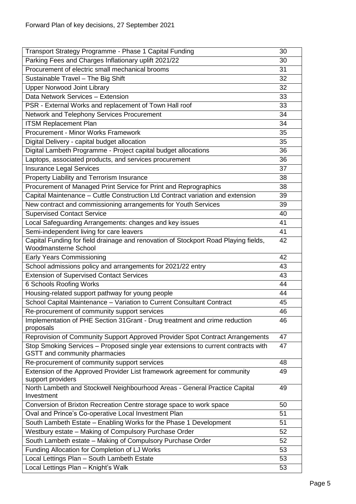| Transport Strategy Programme - Phase 1 Capital Funding<br>30                                                             |  |
|--------------------------------------------------------------------------------------------------------------------------|--|
| Parking Fees and Charges Inflationary uplift 2021/22<br>30                                                               |  |
| Procurement of electric small mechanical brooms<br>31                                                                    |  |
| Sustainable Travel - The Big Shift<br>32                                                                                 |  |
| <b>Upper Norwood Joint Library</b><br>32                                                                                 |  |
| Data Network Services - Extension<br>33                                                                                  |  |
| PSR - External Works and replacement of Town Hall roof<br>33                                                             |  |
| Network and Telephony Services Procurement<br>34                                                                         |  |
| <b>ITSM Replacement Plan</b><br>34                                                                                       |  |
| Procurement - Minor Works Framework<br>35                                                                                |  |
| Digital Delivery - capital budget allocation<br>35                                                                       |  |
| Digital Lambeth Programme - Project capital budget allocations<br>36                                                     |  |
| Laptops, associated products, and services procurement<br>36                                                             |  |
| <b>Insurance Legal Services</b><br>37                                                                                    |  |
| Property Liability and Terrorism Insurance<br>38                                                                         |  |
| Procurement of Managed Print Service for Print and Reprographics<br>38                                                   |  |
| Capital Maintenance - Cuttle Construction Ltd Contract variation and extension<br>39                                     |  |
| 39<br>New contract and commissioning arrangements for Youth Services                                                     |  |
| <b>Supervised Contact Service</b><br>40                                                                                  |  |
| Local Safeguarding Arrangements: changes and key issues<br>41                                                            |  |
| Semi-independent living for care leavers<br>41                                                                           |  |
| Capital Funding for field drainage and renovation of Stockport Road Playing fields,<br>42                                |  |
| <b>Woodmansterne School</b>                                                                                              |  |
| <b>Early Years Commissioning</b><br>42                                                                                   |  |
| School admissions policy and arrangements for 2021/22 entry<br>43                                                        |  |
| <b>Extension of Supervised Contact Services</b><br>43                                                                    |  |
| 6 Schools Roofing Works<br>44                                                                                            |  |
| Housing-related support pathway for young people<br>44                                                                   |  |
| School Capital Maintenance - Variation to Current Consultant Contract<br>45                                              |  |
| Re-procurement of community support services<br>46                                                                       |  |
| Implementation of PHE Section 31 Grant - Drug treatment and crime reduction<br>46<br>proposals                           |  |
| Reprovision of Community Support Approved Provider Spot Contract Arrangements<br>47                                      |  |
| Stop Smoking Services - Proposed single year extensions to current contracts with<br>47<br>GSTT and community pharmacies |  |
| Re-procurement of community support services<br>48                                                                       |  |
| Extension of the Approved Provider List framework agreement for community<br>49<br>support providers                     |  |
| North Lambeth and Stockwell Neighbourhood Areas - General Practice Capital<br>49<br>Investment                           |  |
| Conversion of Brixton Recreation Centre storage space to work space<br>50                                                |  |
| Oval and Prince's Co-operative Local Investment Plan<br>51                                                               |  |
| South Lambeth Estate - Enabling Works for the Phase 1 Development<br>51                                                  |  |
| Westbury estate - Making of Compulsory Purchase Order<br>52                                                              |  |
| South Lambeth estate - Making of Compulsory Purchase Order<br>52                                                         |  |
| Funding Allocation for Completion of LJ Works<br>53                                                                      |  |
| Local Lettings Plan - South Lambeth Estate<br>53                                                                         |  |
| Local Lettings Plan - Knight's Walk<br>53                                                                                |  |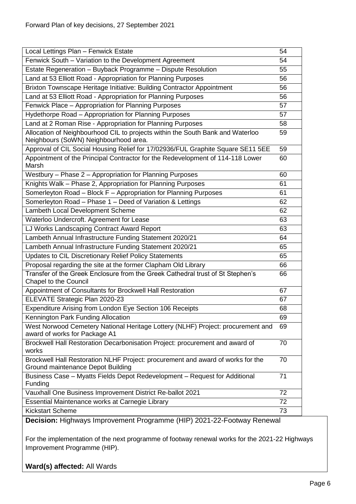| Local Lettings Plan - Fenwick Estate                                                                                    | 54 |
|-------------------------------------------------------------------------------------------------------------------------|----|
| Fenwick South - Variation to the Development Agreement                                                                  | 54 |
| Estate Regeneration - Buyback Programme - Dispute Resolution                                                            | 55 |
| Land at 53 Elliott Road - Appropriation for Planning Purposes                                                           | 56 |
| Brixton Townscape Heritage Initiative: Building Contractor Appointment                                                  | 56 |
| Land at 53 Elliott Road - Appropriation for Planning Purposes                                                           | 56 |
| Fenwick Place - Appropriation for Planning Purposes                                                                     | 57 |
| Hydethorpe Road - Appropriation for Planning Purposes                                                                   | 57 |
| Land at 2 Roman Rise - Appropriation for Planning Purposes                                                              | 58 |
| Allocation of Neighbourhood CIL to projects within the South Bank and Waterloo<br>Neighbours (SoWN) Neighbourhood area. | 59 |
| Approval of CIL Social Housing Relief for 17/02936/FUL Graphite Square SE11 5EE                                         | 59 |
| Appointment of the Principal Contractor for the Redevelopment of 114-118 Lower<br>Marsh                                 | 60 |
| Westbury - Phase 2 - Appropriation for Planning Purposes                                                                | 60 |
| Knights Walk - Phase 2, Appropriation for Planning Purposes                                                             | 61 |
| Somerleyton Road - Block F - Appropriation for Planning Purposes                                                        | 61 |
| Somerleyton Road - Phase 1 - Deed of Variation & Lettings                                                               | 62 |
| Lambeth Local Development Scheme                                                                                        | 62 |
| Waterloo Undercroft. Agreement for Lease                                                                                | 63 |
| LJ Works Landscaping Contract Award Report                                                                              | 63 |
| Lambeth Annual Infrastructure Funding Statement 2020/21                                                                 | 64 |
| Lambeth Annual Infrastructure Funding Statement 2020/21                                                                 | 65 |
| Updates to CIL Discretionary Relief Policy Statements                                                                   | 65 |
| Proposal regarding the site at the former Clapham Old Library                                                           | 66 |
| Transfer of the Greek Enclosure from the Greek Cathedral trust of St Stephen's<br>Chapel to the Council                 | 66 |
| Appointment of Consultants for Brockwell Hall Restoration                                                               | 67 |
| ELEVATE Strategic Plan 2020-23                                                                                          | 67 |
| Expenditure Arising from London Eye Section 106 Receipts                                                                | 68 |
| Kennington Park Funding Allocation                                                                                      | 69 |
| West Norwood Cemetery National Heritage Lottery (NLHF) Project: procurement and<br>award of works for Package A1        | 69 |
| Brockwell Hall Restoration Decarbonisation Project: procurement and award of<br>works                                   | 70 |
| Brockwell Hall Restoration NLHF Project: procurement and award of works for the<br>Ground maintenance Depot Building    | 70 |
| Business Case - Myatts Fields Depot Redevelopment - Request for Additional<br>Funding                                   | 71 |
| Vauxhall One Business Improvement District Re-ballot 2021                                                               | 72 |
| Essential Maintenance works at Carnegie Library                                                                         | 72 |
| <b>Kickstart Scheme</b>                                                                                                 | 73 |

<span id="page-5-0"></span>**Decision:** Highways Improvement Programme (HIP) 2021-22-Footway Renewal

For the implementation of the next programme of footway renewal works for the 2021-22 Highways Improvement Programme (HIP).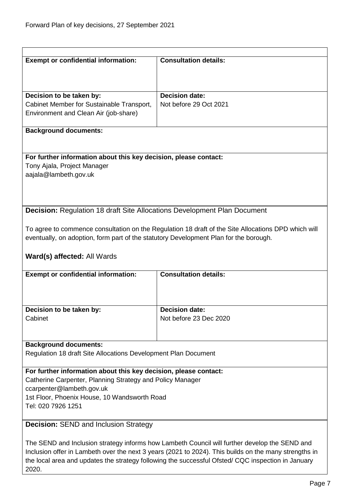<span id="page-6-0"></span>

| <b>Exempt or confidential information:</b>                                                                                                                                                        | <b>Consultation details:</b>                                                                        |  |
|---------------------------------------------------------------------------------------------------------------------------------------------------------------------------------------------------|-----------------------------------------------------------------------------------------------------|--|
|                                                                                                                                                                                                   |                                                                                                     |  |
|                                                                                                                                                                                                   |                                                                                                     |  |
|                                                                                                                                                                                                   |                                                                                                     |  |
| Decision to be taken by:                                                                                                                                                                          | <b>Decision date:</b>                                                                               |  |
| Cabinet Member for Sustainable Transport,                                                                                                                                                         | Not before 29 Oct 2021                                                                              |  |
| Environment and Clean Air (job-share)                                                                                                                                                             |                                                                                                     |  |
|                                                                                                                                                                                                   |                                                                                                     |  |
| <b>Background documents:</b>                                                                                                                                                                      |                                                                                                     |  |
|                                                                                                                                                                                                   |                                                                                                     |  |
|                                                                                                                                                                                                   |                                                                                                     |  |
| For further information about this key decision, please contact:                                                                                                                                  |                                                                                                     |  |
| Tony Ajala, Project Manager                                                                                                                                                                       |                                                                                                     |  |
| aajala@lambeth.gov.uk                                                                                                                                                                             |                                                                                                     |  |
|                                                                                                                                                                                                   |                                                                                                     |  |
|                                                                                                                                                                                                   |                                                                                                     |  |
|                                                                                                                                                                                                   |                                                                                                     |  |
| <b>Decision:</b> Regulation 18 draft Site Allocations Development Plan Document                                                                                                                   |                                                                                                     |  |
|                                                                                                                                                                                                   |                                                                                                     |  |
|                                                                                                                                                                                                   | To agree to commence consultation on the Regulation 18 draft of the Site Allocations DPD which will |  |
| eventually, on adoption, form part of the statutory Development Plan for the borough.                                                                                                             |                                                                                                     |  |
|                                                                                                                                                                                                   |                                                                                                     |  |
| Ward(s) affected: All Wards                                                                                                                                                                       |                                                                                                     |  |
|                                                                                                                                                                                                   |                                                                                                     |  |
| <b>Exempt or confidential information:</b>                                                                                                                                                        | <b>Consultation details:</b>                                                                        |  |
|                                                                                                                                                                                                   |                                                                                                     |  |
|                                                                                                                                                                                                   |                                                                                                     |  |
|                                                                                                                                                                                                   |                                                                                                     |  |
| Decision to be taken by:                                                                                                                                                                          | <b>Decision date:</b>                                                                               |  |
| Cabinet                                                                                                                                                                                           | Not before 23 Dec 2020                                                                              |  |
|                                                                                                                                                                                                   |                                                                                                     |  |
|                                                                                                                                                                                                   |                                                                                                     |  |
| <b>Background documents:</b>                                                                                                                                                                      |                                                                                                     |  |
|                                                                                                                                                                                                   |                                                                                                     |  |
| Regulation 18 draft Site Allocations Development Plan Document                                                                                                                                    |                                                                                                     |  |
| For further information about this key decision, please contact:                                                                                                                                  |                                                                                                     |  |
| Catherine Carpenter, Planning Strategy and Policy Manager                                                                                                                                         |                                                                                                     |  |
| ccarpenter@lambeth.gov.uk                                                                                                                                                                         |                                                                                                     |  |
|                                                                                                                                                                                                   |                                                                                                     |  |
| 1st Floor, Phoenix House, 10 Wandsworth Road<br>Tel: 020 7926 1251                                                                                                                                |                                                                                                     |  |
|                                                                                                                                                                                                   |                                                                                                     |  |
|                                                                                                                                                                                                   |                                                                                                     |  |
| <b>Decision: SEND and Inclusion Strategy</b>                                                                                                                                                      |                                                                                                     |  |
|                                                                                                                                                                                                   |                                                                                                     |  |
| The SEND and Inclusion strategy informs how Lambeth Council will further develop the SEND and<br>cion offer in Lambeth over the next 3 years (2004 to 2004). This builds on the many strengths in |                                                                                                     |  |

<span id="page-6-1"></span>Inclusion offer in Lambeth over the next 3 years (2021 to 2024). This builds on the many strengths in the local area and updates the strategy following the successful Ofsted/ CQC inspection in January 2020.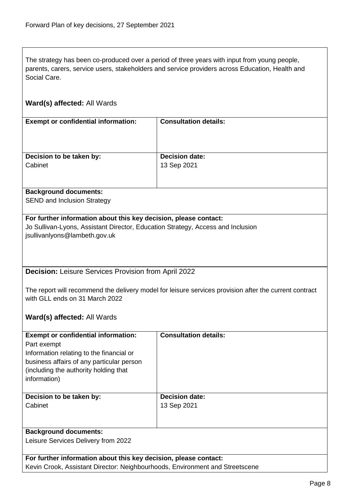The strategy has been co-produced over a period of three years with input from young people, parents, carers, service users, stakeholders and service providers across Education, Health and Social Care.

## **Ward(s) affected:** All Wards

| <b>Exempt or confidential information:</b> | <b>Consultation details:</b> |
|--------------------------------------------|------------------------------|
| Decision to be taken by:                   | <b>Decision date:</b>        |
| Cabinet                                    | 13 Sep 2021                  |
|                                            |                              |

#### **Background documents:**

SEND and Inclusion Strategy

## **For further information about this key decision, please contact:**

Jo Sullivan-Lyons, Assistant Director, Education Strategy, Access and Inclusion jsullivanlyons@lambeth.gov.uk

#### <span id="page-7-0"></span>**Decision:** Leisure Services Provision from April 2022

The report will recommend the delivery model for leisure services provision after the current contract with GLL ends on 31 March 2022

#### **Ward(s) affected:** All Wards

| <b>Exempt or confidential information:</b><br>Part exempt<br>Information relating to the financial or<br>business affairs of any particular person<br>(including the authority holding that)<br>information) | <b>Consultation details:</b>         |
|--------------------------------------------------------------------------------------------------------------------------------------------------------------------------------------------------------------|--------------------------------------|
| Decision to be taken by:<br>Cabinet                                                                                                                                                                          | <b>Decision date:</b><br>13 Sep 2021 |
| <b>Background documents:</b><br>Leisure Services Delivery from 2022                                                                                                                                          |                                      |
| For further information about this key decision, please contact:                                                                                                                                             |                                      |

Kevin Crook, Assistant Director: Neighbourhoods, Environment and Streetscene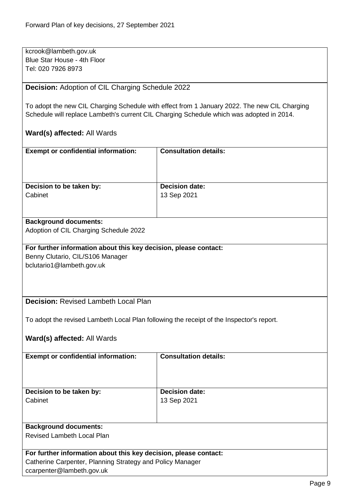kcrook@lambeth.gov.uk Blue Star House - 4th Floor Tel: 020 7926 8973

<span id="page-8-0"></span>**Decision:** Adoption of CIL Charging Schedule 2022

To adopt the new CIL Charging Schedule with effect from 1 January 2022. The new CIL Charging Schedule will replace Lambeth's current CIL Charging Schedule which was adopted in 2014.

## **Ward(s) affected:** All Wards

| <b>Exempt or confidential information:</b> | <b>Consultation details:</b> |
|--------------------------------------------|------------------------------|
| Decision to be taken by:                   | <b>Decision date:</b>        |
| Cabinet                                    | 13 Sep 2021                  |
|                                            |                              |

#### **Background documents:**

Adoption of CIL Charging Schedule 2022

# **For further information about this key decision, please contact:** Benny Clutario, CIL/S106 Manager

bclutario1@lambeth.gov.uk

## <span id="page-8-1"></span>**Decision:** Revised Lambeth Local Plan

To adopt the revised Lambeth Local Plan following the receipt of the Inspector's report.

| <b>Exempt or confidential information:</b>                       | <b>Consultation details:</b> |
|------------------------------------------------------------------|------------------------------|
|                                                                  |                              |
|                                                                  |                              |
|                                                                  |                              |
|                                                                  |                              |
| Decision to be taken by:                                         | <b>Decision date:</b>        |
| Cabinet                                                          | 13 Sep 2021                  |
|                                                                  |                              |
|                                                                  |                              |
|                                                                  |                              |
| <b>Background documents:</b>                                     |                              |
| Revised Lambeth Local Plan                                       |                              |
|                                                                  |                              |
| For further information about this key decision, please contact: |                              |
| Catherine Carpenter, Planning Strategy and Policy Manager        |                              |
| ccarpenter@lambeth.gov.uk                                        |                              |
|                                                                  |                              |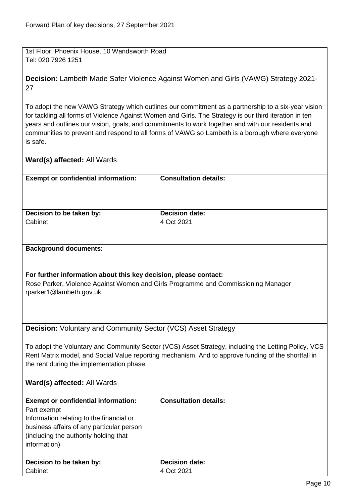1st Floor, Phoenix House, 10 Wandsworth Road Tel: 020 7926 1251

<span id="page-9-0"></span>**Decision:** Lambeth Made Safer Violence Against Women and Girls (VAWG) Strategy 2021- 27

To adopt the new VAWG Strategy which outlines our commitment as a partnership to a six-year vision for tackling all forms of Violence Against Women and Girls. The Strategy is our third iteration in ten years and outlines our vision, goals, and commitments to work together and with our residents and communities to prevent and respond to all forms of VAWG so Lambeth is a borough where everyone is safe.

<span id="page-9-1"></span>

| <b>Exempt or confidential information:</b>                                        | <b>Consultation details:</b>                                                                        |  |
|-----------------------------------------------------------------------------------|-----------------------------------------------------------------------------------------------------|--|
|                                                                                   |                                                                                                     |  |
|                                                                                   |                                                                                                     |  |
|                                                                                   |                                                                                                     |  |
| Decision to be taken by:                                                          | <b>Decision date:</b>                                                                               |  |
| Cabinet                                                                           | 4 Oct 2021                                                                                          |  |
|                                                                                   |                                                                                                     |  |
|                                                                                   |                                                                                                     |  |
| <b>Background documents:</b>                                                      |                                                                                                     |  |
|                                                                                   |                                                                                                     |  |
|                                                                                   |                                                                                                     |  |
| For further information about this key decision, please contact:                  |                                                                                                     |  |
| Rose Parker, Violence Against Women and Girls Programme and Commissioning Manager |                                                                                                     |  |
| rparker1@lambeth.gov.uk                                                           |                                                                                                     |  |
|                                                                                   |                                                                                                     |  |
|                                                                                   |                                                                                                     |  |
|                                                                                   |                                                                                                     |  |
| <b>Decision:</b> Voluntary and Community Sector (VCS) Asset Strategy              |                                                                                                     |  |
|                                                                                   |                                                                                                     |  |
|                                                                                   |                                                                                                     |  |
|                                                                                   | To adopt the Voluntary and Community Sector (VCS) Asset Strategy, including the Letting Policy, VCS |  |
|                                                                                   | Rent Matrix model, and Social Value reporting mechanism. And to approve funding of the shortfall in |  |
| the rent during the implementation phase.                                         |                                                                                                     |  |
|                                                                                   |                                                                                                     |  |
| Ward(s) affected: All Wards                                                       |                                                                                                     |  |
|                                                                                   |                                                                                                     |  |
| <b>Exempt or confidential information:</b>                                        | <b>Consultation details:</b>                                                                        |  |
| Part exempt                                                                       |                                                                                                     |  |
| Information relating to the financial or                                          |                                                                                                     |  |
| business affairs of any particular person                                         |                                                                                                     |  |
| (including the authority holding that                                             |                                                                                                     |  |
| information)                                                                      |                                                                                                     |  |
|                                                                                   |                                                                                                     |  |
| Decision to be taken by:                                                          | <b>Decision date:</b>                                                                               |  |
| Cabinet                                                                           | 4 Oct 2021                                                                                          |  |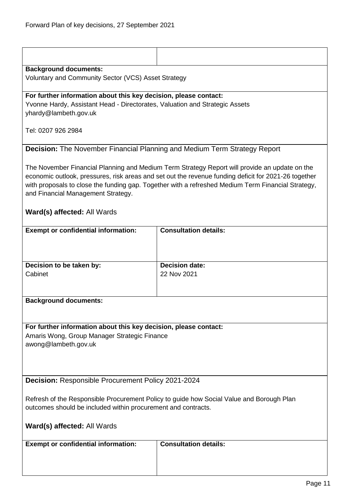<span id="page-10-1"></span><span id="page-10-0"></span>

| <b>Background documents:</b><br>Voluntary and Community Sector (VCS) Asset Strategy                                                                                                                                                                                                                                                                                              |                                      |  |
|----------------------------------------------------------------------------------------------------------------------------------------------------------------------------------------------------------------------------------------------------------------------------------------------------------------------------------------------------------------------------------|--------------------------------------|--|
| For further information about this key decision, please contact:<br>Yvonne Hardy, Assistant Head - Directorates, Valuation and Strategic Assets<br>yhardy@lambeth.gov.uk                                                                                                                                                                                                         |                                      |  |
| Tel: 0207 926 2984                                                                                                                                                                                                                                                                                                                                                               |                                      |  |
| <b>Decision:</b> The November Financial Planning and Medium Term Strategy Report                                                                                                                                                                                                                                                                                                 |                                      |  |
| The November Financial Planning and Medium Term Strategy Report will provide an update on the<br>economic outlook, pressures, risk areas and set out the revenue funding deficit for 2021-26 together<br>with proposals to close the funding gap. Together with a refreshed Medium Term Financial Strategy,<br>and Financial Management Strategy.<br>Ward(s) affected: All Wards |                                      |  |
| <b>Exempt or confidential information:</b>                                                                                                                                                                                                                                                                                                                                       | <b>Consultation details:</b>         |  |
|                                                                                                                                                                                                                                                                                                                                                                                  |                                      |  |
| Decision to be taken by:<br>Cabinet                                                                                                                                                                                                                                                                                                                                              | <b>Decision date:</b><br>22 Nov 2021 |  |
| <b>Background documents:</b>                                                                                                                                                                                                                                                                                                                                                     |                                      |  |
| For further information about this key decision, please contact:<br>Amaris Wong, Group Manager Strategic Finance<br>awong@lambeth.gov.uk                                                                                                                                                                                                                                         |                                      |  |
| Decision: Responsible Procurement Policy 2021-2024                                                                                                                                                                                                                                                                                                                               |                                      |  |
| Refresh of the Responsible Procurement Policy to guide how Social Value and Borough Plan<br>outcomes should be included within procurement and contracts.                                                                                                                                                                                                                        |                                      |  |
| Ward(s) affected: All Wards                                                                                                                                                                                                                                                                                                                                                      |                                      |  |
| <b>Exempt or confidential information:</b>                                                                                                                                                                                                                                                                                                                                       | <b>Consultation details:</b>         |  |
|                                                                                                                                                                                                                                                                                                                                                                                  |                                      |  |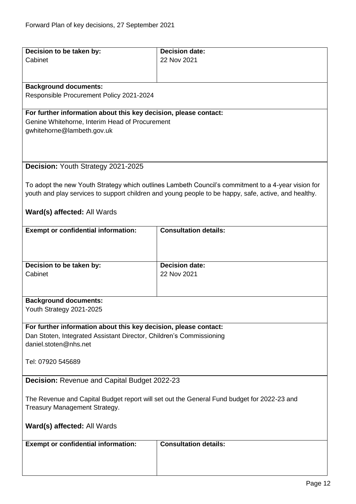<span id="page-11-1"></span><span id="page-11-0"></span>

| Decision to be taken by:                                                                   | <b>Decision date:</b>                                                                                |
|--------------------------------------------------------------------------------------------|------------------------------------------------------------------------------------------------------|
| Cabinet                                                                                    | 22 Nov 2021                                                                                          |
|                                                                                            |                                                                                                      |
|                                                                                            |                                                                                                      |
| <b>Background documents:</b>                                                               |                                                                                                      |
| Responsible Procurement Policy 2021-2024                                                   |                                                                                                      |
| For further information about this key decision, please contact:                           |                                                                                                      |
|                                                                                            |                                                                                                      |
| Genine Whitehorne, Interim Head of Procurement<br>gwhitehorne@lambeth.gov.uk               |                                                                                                      |
|                                                                                            |                                                                                                      |
|                                                                                            |                                                                                                      |
|                                                                                            |                                                                                                      |
| Decision: Youth Strategy 2021-2025                                                         |                                                                                                      |
|                                                                                            |                                                                                                      |
|                                                                                            | To adopt the new Youth Strategy which outlines Lambeth Council's commitment to a 4-year vision for   |
|                                                                                            | youth and play services to support children and young people to be happy, safe, active, and healthy. |
|                                                                                            |                                                                                                      |
| Ward(s) affected: All Wards                                                                |                                                                                                      |
|                                                                                            |                                                                                                      |
| <b>Exempt or confidential information:</b>                                                 | <b>Consultation details:</b>                                                                         |
|                                                                                            |                                                                                                      |
|                                                                                            |                                                                                                      |
|                                                                                            |                                                                                                      |
| Decision to be taken by:<br>Cabinet                                                        | <b>Decision date:</b><br>22 Nov 2021                                                                 |
|                                                                                            |                                                                                                      |
|                                                                                            |                                                                                                      |
| <b>Background documents:</b>                                                               |                                                                                                      |
| Youth Strategy 2021-2025                                                                   |                                                                                                      |
|                                                                                            |                                                                                                      |
| For further information about this key decision, please contact:                           |                                                                                                      |
| Dan Stoten, Integrated Assistant Director, Children's Commissioning                        |                                                                                                      |
| daniel.stoten@nhs.net                                                                      |                                                                                                      |
|                                                                                            |                                                                                                      |
| Tel: 07920 545689                                                                          |                                                                                                      |
|                                                                                            |                                                                                                      |
| Decision: Revenue and Capital Budget 2022-23                                               |                                                                                                      |
|                                                                                            |                                                                                                      |
| The Revenue and Capital Budget report will set out the General Fund budget for 2022-23 and |                                                                                                      |
| Treasury Management Strategy.                                                              |                                                                                                      |
|                                                                                            |                                                                                                      |
| Ward(s) affected: All Wards                                                                |                                                                                                      |
|                                                                                            |                                                                                                      |
| <b>Exempt or confidential information:</b>                                                 | <b>Consultation details:</b>                                                                         |
|                                                                                            |                                                                                                      |
|                                                                                            |                                                                                                      |
|                                                                                            |                                                                                                      |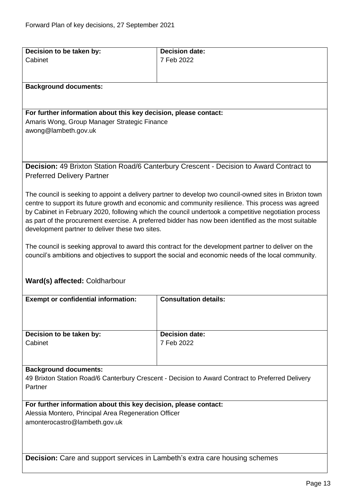<span id="page-12-1"></span><span id="page-12-0"></span>

| Decision to be taken by:                                                                         | <b>Decision date:</b>                                                                                                                                                                                       |
|--------------------------------------------------------------------------------------------------|-------------------------------------------------------------------------------------------------------------------------------------------------------------------------------------------------------------|
| Cabinet                                                                                          | 7 Feb 2022                                                                                                                                                                                                  |
|                                                                                                  |                                                                                                                                                                                                             |
|                                                                                                  |                                                                                                                                                                                                             |
| <b>Background documents:</b>                                                                     |                                                                                                                                                                                                             |
|                                                                                                  |                                                                                                                                                                                                             |
| For further information about this key decision, please contact:                                 |                                                                                                                                                                                                             |
| Amaris Wong, Group Manager Strategic Finance                                                     |                                                                                                                                                                                                             |
| awong@lambeth.gov.uk                                                                             |                                                                                                                                                                                                             |
|                                                                                                  |                                                                                                                                                                                                             |
|                                                                                                  |                                                                                                                                                                                                             |
|                                                                                                  | <b>Decision:</b> 49 Brixton Station Road/6 Canterbury Crescent - Decision to Award Contract to                                                                                                              |
| <b>Preferred Delivery Partner</b>                                                                |                                                                                                                                                                                                             |
|                                                                                                  |                                                                                                                                                                                                             |
|                                                                                                  | The council is seeking to appoint a delivery partner to develop two council-owned sites in Brixton town                                                                                                     |
|                                                                                                  | centre to support its future growth and economic and community resilience. This process was agreed                                                                                                          |
|                                                                                                  | by Cabinet in February 2020, following which the council undertook a competitive negotiation process                                                                                                        |
|                                                                                                  | as part of the procurement exercise. A preferred bidder has now been identified as the most suitable                                                                                                        |
| development partner to deliver these two sites.                                                  |                                                                                                                                                                                                             |
|                                                                                                  |                                                                                                                                                                                                             |
|                                                                                                  | The council is seeking approval to award this contract for the development partner to deliver on the<br>council's ambitions and objectives to support the social and economic needs of the local community. |
|                                                                                                  |                                                                                                                                                                                                             |
|                                                                                                  |                                                                                                                                                                                                             |
| Ward(s) affected: Coldharbour                                                                    |                                                                                                                                                                                                             |
|                                                                                                  |                                                                                                                                                                                                             |
| <b>Exempt or confidential information:</b>                                                       | <b>Consultation details:</b>                                                                                                                                                                                |
|                                                                                                  |                                                                                                                                                                                                             |
|                                                                                                  |                                                                                                                                                                                                             |
| Decision to be taken by:                                                                         | <b>Decision date:</b>                                                                                                                                                                                       |
| Cabinet                                                                                          | 7 Feb 2022                                                                                                                                                                                                  |
|                                                                                                  |                                                                                                                                                                                                             |
|                                                                                                  |                                                                                                                                                                                                             |
| <b>Background documents:</b>                                                                     |                                                                                                                                                                                                             |
| 49 Brixton Station Road/6 Canterbury Crescent - Decision to Award Contract to Preferred Delivery |                                                                                                                                                                                                             |
| Partner                                                                                          |                                                                                                                                                                                                             |
| For further information about this key decision, please contact:                                 |                                                                                                                                                                                                             |
| Alessia Montero, Principal Area Regeneration Officer                                             |                                                                                                                                                                                                             |
| amonterocastro@lambeth.gov.uk                                                                    |                                                                                                                                                                                                             |
|                                                                                                  |                                                                                                                                                                                                             |
|                                                                                                  |                                                                                                                                                                                                             |
|                                                                                                  |                                                                                                                                                                                                             |
| <b>Decision:</b> Care and support services in Lambeth's extra care housing schemes               |                                                                                                                                                                                                             |
|                                                                                                  |                                                                                                                                                                                                             |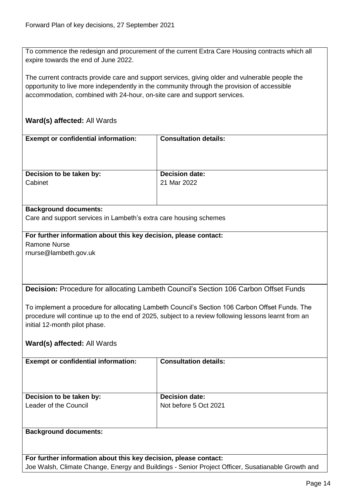To commence the redesign and procurement of the current Extra Care Housing contracts which all expire towards the end of June 2022.

The current contracts provide care and support services, giving older and vulnerable people the opportunity to live more independently in the community through the provision of accessible accommodation, combined with 24-hour, on-site care and support services.

## **Ward(s) affected:** All Wards

| <b>Exempt or confidential information:</b> | <b>Consultation details:</b> |
|--------------------------------------------|------------------------------|
| Decision to be taken by:                   | <b>Decision date:</b>        |
| Cabinet                                    | 21 Mar 2022                  |
|                                            |                              |

#### **Background documents:**

Care and support services in Lambeth's extra care housing schemes

# **For further information about this key decision, please contact:** Ramone Nurse

rnurse@lambeth.gov.uk

<span id="page-13-0"></span>**Decision:** Procedure for allocating Lambeth Council's Section 106 Carbon Offset Funds

To implement a procedure for allocating Lambeth Council's Section 106 Carbon Offset Funds. The procedure will continue up to the end of 2025, subject to a review following lessons learnt from an initial 12-month pilot phase.

#### **Ward(s) affected:** All Wards

| <b>Exempt or confidential information:</b>        | <b>Consultation details:</b>                   |
|---------------------------------------------------|------------------------------------------------|
| Decision to be taken by:<br>Leader of the Council | <b>Decision date:</b><br>Not before 5 Oct 2021 |
| <b>Background documents:</b>                      |                                                |

**For further information about this key decision, please contact:** Joe Walsh, Climate Change, Energy and Buildings - Senior Project Officer, Susatianable Growth and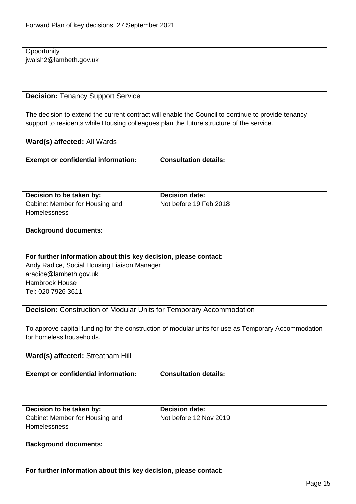**Opportunity** jwalsh2@lambeth.gov.uk

## <span id="page-14-0"></span>**Decision:** Tenancy Support Service

The decision to extend the current contract will enable the Council to continue to provide tenancy support to residents while Housing colleagues plan the future structure of the service.

## **Ward(s) affected:** All Wards

| <b>Exempt or confidential information:</b>                                        | <b>Consultation details:</b>                    |
|-----------------------------------------------------------------------------------|-------------------------------------------------|
| Decision to be taken by:<br>Cabinet Member for Housing and<br><b>Homelessness</b> | <b>Decision date:</b><br>Not before 19 Feb 2018 |

#### **Background documents:**

#### **For further information about this key decision, please contact:**

Andy Radice, Social Housing Liaison Manager aradice@lambeth.gov.uk Hambrook House Tel: 020 7926 3611

## <span id="page-14-1"></span>**Decision:** Construction of Modular Units for Temporary Accommodation

To approve capital funding for the construction of modular units for use as Temporary Accommodation for homeless households.

## **Ward(s) affected:** Streatham Hill

| <b>Exempt or confidential information:</b>                                        | <b>Consultation details:</b>                    |
|-----------------------------------------------------------------------------------|-------------------------------------------------|
| Decision to be taken by:<br>Cabinet Member for Housing and<br><b>Homelessness</b> | <b>Decision date:</b><br>Not before 12 Nov 2019 |
| <b>Background documents:</b>                                                      |                                                 |

**For further information about this key decision, please contact:**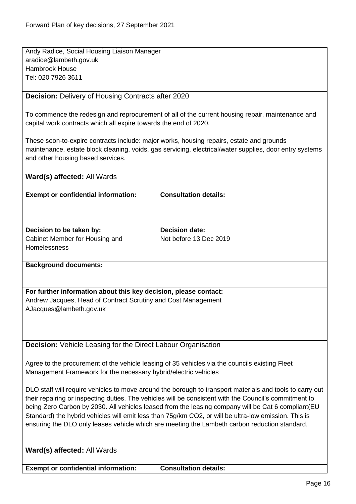Andy Radice, Social Housing Liaison Manager aradice@lambeth.gov.uk Hambrook House Tel: 020 7926 3611

## <span id="page-15-0"></span>**Decision:** Delivery of Housing Contracts after 2020

To commence the redesign and reprocurement of all of the current housing repair, maintenance and capital work contracts which all expire towards the end of 2020.

These soon-to-expire contracts include: major works, housing repairs, estate and grounds maintenance, estate block cleaning, voids, gas servicing, electrical/water supplies, door entry systems and other housing based services.

## **Ward(s) affected:** All Wards

| <b>Exempt or confidential information:</b>                 | <b>Consultation details:</b>                    |
|------------------------------------------------------------|-------------------------------------------------|
| Decision to be taken by:<br>Cabinet Member for Housing and | <b>Decision date:</b><br>Not before 13 Dec 2019 |
| <b>Homelessness</b>                                        |                                                 |

#### **Background documents:**

**For further information about this key decision, please contact:** Andrew Jacques, Head of Contract Scrutiny and Cost Management AJacques@lambeth.gov.uk

<span id="page-15-1"></span>**Decision:** Vehicle Leasing for the Direct Labour Organisation

Agree to the procurement of the vehicle leasing of 35 vehicles via the councils existing Fleet Management Framework for the necessary hybrid/electric vehicles

DLO staff will require vehicles to move around the borough to transport materials and tools to carry out their repairing or inspecting duties. The vehicles will be consistent with the Council's commitment to being Zero Carbon by 2030. All vehicles leased from the leasing company will be Cat 6 compliant(EU Standard) the hybrid vehicles will emit less than 75g/km CO2, or will be ultra-low emission. This is ensuring the DLO only leases vehicle which are meeting the Lambeth carbon reduction standard.

| <b>Ward(s) affected: All Wards</b>         |                              |
|--------------------------------------------|------------------------------|
| <b>Exempt or confidential information:</b> | <b>Consultation details:</b> |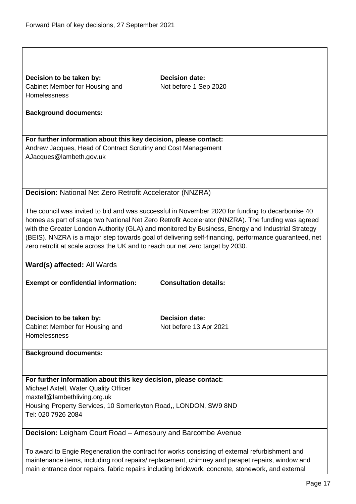<span id="page-16-1"></span><span id="page-16-0"></span>

| Decision to be taken by:                                                       | <b>Decision date:</b>                                                                                                                                                                             |  |
|--------------------------------------------------------------------------------|---------------------------------------------------------------------------------------------------------------------------------------------------------------------------------------------------|--|
| Cabinet Member for Housing and<br><b>Homelessness</b>                          | Not before 1 Sep 2020                                                                                                                                                                             |  |
|                                                                                |                                                                                                                                                                                                   |  |
| <b>Background documents:</b>                                                   |                                                                                                                                                                                                   |  |
|                                                                                |                                                                                                                                                                                                   |  |
| For further information about this key decision, please contact:               |                                                                                                                                                                                                   |  |
| Andrew Jacques, Head of Contract Scrutiny and Cost Management                  |                                                                                                                                                                                                   |  |
| AJacques@lambeth.gov.uk                                                        |                                                                                                                                                                                                   |  |
|                                                                                |                                                                                                                                                                                                   |  |
|                                                                                |                                                                                                                                                                                                   |  |
| <b>Decision: National Net Zero Retrofit Accelerator (NNZRA)</b>                |                                                                                                                                                                                                   |  |
|                                                                                |                                                                                                                                                                                                   |  |
|                                                                                | The council was invited to bid and was successful in November 2020 for funding to decarbonise 40                                                                                                  |  |
|                                                                                | homes as part of stage two National Net Zero Retrofit Accelerator (NNZRA). The funding was agreed                                                                                                 |  |
|                                                                                | with the Greater London Authority (GLA) and monitored by Business, Energy and Industrial Strategy                                                                                                 |  |
|                                                                                | (BEIS). NNZRA is a major step towards goal of delivering self-financing, performance guaranteed, net                                                                                              |  |
| zero retrofit at scale across the UK and to reach our net zero target by 2030. |                                                                                                                                                                                                   |  |
| Ward(s) affected: All Wards                                                    |                                                                                                                                                                                                   |  |
| <b>Exempt or confidential information:</b>                                     | <b>Consultation details:</b>                                                                                                                                                                      |  |
|                                                                                |                                                                                                                                                                                                   |  |
|                                                                                |                                                                                                                                                                                                   |  |
|                                                                                |                                                                                                                                                                                                   |  |
| Decision to be taken by:                                                       | <b>Decision date:</b>                                                                                                                                                                             |  |
| Cabinet Member for Housing and                                                 | Not before 13 Apr 2021                                                                                                                                                                            |  |
| Homelessness                                                                   |                                                                                                                                                                                                   |  |
| <b>Background documents:</b>                                                   |                                                                                                                                                                                                   |  |
|                                                                                |                                                                                                                                                                                                   |  |
|                                                                                |                                                                                                                                                                                                   |  |
| For further information about this key decision, please contact:               |                                                                                                                                                                                                   |  |
| Michael Axtell, Water Quality Officer                                          |                                                                                                                                                                                                   |  |
| maxtell@lambethliving.org.uk                                                   |                                                                                                                                                                                                   |  |
| Housing Property Services, 10 Somerleyton Road,, LONDON, SW9 8ND               |                                                                                                                                                                                                   |  |
| Tel: 020 7926 2084                                                             |                                                                                                                                                                                                   |  |
|                                                                                |                                                                                                                                                                                                   |  |
| <b>Decision:</b> Leigham Court Road - Amesbury and Barcombe Avenue             |                                                                                                                                                                                                   |  |
|                                                                                |                                                                                                                                                                                                   |  |
|                                                                                |                                                                                                                                                                                                   |  |
|                                                                                | To award to Engie Regeneration the contract for works consisting of external refurbishment and<br>maintenance items, including roof repairs/ replacement, chimney and parapet repairs, window and |  |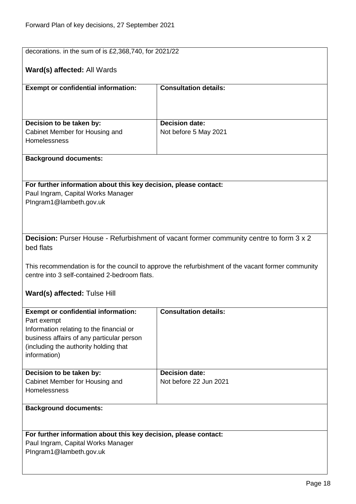<span id="page-17-0"></span>

|                                                                                                                                                                                     | decorations. in the sum of is £2,368,740, for 2021/22                                  |  |
|-------------------------------------------------------------------------------------------------------------------------------------------------------------------------------------|----------------------------------------------------------------------------------------|--|
| Ward(s) affected: All Wards                                                                                                                                                         |                                                                                        |  |
| <b>Exempt or confidential information:</b>                                                                                                                                          | <b>Consultation details:</b>                                                           |  |
|                                                                                                                                                                                     |                                                                                        |  |
| Decision to be taken by:                                                                                                                                                            | <b>Decision date:</b>                                                                  |  |
| Cabinet Member for Housing and                                                                                                                                                      | Not before 5 May 2021                                                                  |  |
| Homelessness                                                                                                                                                                        |                                                                                        |  |
| <b>Background documents:</b>                                                                                                                                                        |                                                                                        |  |
|                                                                                                                                                                                     |                                                                                        |  |
| For further information about this key decision, please contact:                                                                                                                    |                                                                                        |  |
| Paul Ingram, Capital Works Manager                                                                                                                                                  |                                                                                        |  |
| PIngram1@lambeth.gov.uk                                                                                                                                                             |                                                                                        |  |
|                                                                                                                                                                                     |                                                                                        |  |
|                                                                                                                                                                                     |                                                                                        |  |
|                                                                                                                                                                                     |                                                                                        |  |
|                                                                                                                                                                                     | Decision: Purser House - Refurbishment of vacant former community centre to form 3 x 2 |  |
|                                                                                                                                                                                     |                                                                                        |  |
| bed flats                                                                                                                                                                           |                                                                                        |  |
| This recommendation is for the council to approve the refurbishment of the vacant former community<br>centre into 3 self-contained 2-bedroom flats.<br>Ward(s) affected: Tulse Hill |                                                                                        |  |
|                                                                                                                                                                                     |                                                                                        |  |
| <b>Exempt or confidential information:</b>                                                                                                                                          | <b>Consultation details:</b>                                                           |  |
|                                                                                                                                                                                     |                                                                                        |  |
| Part exempt                                                                                                                                                                         |                                                                                        |  |
| Information relating to the financial or                                                                                                                                            |                                                                                        |  |
| business affairs of any particular person                                                                                                                                           |                                                                                        |  |
| (including the authority holding that                                                                                                                                               |                                                                                        |  |
| information)                                                                                                                                                                        |                                                                                        |  |
|                                                                                                                                                                                     |                                                                                        |  |
| Decision to be taken by:                                                                                                                                                            | <b>Decision date:</b>                                                                  |  |
| Cabinet Member for Housing and                                                                                                                                                      | Not before 22 Jun 2021                                                                 |  |
| Homelessness                                                                                                                                                                        |                                                                                        |  |
|                                                                                                                                                                                     |                                                                                        |  |
| <b>Background documents:</b>                                                                                                                                                        |                                                                                        |  |
|                                                                                                                                                                                     |                                                                                        |  |
| For further information about this key decision, please contact:                                                                                                                    |                                                                                        |  |
|                                                                                                                                                                                     |                                                                                        |  |
| Paul Ingram, Capital Works Manager                                                                                                                                                  |                                                                                        |  |
| PIngram1@lambeth.gov.uk                                                                                                                                                             |                                                                                        |  |
|                                                                                                                                                                                     |                                                                                        |  |
|                                                                                                                                                                                     |                                                                                        |  |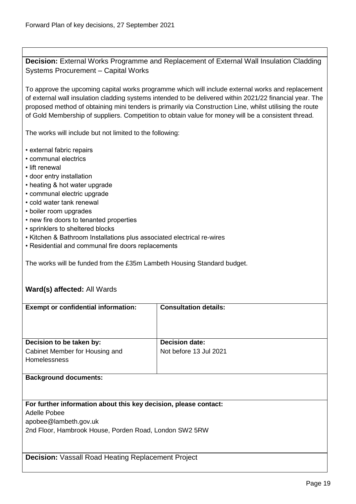<span id="page-18-0"></span>**Decision:** External Works Programme and Replacement of External Wall Insulation Cladding Systems Procurement – Capital Works

To approve the upcoming capital works programme which will include external works and replacement of external wall insulation cladding systems intended to be delivered within 2021/22 financial year. The proposed method of obtaining mini tenders is primarily via Construction Line, whilst utilising the route of Gold Membership of suppliers. Competition to obtain value for money will be a consistent thread.

The works will include but not limited to the following:

- external fabric repairs
- communal electrics
- lift renewal
- door entry installation
- heating & hot water upgrade
- communal electric upgrade
- cold water tank renewal
- boiler room upgrades
- new fire doors to tenanted properties
- sprinklers to sheltered blocks
- Kitchen & Bathroom Installations plus associated electrical re-wires
- Residential and communal fire doors replacements

The works will be funded from the £35m Lambeth Housing Standard budget.

# **Ward(s) affected:** All Wards

| <b>Exempt or confidential information:</b>                       | <b>Consultation details:</b> |
|------------------------------------------------------------------|------------------------------|
|                                                                  |                              |
|                                                                  |                              |
|                                                                  |                              |
| Decision to be taken by:                                         | <b>Decision date:</b>        |
|                                                                  |                              |
| Cabinet Member for Housing and                                   | Not before 13 Jul 2021       |
| <b>Homelessness</b>                                              |                              |
|                                                                  |                              |
| <b>Background documents:</b>                                     |                              |
|                                                                  |                              |
|                                                                  |                              |
| For further information about this key decision, please contact: |                              |
|                                                                  |                              |
| Adelle Pobee                                                     |                              |
| apobee@lambeth.gov.uk                                            |                              |
| 2nd Floor, Hambrook House, Porden Road, London SW2 5RW           |                              |
|                                                                  |                              |
|                                                                  |                              |

<span id="page-18-1"></span>**Decision:** Vassall Road Heating Replacement Project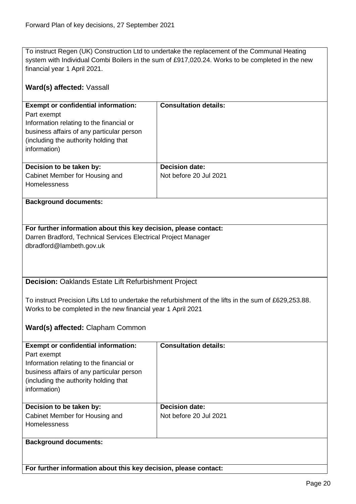To instruct Regen (UK) Construction Ltd to undertake the replacement of the Communal Heating system with Individual Combi Boilers in the sum of £917,020.24. Works to be completed in the new financial year 1 April 2021.

<span id="page-19-0"></span>

| Ward(s) affected: Vassall                                                                                                                                                                                   |                              |  |
|-------------------------------------------------------------------------------------------------------------------------------------------------------------------------------------------------------------|------------------------------|--|
| <b>Exempt or confidential information:</b><br>Part exempt<br>Information relating to the financial or<br>business affairs of any particular person<br>(including the authority holding that<br>information) | <b>Consultation details:</b> |  |
| Decision to be taken by:                                                                                                                                                                                    | <b>Decision date:</b>        |  |
| Cabinet Member for Housing and<br>Homelessness                                                                                                                                                              | Not before 20 Jul 2021       |  |
| <b>Background documents:</b>                                                                                                                                                                                |                              |  |
|                                                                                                                                                                                                             |                              |  |
| For further information about this key decision, please contact:                                                                                                                                            |                              |  |
| Darren Bradford, Technical Services Electrical Project Manager                                                                                                                                              |                              |  |
| dbradford@lambeth.gov.uk                                                                                                                                                                                    |                              |  |
|                                                                                                                                                                                                             |                              |  |
| Decision: Oaklands Estate Lift Refurbishment Project                                                                                                                                                        |                              |  |
| To instruct Precision Lifts Ltd to undertake the refurbishment of the lifts in the sum of £629,253.88.<br>Works to be completed in the new financial year 1 April 2021<br>Ward(s) affected: Clapham Common  |                              |  |
|                                                                                                                                                                                                             |                              |  |
| <b>Exempt or confidential information:</b>                                                                                                                                                                  | <b>Consultation details:</b> |  |
| Part exempt                                                                                                                                                                                                 |                              |  |
| Information relating to the financial or                                                                                                                                                                    |                              |  |
| business affairs of any particular person                                                                                                                                                                   |                              |  |
| (including the authority holding that                                                                                                                                                                       |                              |  |
| information)                                                                                                                                                                                                |                              |  |
| Decision to be taken by:                                                                                                                                                                                    | <b>Decision date:</b>        |  |
| Cabinet Member for Housing and                                                                                                                                                                              | Not before 20 Jul 2021       |  |
| Homelessness                                                                                                                                                                                                |                              |  |
| <b>Background documents:</b>                                                                                                                                                                                |                              |  |
|                                                                                                                                                                                                             |                              |  |
| For further information about this key decision, please contact:                                                                                                                                            |                              |  |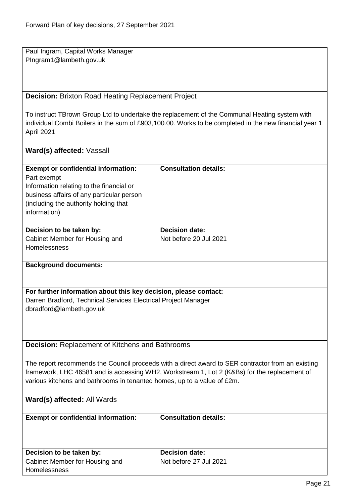Paul Ingram, Capital Works Manager PIngram1@lambeth.gov.uk

# <span id="page-20-0"></span>**Decision:** Brixton Road Heating Replacement Project

To instruct TBrown Group Ltd to undertake the replacement of the Communal Heating system with individual Combi Boilers in the sum of £903,100.00. Works to be completed in the new financial year 1 April 2021

## **Ward(s) affected:** Vassall

<span id="page-20-1"></span>

| <b>Exempt or confidential information:</b>                                                        | <b>Consultation details:</b>                                                                 |  |
|---------------------------------------------------------------------------------------------------|----------------------------------------------------------------------------------------------|--|
| Part exempt                                                                                       |                                                                                              |  |
| Information relating to the financial or                                                          |                                                                                              |  |
| business affairs of any particular person                                                         |                                                                                              |  |
| (including the authority holding that                                                             |                                                                                              |  |
| information)                                                                                      |                                                                                              |  |
|                                                                                                   |                                                                                              |  |
| Decision to be taken by:                                                                          | <b>Decision date:</b>                                                                        |  |
| Cabinet Member for Housing and                                                                    | Not before 20 Jul 2021                                                                       |  |
| Homelessness                                                                                      |                                                                                              |  |
|                                                                                                   |                                                                                              |  |
| <b>Background documents:</b>                                                                      |                                                                                              |  |
|                                                                                                   |                                                                                              |  |
|                                                                                                   |                                                                                              |  |
| For further information about this key decision, please contact:                                  |                                                                                              |  |
| Darren Bradford, Technical Services Electrical Project Manager                                    |                                                                                              |  |
| dbradford@lambeth.gov.uk                                                                          |                                                                                              |  |
|                                                                                                   |                                                                                              |  |
|                                                                                                   |                                                                                              |  |
|                                                                                                   |                                                                                              |  |
| <b>Decision: Replacement of Kitchens and Bathrooms</b>                                            |                                                                                              |  |
|                                                                                                   |                                                                                              |  |
| The report recommends the Council proceeds with a direct award to SER contractor from an existing |                                                                                              |  |
|                                                                                                   | framework, LHC 46581 and is accessing WH2, Workstream 1, Lot 2 (K&Bs) for the replacement of |  |
| various kitchens and bathrooms in tenanted homes, up to a value of £2m.                           |                                                                                              |  |
|                                                                                                   |                                                                                              |  |
| Ward(s) affected: All Wards                                                                       |                                                                                              |  |
|                                                                                                   |                                                                                              |  |
| <b>Exempt or confidential information:</b>                                                        | <b>Consultation details:</b>                                                                 |  |
|                                                                                                   |                                                                                              |  |
|                                                                                                   |                                                                                              |  |
|                                                                                                   |                                                                                              |  |
| Decision to be taken by:                                                                          | <b>Decision date:</b>                                                                        |  |
| Cabinet Member for Housing and                                                                    | Not before 27 Jul 2021                                                                       |  |
| Homelessness                                                                                      |                                                                                              |  |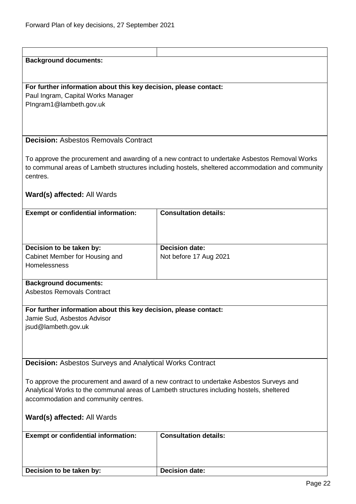<span id="page-21-1"></span><span id="page-21-0"></span>

| <b>Background documents:</b>                                                                                                                                                          |                                                                                                  |
|---------------------------------------------------------------------------------------------------------------------------------------------------------------------------------------|--------------------------------------------------------------------------------------------------|
|                                                                                                                                                                                       |                                                                                                  |
|                                                                                                                                                                                       |                                                                                                  |
|                                                                                                                                                                                       |                                                                                                  |
| For further information about this key decision, please contact:                                                                                                                      |                                                                                                  |
| Paul Ingram, Capital Works Manager                                                                                                                                                    |                                                                                                  |
| PIngram1@lambeth.gov.uk                                                                                                                                                               |                                                                                                  |
|                                                                                                                                                                                       |                                                                                                  |
|                                                                                                                                                                                       |                                                                                                  |
|                                                                                                                                                                                       |                                                                                                  |
|                                                                                                                                                                                       |                                                                                                  |
| <b>Decision: Asbestos Removals Contract</b>                                                                                                                                           |                                                                                                  |
|                                                                                                                                                                                       |                                                                                                  |
|                                                                                                                                                                                       | To approve the procurement and awarding of a new contract to undertake Asbestos Removal Works    |
|                                                                                                                                                                                       | to communal areas of Lambeth structures including hostels, sheltered accommodation and community |
|                                                                                                                                                                                       |                                                                                                  |
| centres.                                                                                                                                                                              |                                                                                                  |
|                                                                                                                                                                                       |                                                                                                  |
| Ward(s) affected: All Wards                                                                                                                                                           |                                                                                                  |
|                                                                                                                                                                                       |                                                                                                  |
| <b>Exempt or confidential information:</b>                                                                                                                                            | <b>Consultation details:</b>                                                                     |
|                                                                                                                                                                                       |                                                                                                  |
|                                                                                                                                                                                       |                                                                                                  |
|                                                                                                                                                                                       |                                                                                                  |
|                                                                                                                                                                                       |                                                                                                  |
| Decision to be taken by:                                                                                                                                                              | <b>Decision date:</b>                                                                            |
| Cabinet Member for Housing and                                                                                                                                                        | Not before 17 Aug 2021                                                                           |
| Homelessness                                                                                                                                                                          |                                                                                                  |
|                                                                                                                                                                                       |                                                                                                  |
| <b>Background documents:</b>                                                                                                                                                          |                                                                                                  |
|                                                                                                                                                                                       |                                                                                                  |
| Asbestos Removals Contract                                                                                                                                                            |                                                                                                  |
|                                                                                                                                                                                       |                                                                                                  |
| For further information about this key decision, please contact:                                                                                                                      |                                                                                                  |
| Jamie Sud, Asbestos Advisor                                                                                                                                                           |                                                                                                  |
| jsud@lambeth.gov.uk                                                                                                                                                                   |                                                                                                  |
|                                                                                                                                                                                       |                                                                                                  |
|                                                                                                                                                                                       |                                                                                                  |
|                                                                                                                                                                                       |                                                                                                  |
|                                                                                                                                                                                       |                                                                                                  |
| <b>Decision:</b> Asbestos Surveys and Analytical Works Contract                                                                                                                       |                                                                                                  |
|                                                                                                                                                                                       |                                                                                                  |
|                                                                                                                                                                                       |                                                                                                  |
| To approve the procurement and award of a new contract to undertake Asbestos Surveys and<br>Analytical Works to the communal areas of Lambeth structures including hostels, sheltered |                                                                                                  |
|                                                                                                                                                                                       |                                                                                                  |
| accommodation and community centres.                                                                                                                                                  |                                                                                                  |
|                                                                                                                                                                                       |                                                                                                  |
| Ward(s) affected: All Wards                                                                                                                                                           |                                                                                                  |
|                                                                                                                                                                                       |                                                                                                  |
| <b>Exempt or confidential information:</b>                                                                                                                                            | <b>Consultation details:</b>                                                                     |
|                                                                                                                                                                                       |                                                                                                  |
|                                                                                                                                                                                       |                                                                                                  |
|                                                                                                                                                                                       |                                                                                                  |
|                                                                                                                                                                                       |                                                                                                  |
| Decision to be taken by:                                                                                                                                                              | <b>Decision date:</b>                                                                            |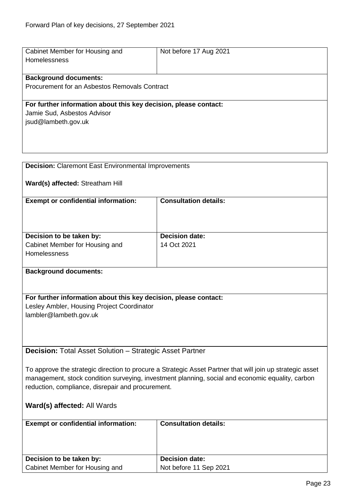<span id="page-22-1"></span><span id="page-22-0"></span>

| Cabinet Member for Housing and                                                                            | Not before 17 Aug 2021       |  |
|-----------------------------------------------------------------------------------------------------------|------------------------------|--|
| <b>Homelessness</b>                                                                                       |                              |  |
| <b>Background documents:</b>                                                                              |                              |  |
| Procurement for an Asbestos Removals Contract                                                             |                              |  |
|                                                                                                           |                              |  |
| For further information about this key decision, please contact:                                          |                              |  |
| Jamie Sud, Asbestos Advisor                                                                               |                              |  |
| jsud@lambeth.gov.uk                                                                                       |                              |  |
|                                                                                                           |                              |  |
|                                                                                                           |                              |  |
|                                                                                                           |                              |  |
| <b>Decision:</b> Claremont East Environmental Improvements                                                |                              |  |
| Ward(s) affected: Streatham Hill                                                                          |                              |  |
|                                                                                                           |                              |  |
| <b>Exempt or confidential information:</b>                                                                | <b>Consultation details:</b> |  |
|                                                                                                           |                              |  |
|                                                                                                           |                              |  |
| Decision to be taken by:                                                                                  | <b>Decision date:</b>        |  |
| Cabinet Member for Housing and                                                                            | 14 Oct 2021                  |  |
| Homelessness                                                                                              |                              |  |
|                                                                                                           |                              |  |
| <b>Background documents:</b>                                                                              |                              |  |
|                                                                                                           |                              |  |
| For further information about this key decision, please contact:                                          |                              |  |
| Lesley Ambler, Housing Project Coordinator                                                                |                              |  |
| lambler@lambeth.gov.uk                                                                                    |                              |  |
|                                                                                                           |                              |  |
|                                                                                                           |                              |  |
|                                                                                                           |                              |  |
| <b>Decision:</b> Total Asset Solution – Strategic Asset Partner                                           |                              |  |
| To approve the strategic direction to procure a Strategic Asset Partner that will join up strategic asset |                              |  |
| management, stock condition surveying, investment planning, social and economic equality, carbon          |                              |  |
| reduction, compliance, disrepair and procurement.                                                         |                              |  |
|                                                                                                           |                              |  |
| Ward(s) affected: All Wards                                                                               |                              |  |
|                                                                                                           | <b>Consultation details:</b> |  |
| <b>Exempt or confidential information:</b>                                                                |                              |  |
|                                                                                                           |                              |  |
|                                                                                                           |                              |  |
| Decision to be taken by:                                                                                  | <b>Decision date:</b>        |  |
| Cabinet Member for Housing and                                                                            | Not before 11 Sep 2021       |  |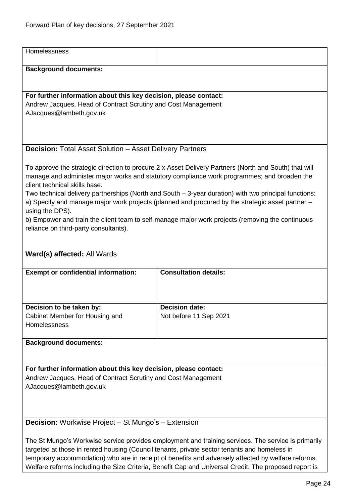<span id="page-23-0"></span>

| Homelessness                                                                                                                                                                                                                                                                                                                                                                                                                                                                                                                                                                                                       |                                                 |  |
|--------------------------------------------------------------------------------------------------------------------------------------------------------------------------------------------------------------------------------------------------------------------------------------------------------------------------------------------------------------------------------------------------------------------------------------------------------------------------------------------------------------------------------------------------------------------------------------------------------------------|-------------------------------------------------|--|
| <b>Background documents:</b>                                                                                                                                                                                                                                                                                                                                                                                                                                                                                                                                                                                       |                                                 |  |
|                                                                                                                                                                                                                                                                                                                                                                                                                                                                                                                                                                                                                    |                                                 |  |
| For further information about this key decision, please contact:                                                                                                                                                                                                                                                                                                                                                                                                                                                                                                                                                   |                                                 |  |
| Andrew Jacques, Head of Contract Scrutiny and Cost Management<br>AJacques@lambeth.gov.uk                                                                                                                                                                                                                                                                                                                                                                                                                                                                                                                           |                                                 |  |
|                                                                                                                                                                                                                                                                                                                                                                                                                                                                                                                                                                                                                    |                                                 |  |
|                                                                                                                                                                                                                                                                                                                                                                                                                                                                                                                                                                                                                    |                                                 |  |
| <b>Decision:</b> Total Asset Solution – Asset Delivery Partners                                                                                                                                                                                                                                                                                                                                                                                                                                                                                                                                                    |                                                 |  |
| To approve the strategic direction to procure 2 x Asset Delivery Partners (North and South) that will<br>manage and administer major works and statutory compliance work programmes; and broaden the<br>client technical skills base.<br>Two technical delivery partnerships (North and South – 3-year duration) with two principal functions:<br>a) Specify and manage major work projects (planned and procured by the strategic asset partner –<br>using the DPS).<br>b) Empower and train the client team to self-manage major work projects (removing the continuous<br>reliance on third-party consultants). |                                                 |  |
| Ward(s) affected: All Wards<br><b>Exempt or confidential information:</b>                                                                                                                                                                                                                                                                                                                                                                                                                                                                                                                                          | <b>Consultation details:</b>                    |  |
|                                                                                                                                                                                                                                                                                                                                                                                                                                                                                                                                                                                                                    |                                                 |  |
| Decision to be taken by:<br>Cabinet Member for Housing and                                                                                                                                                                                                                                                                                                                                                                                                                                                                                                                                                         | <b>Decision date:</b><br>Not before 11 Sep 2021 |  |
| Homelessness                                                                                                                                                                                                                                                                                                                                                                                                                                                                                                                                                                                                       |                                                 |  |
| <b>Background documents:</b>                                                                                                                                                                                                                                                                                                                                                                                                                                                                                                                                                                                       |                                                 |  |
| For further information about this key decision, please contact:                                                                                                                                                                                                                                                                                                                                                                                                                                                                                                                                                   |                                                 |  |
| Andrew Jacques, Head of Contract Scrutiny and Cost Management<br>AJacques@lambeth.gov.uk                                                                                                                                                                                                                                                                                                                                                                                                                                                                                                                           |                                                 |  |
| <b>Decision:</b> Workwise Project - St Mungo's - Extension                                                                                                                                                                                                                                                                                                                                                                                                                                                                                                                                                         |                                                 |  |
| The St Mungo's Workwise service provides employment and training services. The service is primarily<br>targeted at those in rented housing (Council tenants, private sector tenants and homeless in                                                                                                                                                                                                                                                                                                                                                                                                                |                                                 |  |

<span id="page-23-1"></span>temporary accommodation) who are in receipt of benefits and adversely affected by welfare reforms. Welfare reforms including the Size Criteria, Benefit Cap and Universal Credit. The proposed report is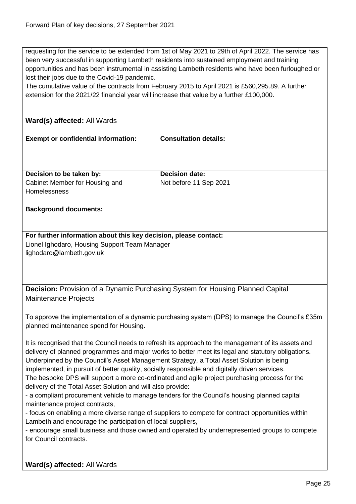requesting for the service to be extended from 1st of May 2021 to 29th of April 2022. The service has been very successful in supporting Lambeth residents into sustained employment and training opportunities and has been instrumental in assisting Lambeth residents who have been furloughed or lost their jobs due to the Covid-19 pandemic.

The cumulative value of the contracts from February 2015 to April 2021 is £560,295.89. A further extension for the 2021/22 financial year will increase that value by a further £100,000.

# **Ward(s) affected:** All Wards

| <b>Exempt or confidential information:</b>            | <b>Consultation details:</b> |
|-------------------------------------------------------|------------------------------|
| Decision to be taken by:                              | <b>Decision date:</b>        |
| Cabinet Member for Housing and<br><b>Homelessness</b> | Not before 11 Sep 2021       |

#### **Background documents:**

**For further information about this key decision, please contact:** Lionel Ighodaro, Housing Support Team Manager lighodaro@lambeth.gov.uk

<span id="page-24-0"></span>**Decision:** Provision of a Dynamic Purchasing System for Housing Planned Capital Maintenance Projects

To approve the implementation of a dynamic purchasing system (DPS) to manage the Council's £35m planned maintenance spend for Housing.

It is recognised that the Council needs to refresh its approach to the management of its assets and delivery of planned programmes and major works to better meet its legal and statutory obligations. Underpinned by the Council's Asset Management Strategy, a Total Asset Solution is being implemented, in pursuit of better quality, socially responsible and digitally driven services. The bespoke DPS will support a more co-ordinated and agile project purchasing process for the delivery of the Total Asset Solution and will also provide:

- a compliant procurement vehicle to manage tenders for the Council's housing planned capital maintenance project contracts,

- focus on enabling a more diverse range of suppliers to compete for contract opportunities within Lambeth and encourage the participation of local suppliers,

- encourage small business and those owned and operated by underrepresented groups to compete for Council contracts.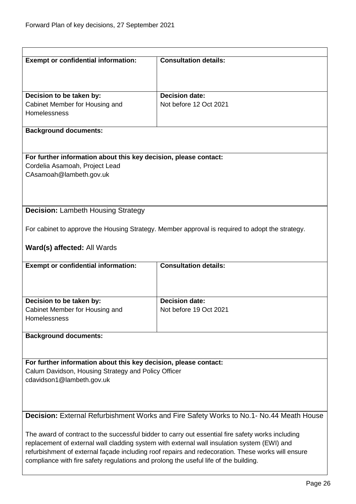<span id="page-25-1"></span><span id="page-25-0"></span>

| <b>Exempt or confidential information:</b>                                           | <b>Consultation details:</b>                                                                      |  |
|--------------------------------------------------------------------------------------|---------------------------------------------------------------------------------------------------|--|
|                                                                                      |                                                                                                   |  |
|                                                                                      |                                                                                                   |  |
| Decision to be taken by:                                                             | <b>Decision date:</b>                                                                             |  |
| Cabinet Member for Housing and                                                       | Not before 12 Oct 2021                                                                            |  |
| Homelessness                                                                         |                                                                                                   |  |
| <b>Background documents:</b>                                                         |                                                                                                   |  |
|                                                                                      |                                                                                                   |  |
| For further information about this key decision, please contact:                     |                                                                                                   |  |
| Cordelia Asamoah, Project Lead                                                       |                                                                                                   |  |
| CAsamoah@lambeth.gov.uk                                                              |                                                                                                   |  |
|                                                                                      |                                                                                                   |  |
|                                                                                      |                                                                                                   |  |
| <b>Decision: Lambeth Housing Strategy</b>                                            |                                                                                                   |  |
|                                                                                      |                                                                                                   |  |
|                                                                                      | For cabinet to approve the Housing Strategy. Member approval is required to adopt the strategy.   |  |
|                                                                                      |                                                                                                   |  |
| Ward(s) affected: All Wards                                                          |                                                                                                   |  |
|                                                                                      |                                                                                                   |  |
| <b>Exempt or confidential information:</b>                                           | <b>Consultation details:</b>                                                                      |  |
|                                                                                      |                                                                                                   |  |
|                                                                                      |                                                                                                   |  |
| Decision to be taken by:                                                             | <b>Decision date:</b>                                                                             |  |
| Cabinet Member for Housing and                                                       | Not before 19 Oct 2021                                                                            |  |
| <b>Homelessness</b>                                                                  |                                                                                                   |  |
|                                                                                      |                                                                                                   |  |
| <b>Background documents:</b>                                                         |                                                                                                   |  |
|                                                                                      |                                                                                                   |  |
| For further information about this key decision, please contact:                     |                                                                                                   |  |
| Calum Davidson, Housing Strategy and Policy Officer                                  |                                                                                                   |  |
| cdavidson1@lambeth.gov.uk                                                            |                                                                                                   |  |
|                                                                                      |                                                                                                   |  |
|                                                                                      |                                                                                                   |  |
|                                                                                      | Decision: External Refurbishment Works and Fire Safety Works to No.1- No.44 Meath House           |  |
|                                                                                      |                                                                                                   |  |
|                                                                                      | The award of contract to the successful bidder to carry out essential fire safety works including |  |
|                                                                                      | replacement of external wall cladding system with external wall insulation system (EWI) and       |  |
|                                                                                      | refurbishment of external façade including roof repairs and redecoration. These works will ensure |  |
| compliance with fire safety regulations and prolong the useful life of the building. |                                                                                                   |  |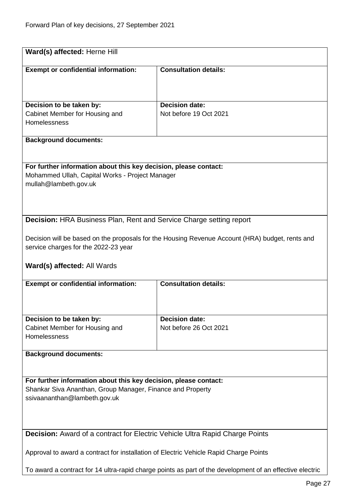<span id="page-26-1"></span><span id="page-26-0"></span>

|                                                                                       | Ward(s) affected: Herne Hill                                                                    |  |
|---------------------------------------------------------------------------------------|-------------------------------------------------------------------------------------------------|--|
|                                                                                       |                                                                                                 |  |
| <b>Exempt or confidential information:</b>                                            | <b>Consultation details:</b>                                                                    |  |
|                                                                                       |                                                                                                 |  |
|                                                                                       |                                                                                                 |  |
| Decision to be taken by:                                                              | <b>Decision date:</b>                                                                           |  |
| Cabinet Member for Housing and                                                        | Not before 19 Oct 2021                                                                          |  |
| Homelessness                                                                          |                                                                                                 |  |
|                                                                                       |                                                                                                 |  |
| <b>Background documents:</b>                                                          |                                                                                                 |  |
|                                                                                       |                                                                                                 |  |
| For further information about this key decision, please contact:                      |                                                                                                 |  |
| Mohammed Ullah, Capital Works - Project Manager                                       |                                                                                                 |  |
| mullah@lambeth.gov.uk                                                                 |                                                                                                 |  |
|                                                                                       |                                                                                                 |  |
|                                                                                       |                                                                                                 |  |
| <b>Decision:</b> HRA Business Plan, Rent and Service Charge setting report            |                                                                                                 |  |
|                                                                                       |                                                                                                 |  |
|                                                                                       | Decision will be based on the proposals for the Housing Revenue Account (HRA) budget, rents and |  |
| service charges for the 2022-23 year                                                  |                                                                                                 |  |
|                                                                                       |                                                                                                 |  |
| Ward(s) affected: All Wards                                                           |                                                                                                 |  |
| <b>Exempt or confidential information:</b>                                            | <b>Consultation details:</b>                                                                    |  |
|                                                                                       |                                                                                                 |  |
|                                                                                       |                                                                                                 |  |
|                                                                                       |                                                                                                 |  |
|                                                                                       |                                                                                                 |  |
| Decision to be taken by:                                                              | <b>Decision date:</b>                                                                           |  |
| Cabinet Member for Housing and                                                        | Not before 26 Oct 2021                                                                          |  |
| Homelessness                                                                          |                                                                                                 |  |
| <b>Background documents:</b>                                                          |                                                                                                 |  |
|                                                                                       |                                                                                                 |  |
|                                                                                       |                                                                                                 |  |
| For further information about this key decision, please contact:                      |                                                                                                 |  |
| Shankar Siva Ananthan, Group Manager, Finance and Property                            |                                                                                                 |  |
| ssivaananthan@lambeth.gov.uk                                                          |                                                                                                 |  |
|                                                                                       |                                                                                                 |  |
|                                                                                       |                                                                                                 |  |
| <b>Decision:</b> Award of a contract for Electric Vehicle Ultra Rapid Charge Points   |                                                                                                 |  |
|                                                                                       |                                                                                                 |  |
| Approval to award a contract for installation of Electric Vehicle Rapid Charge Points |                                                                                                 |  |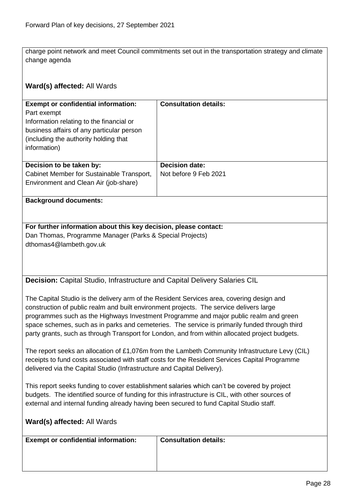charge point network and meet Council commitments set out in the transportation strategy and climate change agenda

<span id="page-27-0"></span>

| Ward(s) affected: All Wards                                                                                                                                                                                                                                                                                                                                                                                                                                                      |                                                |  |
|----------------------------------------------------------------------------------------------------------------------------------------------------------------------------------------------------------------------------------------------------------------------------------------------------------------------------------------------------------------------------------------------------------------------------------------------------------------------------------|------------------------------------------------|--|
| <b>Exempt or confidential information:</b><br>Part exempt<br>Information relating to the financial or<br>business affairs of any particular person<br>(including the authority holding that<br>information)                                                                                                                                                                                                                                                                      | <b>Consultation details:</b>                   |  |
| Decision to be taken by:<br>Cabinet Member for Sustainable Transport,<br>Environment and Clean Air (job-share)                                                                                                                                                                                                                                                                                                                                                                   | <b>Decision date:</b><br>Not before 9 Feb 2021 |  |
| <b>Background documents:</b>                                                                                                                                                                                                                                                                                                                                                                                                                                                     |                                                |  |
| For further information about this key decision, please contact:<br>Dan Thomas, Programme Manager (Parks & Special Projects)<br>dthomas4@lambeth.gov.uk                                                                                                                                                                                                                                                                                                                          |                                                |  |
| Decision: Capital Studio, Infrastructure and Capital Delivery Salaries CIL                                                                                                                                                                                                                                                                                                                                                                                                       |                                                |  |
| The Capital Studio is the delivery arm of the Resident Services area, covering design and<br>construction of public realm and built environment projects. The service delivers large<br>programmes such as the Highways Investment Programme and major public realm and green<br>space schemes, such as in parks and cemeteries. The service is primarily funded through third<br>party grants, such as through Transport for London, and from within allocated project budgets. |                                                |  |
| The report seeks an allocation of £1,076m from the Lambeth Community Infrastructure Levy (CIL)<br>receipts to fund costs associated with staff costs for the Resident Services Capital Programme<br>delivered via the Capital Studio (Infrastructure and Capital Delivery).                                                                                                                                                                                                      |                                                |  |
| This report seeks funding to cover establishment salaries which can't be covered by project<br>budgets. The identified source of funding for this infrastructure is CIL, with other sources of<br>external and internal funding already having been secured to fund Capital Studio staff.                                                                                                                                                                                        |                                                |  |
| Ward(s) affected: All Wards                                                                                                                                                                                                                                                                                                                                                                                                                                                      |                                                |  |
| <b>Exempt or confidential information:</b>                                                                                                                                                                                                                                                                                                                                                                                                                                       | <b>Consultation details:</b>                   |  |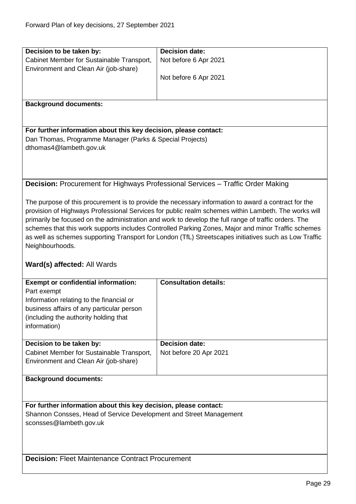<span id="page-28-1"></span><span id="page-28-0"></span>

| Decision to be taken by:                                                           | <b>Decision date:</b>                                                                                 |  |
|------------------------------------------------------------------------------------|-------------------------------------------------------------------------------------------------------|--|
| Cabinet Member for Sustainable Transport,<br>Environment and Clean Air (job-share) | Not before 6 Apr 2021                                                                                 |  |
|                                                                                    | Not before 6 Apr 2021                                                                                 |  |
|                                                                                    |                                                                                                       |  |
| <b>Background documents:</b>                                                       |                                                                                                       |  |
|                                                                                    |                                                                                                       |  |
| For further information about this key decision, please contact:                   |                                                                                                       |  |
| Dan Thomas, Programme Manager (Parks & Special Projects)                           |                                                                                                       |  |
| dthomas4@lambeth.gov.uk                                                            |                                                                                                       |  |
|                                                                                    |                                                                                                       |  |
|                                                                                    |                                                                                                       |  |
|                                                                                    |                                                                                                       |  |
|                                                                                    | <b>Decision:</b> Procurement for Highways Professional Services - Traffic Order Making                |  |
|                                                                                    |                                                                                                       |  |
|                                                                                    | The purpose of this procurement is to provide the necessary information to award a contract for the   |  |
|                                                                                    | provision of Highways Professional Services for public realm schemes within Lambeth. The works will   |  |
|                                                                                    | primarily be focused on the administration and work to develop the full range of traffic orders. The  |  |
|                                                                                    | schemes that this work supports includes Controlled Parking Zones, Major and minor Traffic schemes    |  |
| Neighbourhoods.                                                                    | as well as schemes supporting Transport for London (TfL) Streetscapes initiatives such as Low Traffic |  |
|                                                                                    |                                                                                                       |  |
| Ward(s) affected: All Wards                                                        |                                                                                                       |  |
| <b>Exempt or confidential information:</b>                                         | <b>Consultation details:</b>                                                                          |  |
| Part exempt                                                                        |                                                                                                       |  |
| Information relating to the financial or                                           |                                                                                                       |  |
| business affairs of any particular person                                          |                                                                                                       |  |
| (including the authority holding that                                              |                                                                                                       |  |
| information)                                                                       |                                                                                                       |  |
|                                                                                    |                                                                                                       |  |
|                                                                                    |                                                                                                       |  |
| Decision to be taken by:                                                           | Decision date:                                                                                        |  |
| Cabinet Member for Sustainable Transport,                                          | Not before 20 Apr 2021                                                                                |  |
| Environment and Clean Air (job-share)                                              |                                                                                                       |  |
|                                                                                    |                                                                                                       |  |
| <b>Background documents:</b>                                                       |                                                                                                       |  |
|                                                                                    |                                                                                                       |  |
| For further information about this key decision, please contact:                   |                                                                                                       |  |
| Shannon Consses, Head of Service Development and Street Management                 |                                                                                                       |  |
| sconsses@lambeth.gov.uk                                                            |                                                                                                       |  |
|                                                                                    |                                                                                                       |  |
|                                                                                    |                                                                                                       |  |
| <b>Decision: Fleet Maintenance Contract Procurement</b>                            |                                                                                                       |  |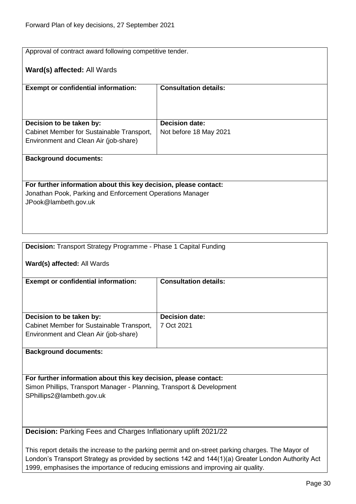| Approval of contract award following competitive tender.         |                              |
|------------------------------------------------------------------|------------------------------|
| Ward(s) affected: All Wards                                      |                              |
| <b>Exempt or confidential information:</b>                       | <b>Consultation details:</b> |
|                                                                  |                              |
| Decision to be taken by:                                         | <b>Decision date:</b>        |
| Cabinet Member for Sustainable Transport,                        | Not before 18 May 2021       |
| Environment and Clean Air (job-share)                            |                              |
| <b>Background documents:</b>                                     |                              |
|                                                                  |                              |
| For further information about this key decision, please contact: |                              |
| Jonathan Pook, Parking and Enforcement Operations Manager        |                              |
| JPook@lambeth.gov.uk                                             |                              |
|                                                                  |                              |
|                                                                  |                              |
|                                                                  |                              |
| Decision: Transport Strategy Programme - Phase 1 Capital Funding |                              |
| Ward(s) affected: All Wards                                      |                              |
| <b>Exempt or confidential information:</b>                       | <b>Consultation details:</b> |
|                                                                  |                              |
|                                                                  |                              |

<span id="page-29-0"></span>

| Decision to be taken by:                                                           | <b>Decision date:</b> |
|------------------------------------------------------------------------------------|-----------------------|
| Cabinet Member for Sustainable Transport,<br>Environment and Clean Air (job-share) | 7 Oct 2021            |

### **Background documents:**

**For further information about this key decision, please contact:** Simon Phillips, Transport Manager - Planning, Transport & Development SPhillips2@lambeth.gov.uk

<span id="page-29-1"></span>**Decision:** Parking Fees and Charges Inflationary uplift 2021/22

This report details the increase to the parking permit and on-street parking charges. The Mayor of London's Transport Strategy as provided by sections 142 and 144(1)(a) Greater London Authority Act 1999, emphasises the importance of reducing emissions and improving air quality.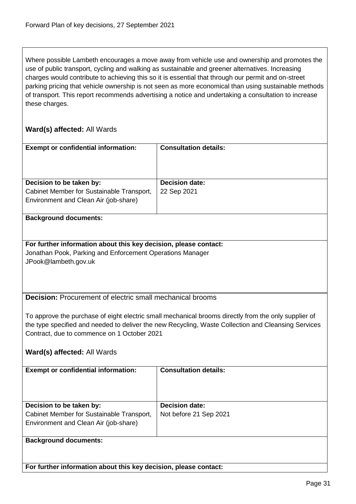Where possible Lambeth encourages a move away from vehicle use and ownership and promotes the use of public transport, cycling and walking as sustainable and greener alternatives. Increasing charges would contribute to achieving this so it is essential that through our permit and on-street parking pricing that vehicle ownership is not seen as more economical than using sustainable methods of transport. This report recommends advertising a notice and undertaking a consultation to increase these charges.

<span id="page-30-0"></span>

| <b>Exempt or confidential information:</b>                                                           | <b>Consultation details:</b> |  |
|------------------------------------------------------------------------------------------------------|------------------------------|--|
|                                                                                                      |                              |  |
|                                                                                                      |                              |  |
|                                                                                                      |                              |  |
| Decision to be taken by:                                                                             | <b>Decision date:</b>        |  |
| Cabinet Member for Sustainable Transport,                                                            | 22 Sep 2021                  |  |
| Environment and Clean Air (job-share)                                                                |                              |  |
| <b>Background documents:</b>                                                                         |                              |  |
|                                                                                                      |                              |  |
|                                                                                                      |                              |  |
| For further information about this key decision, please contact:                                     |                              |  |
| Jonathan Pook, Parking and Enforcement Operations Manager                                            |                              |  |
| JPook@lambeth.gov.uk                                                                                 |                              |  |
|                                                                                                      |                              |  |
|                                                                                                      |                              |  |
| <b>Decision:</b> Procurement of electric small mechanical brooms                                     |                              |  |
|                                                                                                      |                              |  |
|                                                                                                      |                              |  |
| To approve the purchase of eight electric small mechanical brooms directly from the only supplier of |                              |  |
| the type specified and needed to deliver the new Recycling, Waste Collection and Cleansing Services  |                              |  |
| Contract, due to commence on 1 October 2021                                                          |                              |  |
|                                                                                                      |                              |  |
| Ward(s) affected: All Wards                                                                          |                              |  |
| <b>Exempt or confidential information:</b>                                                           | <b>Consultation details:</b> |  |
|                                                                                                      |                              |  |
|                                                                                                      |                              |  |
|                                                                                                      |                              |  |
| Decision to be taken by:                                                                             | <b>Decision date:</b>        |  |
| Cabinet Member for Sustainable Transport,                                                            | Not before 21 Sep 2021       |  |
| Environment and Clean Air (job-share)                                                                |                              |  |
|                                                                                                      |                              |  |
| <b>Background documents:</b>                                                                         |                              |  |
|                                                                                                      |                              |  |
|                                                                                                      |                              |  |
| For further information about this key decision, please contact:                                     |                              |  |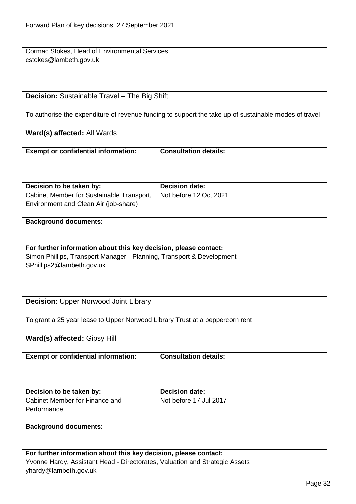Cormac Stokes, Head of Environmental Services cstokes@lambeth.gov.uk

## <span id="page-31-0"></span>**Decision:** Sustainable Travel – The Big Shift

To authorise the expenditure of revenue funding to support the take up of sustainable modes of travel

## **Ward(s) affected:** All Wards

| <b>Exempt or confidential information:</b>                                         | <b>Consultation details:</b> |
|------------------------------------------------------------------------------------|------------------------------|
| Decision to be taken by:                                                           | <b>Decision date:</b>        |
| Cabinet Member for Sustainable Transport,<br>Environment and Clean Air (job-share) | Not before 12 Oct 2021       |
|                                                                                    |                              |

#### **Background documents:**

**For further information about this key decision, please contact:** Simon Phillips, Transport Manager - Planning, Transport & Development SPhillips2@lambeth.gov.uk

## <span id="page-31-1"></span>**Decision:** Upper Norwood Joint Library

To grant a 25 year lease to Upper Norwood Library Trust at a peppercorn rent

# **Ward(s) affected:** Gipsy Hill

| <b>Exempt or confidential information:</b>    | <b>Consultation details:</b> |
|-----------------------------------------------|------------------------------|
| Decision to be taken by:                      | <b>Decision date:</b>        |
| Cabinet Member for Finance and<br>Performance | Not before 17 Jul 2017       |
| <b>Background documents:</b>                  |                              |

**For further information about this key decision, please contact:** Yvonne Hardy, Assistant Head - Directorates, Valuation and Strategic Assets yhardy@lambeth.gov.uk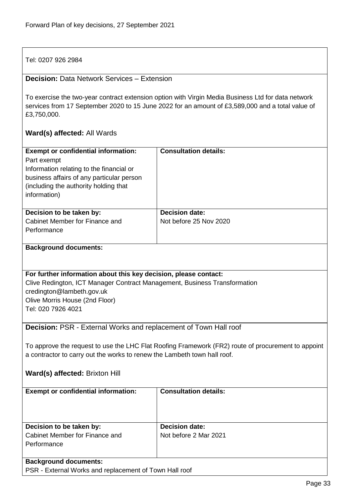Tel: 0207 926 2984

## <span id="page-32-0"></span>**Decision:** Data Network Services – Extension

To exercise the two-year contract extension option with Virgin Media Business Ltd for data network services from 17 September 2020 to 15 June 2022 for an amount of £3,589,000 and a total value of £3,750,000.

<span id="page-32-1"></span>

| <b>Exempt or confidential information:</b>                                | <b>Consultation details:</b>                                                                       |  |
|---------------------------------------------------------------------------|----------------------------------------------------------------------------------------------------|--|
| Part exempt                                                               |                                                                                                    |  |
| Information relating to the financial or                                  |                                                                                                    |  |
| business affairs of any particular person                                 |                                                                                                    |  |
| (including the authority holding that                                     |                                                                                                    |  |
| information)                                                              |                                                                                                    |  |
|                                                                           |                                                                                                    |  |
| Decision to be taken by:                                                  | <b>Decision date:</b>                                                                              |  |
| Cabinet Member for Finance and                                            | Not before 25 Nov 2020                                                                             |  |
| Performance                                                               |                                                                                                    |  |
|                                                                           |                                                                                                    |  |
| <b>Background documents:</b>                                              |                                                                                                    |  |
|                                                                           |                                                                                                    |  |
|                                                                           |                                                                                                    |  |
| For further information about this key decision, please contact:          |                                                                                                    |  |
| Clive Redington, ICT Manager Contract Management, Business Transformation |                                                                                                    |  |
| credington@lambeth.gov.uk                                                 |                                                                                                    |  |
| Olive Morris House (2nd Floor)                                            |                                                                                                    |  |
| Tel: 020 7926 4021                                                        |                                                                                                    |  |
|                                                                           |                                                                                                    |  |
| Decision: PSR - External Works and replacement of Town Hall roof          |                                                                                                    |  |
|                                                                           |                                                                                                    |  |
|                                                                           | To approve the request to use the LHC Flat Roofing Framework (FR2) route of procurement to appoint |  |
| a contractor to carry out the works to renew the Lambeth town hall roof.  |                                                                                                    |  |
|                                                                           |                                                                                                    |  |
| <b>Ward(s) affected: Brixton Hill</b>                                     |                                                                                                    |  |
|                                                                           |                                                                                                    |  |
| <b>Exempt or confidential information:</b>                                | <b>Consultation details:</b>                                                                       |  |
|                                                                           |                                                                                                    |  |
|                                                                           |                                                                                                    |  |
|                                                                           |                                                                                                    |  |
| Decision to be taken by:                                                  | <b>Decision date:</b>                                                                              |  |
| Cabinet Member for Finance and                                            | Not before 2 Mar 2021                                                                              |  |
| Performance                                                               |                                                                                                    |  |
|                                                                           |                                                                                                    |  |
| <b>Background documents:</b>                                              |                                                                                                    |  |
| PSR - External Works and replacement of Town Hall roof                    |                                                                                                    |  |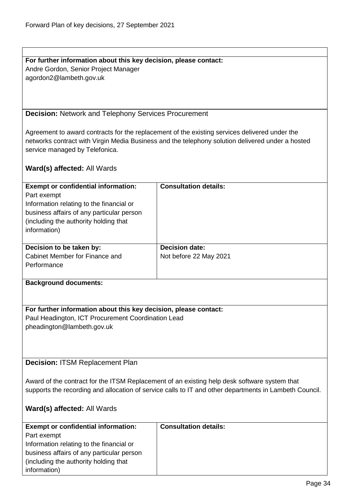## **For further information about this key decision, please contact:** Andre Gordon, Senior Project Manager agordon2@lambeth.gov.uk

<span id="page-33-0"></span>**Decision:** Network and Telephony Services Procurement

Agreement to award contracts for the replacement of the existing services delivered under the networks contract with Virgin Media Business and the telephony solution delivered under a hosted service managed by Telefonica.

#### **Ward(s) affected:** All Wards

| <b>Exempt or confidential information:</b><br>Part exempt<br>Information relating to the financial or<br>business affairs of any particular person<br>(including the authority holding that)<br>information) | <b>Consultation details:</b>                    |
|--------------------------------------------------------------------------------------------------------------------------------------------------------------------------------------------------------------|-------------------------------------------------|
| Decision to be taken by:<br>Cabinet Member for Finance and<br>Performance                                                                                                                                    | <b>Decision date:</b><br>Not before 22 May 2021 |

#### **Background documents:**

## **For further information about this key decision, please contact:**

Paul Headington, ICT Procurement Coordination Lead pheadington@lambeth.gov.uk

<span id="page-33-1"></span>**Decision:** ITSM Replacement Plan

Award of the contract for the ITSM Replacement of an existing help desk software system that supports the recording and allocation of service calls to IT and other departments in Lambeth Council.

| <b>Exempt or confidential information:</b> | <b>Consultation details:</b> |
|--------------------------------------------|------------------------------|
| Part exempt                                |                              |
| Information relating to the financial or   |                              |
| business affairs of any particular person  |                              |
| (including the authority holding that)     |                              |
| information)                               |                              |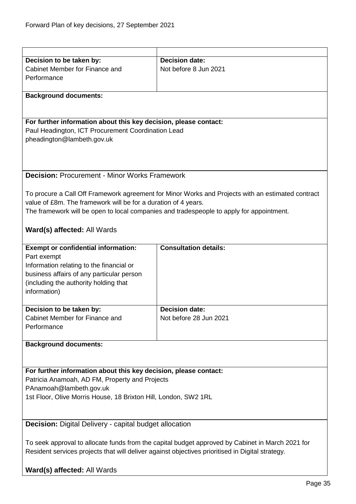<span id="page-34-1"></span><span id="page-34-0"></span>

| Decision to be taken by:                                                                         | <b>Decision date:</b>                                                                             |  |
|--------------------------------------------------------------------------------------------------|---------------------------------------------------------------------------------------------------|--|
| Cabinet Member for Finance and                                                                   | Not before 8 Jun 2021                                                                             |  |
| Performance                                                                                      |                                                                                                   |  |
|                                                                                                  |                                                                                                   |  |
| <b>Background documents:</b>                                                                     |                                                                                                   |  |
|                                                                                                  |                                                                                                   |  |
|                                                                                                  |                                                                                                   |  |
|                                                                                                  |                                                                                                   |  |
| For further information about this key decision, please contact:                                 |                                                                                                   |  |
| Paul Headington, ICT Procurement Coordination Lead                                               |                                                                                                   |  |
| pheadington@lambeth.gov.uk                                                                       |                                                                                                   |  |
|                                                                                                  |                                                                                                   |  |
|                                                                                                  |                                                                                                   |  |
|                                                                                                  |                                                                                                   |  |
| <b>Decision: Procurement - Minor Works Framework</b>                                             |                                                                                                   |  |
|                                                                                                  |                                                                                                   |  |
|                                                                                                  |                                                                                                   |  |
|                                                                                                  | To procure a Call Off Framework agreement for Minor Works and Projects with an estimated contract |  |
| value of £8m. The framework will be for a duration of 4 years.                                   |                                                                                                   |  |
|                                                                                                  | The framework will be open to local companies and tradespeople to apply for appointment.          |  |
|                                                                                                  |                                                                                                   |  |
| Ward(s) affected: All Wards                                                                      |                                                                                                   |  |
|                                                                                                  |                                                                                                   |  |
|                                                                                                  |                                                                                                   |  |
| <b>Exempt or confidential information:</b>                                                       | <b>Consultation details:</b>                                                                      |  |
| Part exempt                                                                                      |                                                                                                   |  |
| Information relating to the financial or                                                         |                                                                                                   |  |
| business affairs of any particular person                                                        |                                                                                                   |  |
| (including the authority holding that                                                            |                                                                                                   |  |
| information)                                                                                     |                                                                                                   |  |
|                                                                                                  |                                                                                                   |  |
| Decision to be taken by:                                                                         | <b>Decision date:</b>                                                                             |  |
| Cabinet Member for Finance and                                                                   | Not before 28 Jun 2021                                                                            |  |
|                                                                                                  |                                                                                                   |  |
| Performance                                                                                      |                                                                                                   |  |
|                                                                                                  |                                                                                                   |  |
| <b>Background documents:</b>                                                                     |                                                                                                   |  |
|                                                                                                  |                                                                                                   |  |
|                                                                                                  |                                                                                                   |  |
| For further information about this key decision, please contact:                                 |                                                                                                   |  |
| Patricia Anamoah, AD FM, Property and Projects                                                   |                                                                                                   |  |
| PAnamoah@lambeth.gov.uk                                                                          |                                                                                                   |  |
|                                                                                                  |                                                                                                   |  |
| 1st Floor, Olive Morris House, 18 Brixton Hill, London, SW2 1RL                                  |                                                                                                   |  |
|                                                                                                  |                                                                                                   |  |
|                                                                                                  |                                                                                                   |  |
| <b>Decision:</b> Digital Delivery - capital budget allocation                                    |                                                                                                   |  |
|                                                                                                  |                                                                                                   |  |
| To seek approval to allocate funds from the capital budget approved by Cabinet in March 2021 for |                                                                                                   |  |
|                                                                                                  |                                                                                                   |  |
| Resident services projects that will deliver against objectives prioritised in Digital strategy. |                                                                                                   |  |
|                                                                                                  |                                                                                                   |  |
| Ward(s) affected: All Wards                                                                      |                                                                                                   |  |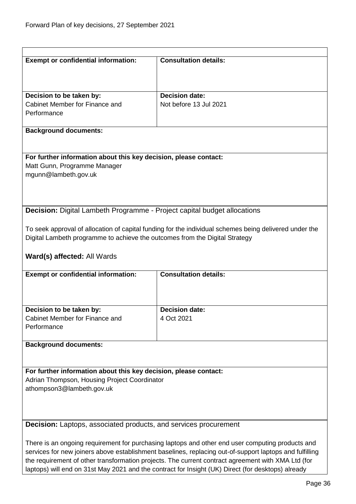<span id="page-35-1"></span><span id="page-35-0"></span>

| <b>Exempt or confidential information:</b>                                                                                                                                                                    | <b>Consultation details:</b>                                                                           |  |  |
|---------------------------------------------------------------------------------------------------------------------------------------------------------------------------------------------------------------|--------------------------------------------------------------------------------------------------------|--|--|
|                                                                                                                                                                                                               |                                                                                                        |  |  |
|                                                                                                                                                                                                               |                                                                                                        |  |  |
| Decision to be taken by:                                                                                                                                                                                      | <b>Decision date:</b>                                                                                  |  |  |
| Cabinet Member for Finance and                                                                                                                                                                                | Not before 13 Jul 2021                                                                                 |  |  |
| Performance                                                                                                                                                                                                   |                                                                                                        |  |  |
| <b>Background documents:</b>                                                                                                                                                                                  |                                                                                                        |  |  |
|                                                                                                                                                                                                               |                                                                                                        |  |  |
| For further information about this key decision, please contact:<br>Matt Gunn, Programme Manager                                                                                                              |                                                                                                        |  |  |
| mgunn@lambeth.gov.uk                                                                                                                                                                                          |                                                                                                        |  |  |
|                                                                                                                                                                                                               |                                                                                                        |  |  |
|                                                                                                                                                                                                               |                                                                                                        |  |  |
| <b>Decision:</b> Digital Lambeth Programme - Project capital budget allocations                                                                                                                               |                                                                                                        |  |  |
|                                                                                                                                                                                                               |                                                                                                        |  |  |
|                                                                                                                                                                                                               | To seek approval of allocation of capital funding for the individual schemes being delivered under the |  |  |
| Digital Lambeth programme to achieve the outcomes from the Digital Strategy                                                                                                                                   |                                                                                                        |  |  |
| Ward(s) affected: All Wards                                                                                                                                                                                   |                                                                                                        |  |  |
|                                                                                                                                                                                                               |                                                                                                        |  |  |
| <b>Exempt or confidential information:</b>                                                                                                                                                                    | <b>Consultation details:</b>                                                                           |  |  |
|                                                                                                                                                                                                               |                                                                                                        |  |  |
|                                                                                                                                                                                                               |                                                                                                        |  |  |
| Decision to be taken by:                                                                                                                                                                                      | <b>Decision date:</b>                                                                                  |  |  |
| Cabinet Member for Finance and                                                                                                                                                                                | 4 Oct 2021                                                                                             |  |  |
| Performance                                                                                                                                                                                                   |                                                                                                        |  |  |
| <b>Background documents:</b>                                                                                                                                                                                  |                                                                                                        |  |  |
|                                                                                                                                                                                                               |                                                                                                        |  |  |
| For further information about this key decision, please contact:                                                                                                                                              |                                                                                                        |  |  |
| Adrian Thompson, Housing Project Coordinator                                                                                                                                                                  |                                                                                                        |  |  |
| athompson3@lambeth.gov.uk                                                                                                                                                                                     |                                                                                                        |  |  |
|                                                                                                                                                                                                               |                                                                                                        |  |  |
|                                                                                                                                                                                                               |                                                                                                        |  |  |
| <b>Decision:</b> Laptops, associated products, and services procurement                                                                                                                                       |                                                                                                        |  |  |
|                                                                                                                                                                                                               |                                                                                                        |  |  |
| There is an ongoing requirement for purchasing laptops and other end user computing products and                                                                                                              |                                                                                                        |  |  |
| services for new joiners above establishment baselines, replacing out-of-support laptops and fulfilling<br>the requirement of other transformation projects. The current contract agreement with XMA Ltd (for |                                                                                                        |  |  |
|                                                                                                                                                                                                               | laptops) will end on 31st May 2021 and the contract for Insight (UK) Direct (for desktops) already     |  |  |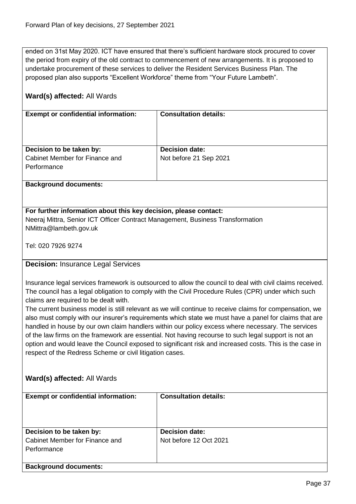ended on 31st May 2020. ICT have ensured that there's sufficient hardware stock procured to cover the period from expiry of the old contract to commencement of new arrangements. It is proposed to undertake procurement of these services to deliver the Resident Services Business Plan. The proposed plan also supports "Excellent Workforce" theme from "Your Future Lambeth".

# **Ward(s) affected:** All Wards

| <b>Exempt or confidential information:</b> | <b>Consultation details:</b> |
|--------------------------------------------|------------------------------|
|                                            |                              |
| Decision to be taken by:                   | <b>Decision date:</b>        |
| Cabinet Member for Finance and             | Not before 21 Sep 2021       |
| Performance                                |                              |
|                                            |                              |
|                                            |                              |

#### **Background documents:**

# **For further information about this key decision, please contact:**

Neeraj Mittra, Senior ICT Officer Contract Management, Business Transformation NMittra@lambeth.gov.uk

Tel: 020 7926 9274

# **Decision:** Insurance Legal Services

Insurance legal services framework is outsourced to allow the council to deal with civil claims received. The council has a legal obligation to comply with the Civil Procedure Rules (CPR) under which such claims are required to be dealt with.

The current business model is still relevant as we will continue to receive claims for compensation, we also must comply with our insurer's requirements which state we must have a panel for claims that are handled in house by our own claim handlers within our policy excess where necessary. The services of the law firms on the framework are essential. Not having recourse to such legal support is not an option and would leave the Council exposed to significant risk and increased costs. This is the case in respect of the Redress Scheme or civil litigation cases.

# **Ward(s) affected:** All Wards

| <b>Exempt or confidential information:</b>                                | <b>Consultation details:</b>                    |
|---------------------------------------------------------------------------|-------------------------------------------------|
| Decision to be taken by:<br>Cabinet Member for Finance and<br>Performance | <b>Decision date:</b><br>Not before 12 Oct 2021 |
| <b>Background documents:</b>                                              |                                                 |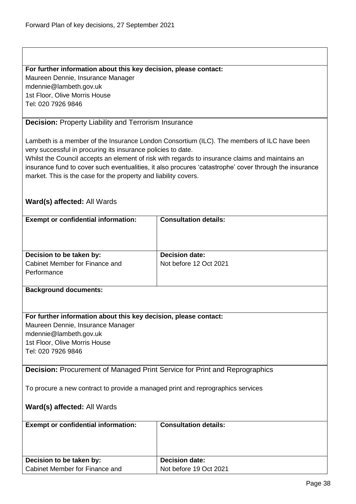#### **For further information about this key decision, please contact:**

Maureen Dennie, Insurance Manager mdennie@lambeth.gov.uk 1st Floor, Olive Morris House Tel: 020 7926 9846

# **Decision:** Property Liability and Terrorism Insurance

Lambeth is a member of the Insurance London Consortium (ILC). The members of ILC have been very successful in procuring its insurance policies to date.

Whilst the Council accepts an element of risk with regards to insurance claims and maintains an insurance fund to cover such eventualities, it also procures 'catastrophe' cover through the insurance market. This is the case for the property and liability covers.

# **Ward(s) affected:** All Wards

| <b>Exempt or confidential information:</b>                                        | <b>Consultation details:</b> |
|-----------------------------------------------------------------------------------|------------------------------|
|                                                                                   |                              |
|                                                                                   |                              |
|                                                                                   |                              |
| Decision to be taken by:                                                          | <b>Decision date:</b>        |
| Cabinet Member for Finance and                                                    | Not before 12 Oct 2021       |
| Performance                                                                       |                              |
|                                                                                   |                              |
| <b>Background documents:</b>                                                      |                              |
|                                                                                   |                              |
|                                                                                   |                              |
| For further information about this key decision, please contact:                  |                              |
| Maureen Dennie, Insurance Manager                                                 |                              |
| mdennie@lambeth.gov.uk                                                            |                              |
| 1st Floor, Olive Morris House                                                     |                              |
| Tel: 020 7926 9846                                                                |                              |
|                                                                                   |                              |
| <b>Decision:</b> Procurement of Managed Print Service for Print and Reprographics |                              |
|                                                                                   |                              |
| To procure a new contract to provide a managed print and reprographics services   |                              |
|                                                                                   |                              |
| Ward(s) affected: All Wards                                                       |                              |
|                                                                                   |                              |
| <b>Exempt or confidential information:</b>                                        | <b>Consultation details:</b> |
|                                                                                   |                              |
|                                                                                   |                              |
|                                                                                   |                              |
| Decision to be taken by:                                                          | <b>Decision date:</b>        |
| Cabinet Member for Finance and                                                    | Not before 19 Oct 2021       |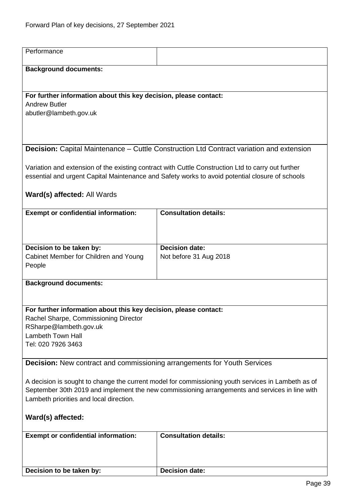| Performance                                                                                        |                                                                                                    |  |
|----------------------------------------------------------------------------------------------------|----------------------------------------------------------------------------------------------------|--|
| <b>Background documents:</b>                                                                       |                                                                                                    |  |
|                                                                                                    |                                                                                                    |  |
| For further information about this key decision, please contact:                                   |                                                                                                    |  |
| <b>Andrew Butler</b>                                                                               |                                                                                                    |  |
| abutler@lambeth.gov.uk                                                                             |                                                                                                    |  |
|                                                                                                    |                                                                                                    |  |
| Decision: Capital Maintenance - Cuttle Construction Ltd Contract variation and extension           |                                                                                                    |  |
|                                                                                                    |                                                                                                    |  |
|                                                                                                    | Variation and extension of the existing contract with Cuttle Construction Ltd to carry out further |  |
|                                                                                                    | essential and urgent Capital Maintenance and Safety works to avoid potential closure of schools    |  |
| Ward(s) affected: All Wards                                                                        |                                                                                                    |  |
| <b>Exempt or confidential information:</b>                                                         | <b>Consultation details:</b>                                                                       |  |
|                                                                                                    |                                                                                                    |  |
|                                                                                                    |                                                                                                    |  |
| Decision to be taken by:                                                                           | <b>Decision date:</b>                                                                              |  |
| Cabinet Member for Children and Young<br>People                                                    | Not before 31 Aug 2018                                                                             |  |
|                                                                                                    |                                                                                                    |  |
| <b>Background documents:</b>                                                                       |                                                                                                    |  |
|                                                                                                    |                                                                                                    |  |
| For further information about this key decision, please contact:                                   |                                                                                                    |  |
| Rachel Sharpe, Commissioning Director                                                              |                                                                                                    |  |
| RSharpe@lambeth.gov.uk<br><b>Lambeth Town Hall</b>                                                 |                                                                                                    |  |
| Tel: 020 7926 3463                                                                                 |                                                                                                    |  |
| <b>Decision:</b> New contract and commissioning arrangements for Youth Services                    |                                                                                                    |  |
|                                                                                                    |                                                                                                    |  |
| A decision is sought to change the current model for commissioning youth services in Lambeth as of |                                                                                                    |  |
| September 30th 2019 and implement the new commissioning arrangements and services in line with     |                                                                                                    |  |
| Lambeth priorities and local direction.                                                            |                                                                                                    |  |
| Ward(s) affected:                                                                                  |                                                                                                    |  |
| <b>Exempt or confidential information:</b>                                                         | <b>Consultation details:</b>                                                                       |  |
|                                                                                                    |                                                                                                    |  |
|                                                                                                    |                                                                                                    |  |
| Decision to be taken by:                                                                           | <b>Decision date:</b>                                                                              |  |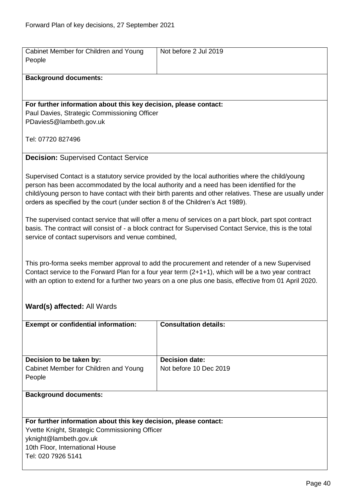| Cabinet Member for Children and Young<br>People                                                                                                                                                                                                                                                                                                                                               | Not before 2 Jul 2019                           |  |
|-----------------------------------------------------------------------------------------------------------------------------------------------------------------------------------------------------------------------------------------------------------------------------------------------------------------------------------------------------------------------------------------------|-------------------------------------------------|--|
| <b>Background documents:</b>                                                                                                                                                                                                                                                                                                                                                                  |                                                 |  |
| For further information about this key decision, please contact:<br>Paul Davies, Strategic Commissioning Officer<br>PDavies5@lambeth.gov.uk                                                                                                                                                                                                                                                   |                                                 |  |
| Tel: 07720 827496                                                                                                                                                                                                                                                                                                                                                                             |                                                 |  |
| <b>Decision: Supervised Contact Service</b>                                                                                                                                                                                                                                                                                                                                                   |                                                 |  |
| Supervised Contact is a statutory service provided by the local authorities where the child/young<br>person has been accommodated by the local authority and a need has been identified for the<br>child/young person to have contact with their birth parents and other relatives. These are usually under<br>orders as specified by the court (under section 8 of the Children's Act 1989). |                                                 |  |
| The supervised contact service that will offer a menu of services on a part block, part spot contract<br>basis. The contract will consist of - a block contract for Supervised Contact Service, this is the total<br>service of contact supervisors and venue combined,                                                                                                                       |                                                 |  |
| This pro-forma seeks member approval to add the procurement and retender of a new Supervised<br>Contact service to the Forward Plan for a four year term (2+1+1), which will be a two year contract<br>with an option to extend for a further two years on a one plus one basis, effective from 01 April 2020.                                                                                |                                                 |  |
| Ward(s) affected: All Wards                                                                                                                                                                                                                                                                                                                                                                   |                                                 |  |
| <b>Exempt or confidential information:</b>                                                                                                                                                                                                                                                                                                                                                    | <b>Consultation details:</b>                    |  |
| Decision to be taken by:<br>Cabinet Member for Children and Young<br>People                                                                                                                                                                                                                                                                                                                   | <b>Decision date:</b><br>Not before 10 Dec 2019 |  |
| <b>Background documents:</b>                                                                                                                                                                                                                                                                                                                                                                  |                                                 |  |
| For further information about this key decision, please contact:<br>Yvette Knight, Strategic Commissioning Officer<br>yknight@lambeth.gov.uk<br>10th Floor, International House<br>Tel: 020 7926 5141                                                                                                                                                                                         |                                                 |  |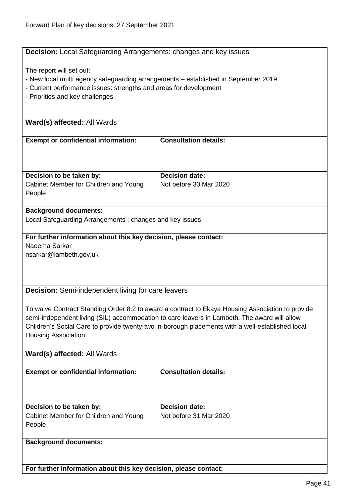# **Decision:** Local Safeguarding Arrangements: changes and key issues

The report will set out:

- New local multi agency safeguarding arrangements established in September 2019
- Current performance issues: strengths and areas for development
- Priorities and key challenges

# **Ward(s) affected:** All Wards

| <b>Exempt or confidential information:</b>                                  | <b>Consultation details:</b>                    |
|-----------------------------------------------------------------------------|-------------------------------------------------|
| Decision to be taken by:<br>Cabinet Member for Children and Young<br>People | <b>Decision date:</b><br>Not before 30 Mar 2020 |
|                                                                             |                                                 |

#### **Background documents:**

Local Safeguarding Arrangements : changes and key issues

# **For further information about this key decision, please contact:** Naeema Sarkar

nsarkar@lambeth.gov.uk

**Decision:** Semi-independent living for care leavers

To waive Contract Standing Order 8.2 to award a contract to Ekaya Housing Association to provide semi-independent living (SIL) accommodation to care leavers in Lambeth. The award will allow Children's Social Care to provide twenty-two in-borough placements with a well-established local Housing Association

# **Ward(s) affected:** All Wards

| <b>Exempt or confidential information:</b>                                  | <b>Consultation details:</b>                    |
|-----------------------------------------------------------------------------|-------------------------------------------------|
| Decision to be taken by:<br>Cabinet Member for Children and Young<br>People | <b>Decision date:</b><br>Not before 31 Mar 2020 |
| <b>Background documents:</b>                                                |                                                 |

**For further information about this key decision, please contact:**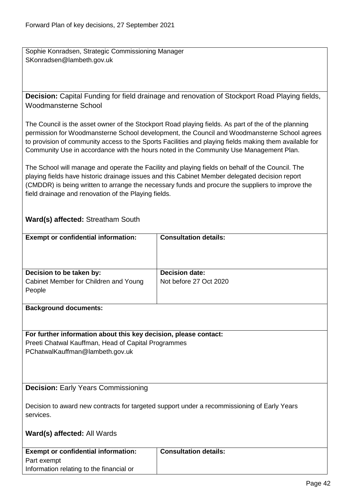Sophie Konradsen, Strategic Commissioning Manager SKonradsen@lambeth.gov.uk

**Decision:** Capital Funding for field drainage and renovation of Stockport Road Playing fields, Woodmansterne School

The Council is the asset owner of the Stockport Road playing fields. As part of the of the planning permission for Woodmansterne School development, the Council and Woodmansterne School agrees to provision of community access to the Sports Facilities and playing fields making them available for Community Use in accordance with the hours noted in the Community Use Management Plan.

The School will manage and operate the Facility and playing fields on behalf of the Council. The playing fields have historic drainage issues and this Cabinet Member delegated decision report (CMDDR) is being written to arrange the necessary funds and procure the suppliers to improve the field drainage and renovation of the Playing fields.

# **Ward(s) affected:** Streatham South

| <b>Exempt or confidential information:</b> | <b>Consultation details:</b> |
|--------------------------------------------|------------------------------|
| Decision to be taken by:                   | <b>Decision date:</b>        |
| Cabinet Member for Children and Young      | Not before 27 Oct 2020       |
| People                                     |                              |
| - -<br>. .                                 |                              |

#### **Background documents:**

# **For further information about this key decision, please contact:** Preeti Chatwal Kauffman, Head of Capital Programmes

PChatwalKauffman@lambeth.gov.uk

#### **Decision:** Early Years Commissioning

Decision to award new contracts for targeted support under a recommissioning of Early Years services.

#### **Ward(s) affected:** All Wards

| <b>Exempt or confidential information:</b> | Consultation details: |
|--------------------------------------------|-----------------------|
| Part exempt                                |                       |
| Information relating to the financial or   |                       |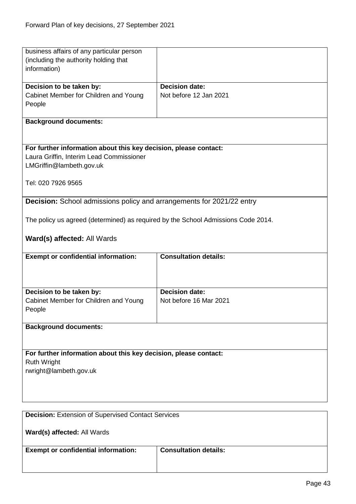| business affairs of any particular person                                         |                              |
|-----------------------------------------------------------------------------------|------------------------------|
| (including the authority holding that                                             |                              |
| information)                                                                      |                              |
|                                                                                   | <b>Decision date:</b>        |
| Decision to be taken by:<br>Cabinet Member for Children and Young                 | Not before 12 Jan 2021       |
| People                                                                            |                              |
|                                                                                   |                              |
| <b>Background documents:</b>                                                      |                              |
|                                                                                   |                              |
|                                                                                   |                              |
| For further information about this key decision, please contact:                  |                              |
| Laura Griffin, Interim Lead Commissioner                                          |                              |
| LMGriffin@lambeth.gov.uk                                                          |                              |
|                                                                                   |                              |
| Tel: 020 7926 9565                                                                |                              |
|                                                                                   |                              |
| <b>Decision:</b> School admissions policy and arrangements for 2021/22 entry      |                              |
|                                                                                   |                              |
| The policy us agreed (determined) as required by the School Admissions Code 2014. |                              |
|                                                                                   |                              |
| Ward(s) affected: All Wards                                                       |                              |
|                                                                                   |                              |
| <b>Exempt or confidential information:</b>                                        | <b>Consultation details:</b> |
|                                                                                   |                              |
|                                                                                   |                              |
| Decision to be taken by:                                                          | <b>Decision date:</b>        |
| Cabinet Member for Children and Young                                             | Not before 16 Mar 2021       |
| People                                                                            |                              |
|                                                                                   |                              |
| <b>Background documents:</b>                                                      |                              |
|                                                                                   |                              |
|                                                                                   |                              |
| For further information about this key decision, please contact:                  |                              |
| <b>Ruth Wright</b>                                                                |                              |
| rwright@lambeth.gov.uk                                                            |                              |
|                                                                                   |                              |
|                                                                                   |                              |
|                                                                                   |                              |
|                                                                                   |                              |
| <b>Decision: Extension of Supervised Contact Services</b>                         |                              |
|                                                                                   |                              |
| Ward(s) affected: All Wards                                                       |                              |
|                                                                                   | <b>Consultation details:</b> |
| <b>Exempt or confidential information:</b>                                        |                              |
|                                                                                   |                              |
|                                                                                   |                              |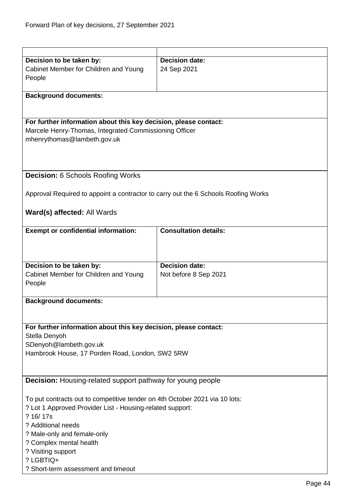| Decision to be taken by:                                                           | <b>Decision date:</b>        |  |
|------------------------------------------------------------------------------------|------------------------------|--|
| Cabinet Member for Children and Young                                              | 24 Sep 2021                  |  |
| People                                                                             |                              |  |
|                                                                                    |                              |  |
| <b>Background documents:</b>                                                       |                              |  |
|                                                                                    |                              |  |
| For further information about this key decision, please contact:                   |                              |  |
| Marcele Henry-Thomas, Integrated Commissioning Officer                             |                              |  |
| mhenrythomas@lambeth.gov.uk                                                        |                              |  |
|                                                                                    |                              |  |
|                                                                                    |                              |  |
|                                                                                    |                              |  |
| <b>Decision: 6 Schools Roofing Works</b>                                           |                              |  |
| Approval Required to appoint a contractor to carry out the 6 Schools Roofing Works |                              |  |
|                                                                                    |                              |  |
| Ward(s) affected: All Wards                                                        |                              |  |
|                                                                                    |                              |  |
| <b>Exempt or confidential information:</b>                                         | <b>Consultation details:</b> |  |
|                                                                                    |                              |  |
|                                                                                    |                              |  |
|                                                                                    |                              |  |
| Decision to be taken by:                                                           | <b>Decision date:</b>        |  |
| Cabinet Member for Children and Young<br>People                                    | Not before 8 Sep 2021        |  |
|                                                                                    |                              |  |
| <b>Background documents:</b>                                                       |                              |  |
|                                                                                    |                              |  |
|                                                                                    |                              |  |
| For further information about this key decision, please contact:                   |                              |  |
| Stella Denyoh                                                                      |                              |  |
| SDenyoh@lambeth.gov.uk                                                             |                              |  |
| Hambrook House, 17 Porden Road, London, SW2 5RW                                    |                              |  |
|                                                                                    |                              |  |
| <b>Decision:</b> Housing-related support pathway for young people                  |                              |  |
|                                                                                    |                              |  |
| To put contracts out to competitive tender on 4th October 2021 via 10 lots:        |                              |  |
| ? Lot 1 Approved Provider List - Housing-related support:                          |                              |  |
| ? 16/17s                                                                           |                              |  |
| ? Additional needs                                                                 |                              |  |
| ? Male-only and female-only<br>? Complex mental health                             |                              |  |
| ? Visiting support                                                                 |                              |  |
| ? LGBTIQ+                                                                          |                              |  |
| ? Short-term assessment and timeout                                                |                              |  |
|                                                                                    |                              |  |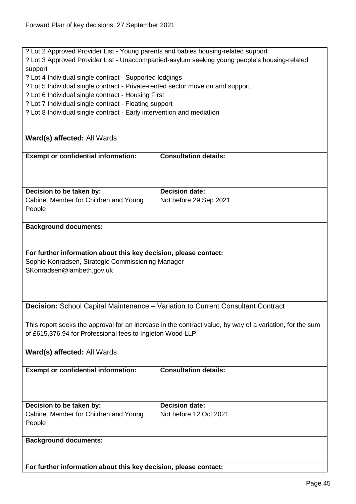? Lot 2 Approved Provider List - Young parents and babies housing-related support

? Lot 3 Approved Provider List - Unaccompanied-asylum seeking young people's housing-related support

? Lot 4 Individual single contract - Supported lodgings

? Lot 5 Individual single contract - Private-rented sector move on and support

? Lot 6 Individual single contract - Housing First

? Lot 7 Individual single contract - Floating support

? Lot 8 Individual single contract - Early intervention and mediation

# **Ward(s) affected:** All Wards

| <b>Exempt or confidential information:</b>      | <b>Consultation details:</b> |
|-------------------------------------------------|------------------------------|
| Decision to be taken by:                        | <b>Decision date:</b>        |
| Cabinet Member for Children and Young<br>People | Not before 29 Sep 2021       |

#### **Background documents:**

# **For further information about this key decision, please contact:**

Sophie Konradsen, Strategic Commissioning Manager SKonradsen@lambeth.gov.uk

**Decision:** School Capital Maintenance – Variation to Current Consultant Contract

This report seeks the approval for an increase in the contract value, by way of a variation, for the sum of £615,376.94 for Professional fees to Ingleton Wood LLP.

# **Ward(s) affected:** All Wards

| <b>Exempt or confidential information:</b>                                  | <b>Consultation details:</b>                    |
|-----------------------------------------------------------------------------|-------------------------------------------------|
| Decision to be taken by:<br>Cabinet Member for Children and Young<br>People | <b>Decision date:</b><br>Not before 12 Oct 2021 |
| <b>Background documents:</b>                                                |                                                 |

**For further information about this key decision, please contact:**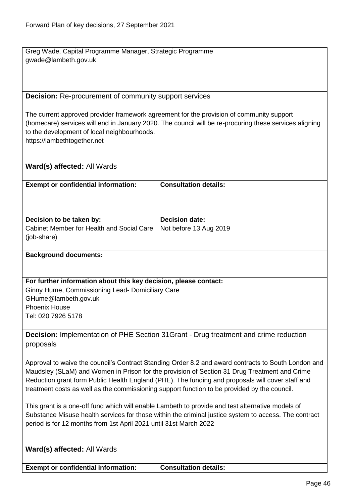Greg Wade, Capital Programme Manager, Strategic Programme gwade@lambeth.gov.uk

#### **Decision:** Re-procurement of community support services

The current approved provider framework agreement for the provision of community support (homecare) services will end in January 2020. The council will be re-procuring these services aligning to the development of local neighbourhoods. https://lambethtogether.net

# **Ward(s) affected:** All Wards

| <b>Exempt or confidential information:</b>               | <b>Consultation details:</b> |
|----------------------------------------------------------|------------------------------|
| Decision to be taken by:                                 | <b>Decision date:</b>        |
| Cabinet Member for Health and Social Care<br>(job-share) | Not before 13 Aug 2019       |

#### **Background documents:**

**For further information about this key decision, please contact:** Ginny Hume, Commissioning Lead- Domiciliary Care GHume@lambeth.gov.uk Phoenix House Tel: 020 7926 5178

**Decision:** Implementation of PHE Section 31Grant - Drug treatment and crime reduction proposals

Approval to waive the council's Contract Standing Order 8.2 and award contracts to South London and Maudsley (SLaM) and Women in Prison for the provision of Section 31 Drug Treatment and Crime Reduction grant form Public Health England (PHE). The funding and proposals will cover staff and treatment costs as well as the commissioning support function to be provided by the council.

This grant is a one-off fund which will enable Lambeth to provide and test alternative models of Substance Misuse health services for those within the criminal justice system to access. The contract period is for 12 months from 1st April 2021 until 31st March 2022

| <b>Ward(s) affected: All Wards</b>         |                              |
|--------------------------------------------|------------------------------|
| <b>Exempt or confidential information:</b> | <b>Consultation details:</b> |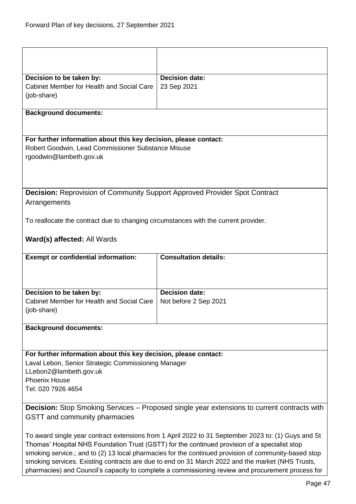| Decision to be taken by:                                                                                                                                                                                                                                                                                                           | <b>Decision date:</b>                                                          |  |
|------------------------------------------------------------------------------------------------------------------------------------------------------------------------------------------------------------------------------------------------------------------------------------------------------------------------------------|--------------------------------------------------------------------------------|--|
| Cabinet Member for Health and Social Care                                                                                                                                                                                                                                                                                          | 23 Sep 2021                                                                    |  |
| (job-share)                                                                                                                                                                                                                                                                                                                        |                                                                                |  |
|                                                                                                                                                                                                                                                                                                                                    |                                                                                |  |
| <b>Background documents:</b>                                                                                                                                                                                                                                                                                                       |                                                                                |  |
|                                                                                                                                                                                                                                                                                                                                    |                                                                                |  |
|                                                                                                                                                                                                                                                                                                                                    |                                                                                |  |
| For further information about this key decision, please contact:                                                                                                                                                                                                                                                                   |                                                                                |  |
| Robert Goodwin, Lead Commissioner Substance Misuse                                                                                                                                                                                                                                                                                 |                                                                                |  |
| rgoodwin@lambeth.gov.uk                                                                                                                                                                                                                                                                                                            |                                                                                |  |
|                                                                                                                                                                                                                                                                                                                                    |                                                                                |  |
|                                                                                                                                                                                                                                                                                                                                    |                                                                                |  |
|                                                                                                                                                                                                                                                                                                                                    |                                                                                |  |
| <b>Decision:</b> Reprovision of Community Support Approved Provider Spot Contract                                                                                                                                                                                                                                                  |                                                                                |  |
| Arrangements                                                                                                                                                                                                                                                                                                                       |                                                                                |  |
|                                                                                                                                                                                                                                                                                                                                    |                                                                                |  |
| To reallocate the contract due to changing circumstances with the current provider.                                                                                                                                                                                                                                                |                                                                                |  |
|                                                                                                                                                                                                                                                                                                                                    |                                                                                |  |
| Ward(s) affected: All Wards                                                                                                                                                                                                                                                                                                        |                                                                                |  |
|                                                                                                                                                                                                                                                                                                                                    |                                                                                |  |
|                                                                                                                                                                                                                                                                                                                                    |                                                                                |  |
|                                                                                                                                                                                                                                                                                                                                    |                                                                                |  |
|                                                                                                                                                                                                                                                                                                                                    |                                                                                |  |
|                                                                                                                                                                                                                                                                                                                                    |                                                                                |  |
|                                                                                                                                                                                                                                                                                                                                    |                                                                                |  |
|                                                                                                                                                                                                                                                                                                                                    |                                                                                |  |
|                                                                                                                                                                                                                                                                                                                                    |                                                                                |  |
|                                                                                                                                                                                                                                                                                                                                    |                                                                                |  |
|                                                                                                                                                                                                                                                                                                                                    |                                                                                |  |
|                                                                                                                                                                                                                                                                                                                                    |                                                                                |  |
| For further information about this key decision, please contact:                                                                                                                                                                                                                                                                   |                                                                                |  |
|                                                                                                                                                                                                                                                                                                                                    |                                                                                |  |
|                                                                                                                                                                                                                                                                                                                                    |                                                                                |  |
|                                                                                                                                                                                                                                                                                                                                    |                                                                                |  |
|                                                                                                                                                                                                                                                                                                                                    |                                                                                |  |
|                                                                                                                                                                                                                                                                                                                                    |                                                                                |  |
| <b>Decision:</b> Stop Smoking Services - Proposed single year extensions to current contracts with                                                                                                                                                                                                                                 |                                                                                |  |
|                                                                                                                                                                                                                                                                                                                                    |                                                                                |  |
|                                                                                                                                                                                                                                                                                                                                    |                                                                                |  |
| To award single year contract extensions from 1 April 2022 to 31 September 2023 to: (1) Guys and St                                                                                                                                                                                                                                |                                                                                |  |
| <b>Exempt or confidential information:</b><br>Decision to be taken by:<br>Cabinet Member for Health and Social Care<br>(job-share)<br><b>Background documents:</b><br>Laval Lebon, Senior Strategic Commissioning Manager<br>LLebon2@lambeth.gov.uk<br><b>Phoenix House</b><br>Tel: 020 7926 4654<br>GSTT and community pharmacies | <b>Consultation details:</b><br><b>Decision date:</b><br>Not before 2 Sep 2021 |  |

Thomas' Hospital NHS Foundation Trust (GSTT) for the continued provision of a specialist stop smoking service.; and to (2) 13 local pharmacies for the continued provision of community-based stop smoking services. Existing contracts are due to end on 31 March 2022 and the market (NHS Trusts, pharmacies) and Council's capacity to complete a commissioning review and procurement process for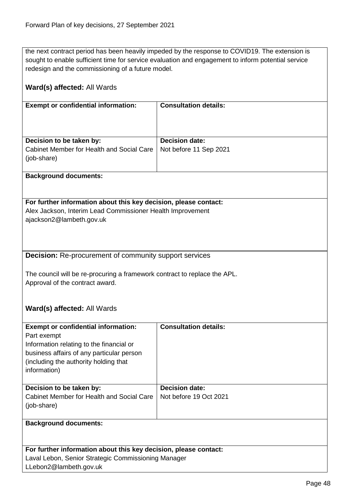the next contract period has been heavily impeded by the response to COVID19. The extension is sought to enable sufficient time for service evaluation and engagement to inform potential service redesign and the commissioning of a future model.

| Ward(s) affected: All Wards                                                                                                    |                              |  |
|--------------------------------------------------------------------------------------------------------------------------------|------------------------------|--|
| <b>Exempt or confidential information:</b>                                                                                     | <b>Consultation details:</b> |  |
|                                                                                                                                |                              |  |
| Decision to be taken by:                                                                                                       | Decision date:               |  |
| Cabinet Member for Health and Social Care<br>(job-share)                                                                       | Not before 11 Sep 2021       |  |
| <b>Background documents:</b>                                                                                                   |                              |  |
|                                                                                                                                |                              |  |
| For further information about this key decision, please contact:<br>Alex Jackson, Interim Lead Commissioner Health Improvement |                              |  |
| ajackson2@lambeth.gov.uk                                                                                                       |                              |  |
|                                                                                                                                |                              |  |
|                                                                                                                                |                              |  |
| <b>Decision:</b> Re-procurement of community support services                                                                  |                              |  |
| The council will be re-procuring a framework contract to replace the APL.                                                      |                              |  |
| Approval of the contract award.                                                                                                |                              |  |
|                                                                                                                                |                              |  |
| Ward(s) affected: All Wards                                                                                                    |                              |  |
| <b>Exempt or confidential information:</b>                                                                                     | <b>Consultation details:</b> |  |
| Part exempt                                                                                                                    |                              |  |
| Information relating to the financial or                                                                                       |                              |  |
| business affairs of any particular person<br>(including the authority holding that                                             |                              |  |
| information)                                                                                                                   |                              |  |
| Decision to be taken by:                                                                                                       | <b>Decision date:</b>        |  |
| Cabinet Member for Health and Social Care                                                                                      | Not before 19 Oct 2021       |  |
| (job-share)                                                                                                                    |                              |  |
| <b>Background documents:</b>                                                                                                   |                              |  |
|                                                                                                                                |                              |  |
| For further information about this key decision, please contact:                                                               |                              |  |
| Laval Lebon, Senior Strategic Commissioning Manager                                                                            |                              |  |
| LLebon2@lambeth.gov.uk                                                                                                         |                              |  |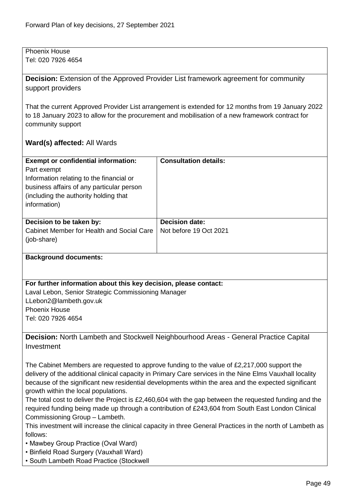Phoenix House Tel: 020 7926 4654

**Decision:** Extension of the Approved Provider List framework agreement for community support providers

That the current Approved Provider List arrangement is extended for 12 months from 19 January 2022 to 18 January 2023 to allow for the procurement and mobilisation of a new framework contract for community support

# **Ward(s) affected:** All Wards

| <b>Exempt or confidential information:</b><br>Part exempt<br>Information relating to the financial or<br>business affairs of any particular person<br>(including the authority holding that)<br>information) | <b>Consultation details:</b>                    |
|--------------------------------------------------------------------------------------------------------------------------------------------------------------------------------------------------------------|-------------------------------------------------|
| Decision to be taken by:<br>Cabinet Member for Health and Social Care<br>(job-share)                                                                                                                         | <b>Decision date:</b><br>Not before 19 Oct 2021 |

#### **Background documents:**

#### **For further information about this key decision, please contact:**

Laval Lebon, Senior Strategic Commissioning Manager LLebon2@lambeth.gov.uk Phoenix House Tel: 020 7926 4654

**Decision:** North Lambeth and Stockwell Neighbourhood Areas - General Practice Capital Investment

The Cabinet Members are requested to approve funding to the value of £2,217,000 support the delivery of the additional clinical capacity in Primary Care services in the Nine Elms Vauxhall locality because of the significant new residential developments within the area and the expected significant growth within the local populations.

The total cost to deliver the Project is £2,460,604 with the gap between the requested funding and the required funding being made up through a contribution of £243,604 from South East London Clinical Commissioning Group – Lambeth.

This investment will increase the clinical capacity in three General Practices in the north of Lambeth as follows:

- Mawbey Group Practice (Oval Ward)
- Binfield Road Surgery (Vauxhall Ward)
- South Lambeth Road Practice (Stockwell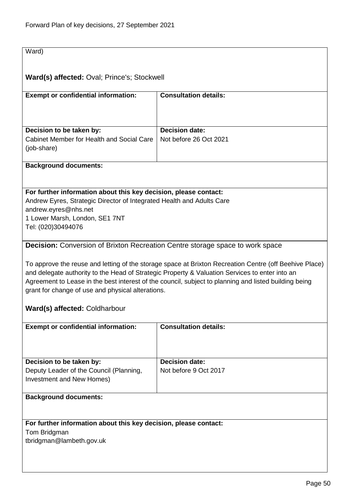| Ward)                                                                                |                                                                                                        |
|--------------------------------------------------------------------------------------|--------------------------------------------------------------------------------------------------------|
|                                                                                      |                                                                                                        |
| Ward(s) affected: Oval; Prince's; Stockwell                                          |                                                                                                        |
|                                                                                      |                                                                                                        |
| <b>Exempt or confidential information:</b>                                           | <b>Consultation details:</b>                                                                           |
|                                                                                      |                                                                                                        |
|                                                                                      |                                                                                                        |
|                                                                                      |                                                                                                        |
| Decision to be taken by:                                                             | <b>Decision date:</b>                                                                                  |
| Cabinet Member for Health and Social Care                                            | Not before 26 Oct 2021                                                                                 |
| (job-share)                                                                          |                                                                                                        |
| <b>Background documents:</b>                                                         |                                                                                                        |
|                                                                                      |                                                                                                        |
|                                                                                      |                                                                                                        |
| For further information about this key decision, please contact:                     |                                                                                                        |
| Andrew Eyres, Strategic Director of Integrated Health and Adults Care                |                                                                                                        |
| andrew.eyres@nhs.net                                                                 |                                                                                                        |
| 1 Lower Marsh, London, SE1 7NT                                                       |                                                                                                        |
| Tel: (020)30494076                                                                   |                                                                                                        |
| <b>Decision:</b> Conversion of Brixton Recreation Centre storage space to work space |                                                                                                        |
|                                                                                      |                                                                                                        |
|                                                                                      | To approve the reuse and letting of the storage space at Brixton Recreation Centre (off Beehive Place) |
|                                                                                      | and delegate authority to the Head of Strategic Property & Valuation Services to enter into an         |
|                                                                                      | Agreement to Lease in the best interest of the council, subject to planning and listed building being  |
| grant for change of use and physical alterations.                                    |                                                                                                        |
|                                                                                      |                                                                                                        |
| Ward(s) affected: Coldharbour                                                        |                                                                                                        |
|                                                                                      |                                                                                                        |
| <b>Exempt or confidential information:</b>                                           | <b>Consultation details:</b>                                                                           |
|                                                                                      |                                                                                                        |
|                                                                                      |                                                                                                        |
| Decision to be taken by:                                                             | <b>Decision date:</b>                                                                                  |
| Deputy Leader of the Council (Planning,                                              | Not before 9 Oct 2017                                                                                  |
| Investment and New Homes)                                                            |                                                                                                        |
|                                                                                      |                                                                                                        |
| <b>Background documents:</b>                                                         |                                                                                                        |
|                                                                                      |                                                                                                        |
|                                                                                      |                                                                                                        |
| For further information about this key decision, please contact:                     |                                                                                                        |
| Tom Bridgman<br>tbridgman@lambeth.gov.uk                                             |                                                                                                        |
|                                                                                      |                                                                                                        |
|                                                                                      |                                                                                                        |
|                                                                                      |                                                                                                        |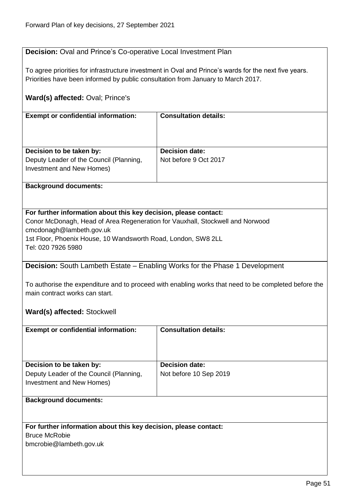# **Decision:** Oval and Prince's Co-operative Local Investment Plan

To agree priorities for infrastructure investment in Oval and Prince's wards for the next five years. Priorities have been informed by public consultation from January to March 2017.

# **Ward(s) affected:** Oval; Prince's

| <b>Exempt or confidential information:</b>                           | <b>Consultation details:</b> |
|----------------------------------------------------------------------|------------------------------|
| Decision to be taken by:                                             | <b>Decision date:</b>        |
| Deputy Leader of the Council (Planning,<br>Investment and New Homes) | Not before 9 Oct 2017        |

### **Background documents:**

### **For further information about this key decision, please contact:**

Conor McDonagh, Head of Area Regeneration for Vauxhall, Stockwell and Norwood cmcdonagh@lambeth.gov.uk 1st Floor, Phoenix House, 10 Wandsworth Road, London, SW8 2LL Tel: 020 7926 5980

# **Decision:** South Lambeth Estate – Enabling Works for the Phase 1 Development

To authorise the expenditure and to proceed with enabling works that need to be completed before the main contract works can start.

# **Ward(s) affected:** Stockwell

| <b>Exempt or confidential information:</b>                                                       | <b>Consultation details:</b>                    |
|--------------------------------------------------------------------------------------------------|-------------------------------------------------|
| Decision to be taken by:<br>Deputy Leader of the Council (Planning,<br>Investment and New Homes) | <b>Decision date:</b><br>Not before 10 Sep 2019 |

# **Background documents:**

#### **For further information about this key decision, please contact:**

Bruce McRobie

bmcrobie@lambeth.gov.uk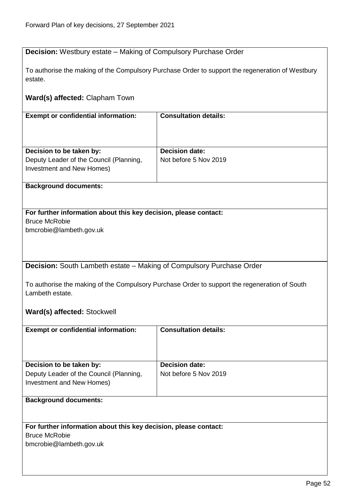# **Decision:** Westbury estate – Making of Compulsory Purchase Order

To authorise the making of the Compulsory Purchase Order to support the regeneration of Westbury estate.

# **Ward(s) affected:** Clapham Town

| <b>Exempt or confidential information:</b>                                                       | <b>Consultation details:</b>                   |
|--------------------------------------------------------------------------------------------------|------------------------------------------------|
| Decision to be taken by:<br>Deputy Leader of the Council (Planning,<br>Investment and New Homes) | <b>Decision date:</b><br>Not before 5 Nov 2019 |

### **Background documents:**

### **For further information about this key decision, please contact:** Bruce McRobie

bmcrobie@lambeth.gov.uk

**Decision:** South Lambeth estate – Making of Compulsory Purchase Order

To authorise the making of the Compulsory Purchase Order to support the regeneration of South Lambeth estate.

# **Ward(s) affected:** Stockwell

| <b>Exempt or confidential information:</b> | <b>Consultation details:</b> |
|--------------------------------------------|------------------------------|
|                                            |                              |
| Decision to be taken by:                   | <b>Decision date:</b>        |
| Deputy Leader of the Council (Planning,    | Not before 5 Nov 2019        |
| Investment and New Homes)                  |                              |
|                                            |                              |
| <b>Background documents:</b>               |                              |

#### **For further information about this key decision, please contact:**

Bruce McRobie

bmcrobie@lambeth.gov.uk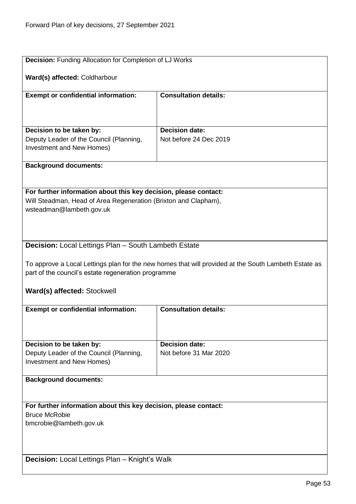| <b>Decision: Funding Allocation for Completion of LJ Works</b>       |                                                                                                      |  |
|----------------------------------------------------------------------|------------------------------------------------------------------------------------------------------|--|
| Ward(s) affected: Coldharbour                                        |                                                                                                      |  |
| <b>Exempt or confidential information:</b>                           | <b>Consultation details:</b>                                                                         |  |
|                                                                      |                                                                                                      |  |
|                                                                      |                                                                                                      |  |
| Decision to be taken by:                                             | <b>Decision date:</b>                                                                                |  |
| Deputy Leader of the Council (Planning,<br>Investment and New Homes) | Not before 24 Dec 2019                                                                               |  |
|                                                                      |                                                                                                      |  |
| <b>Background documents:</b>                                         |                                                                                                      |  |
|                                                                      |                                                                                                      |  |
| For further information about this key decision, please contact:     |                                                                                                      |  |
| Will Steadman, Head of Area Regeneration (Brixton and Clapham),      |                                                                                                      |  |
| wsteadman@lambeth.gov.uk                                             |                                                                                                      |  |
|                                                                      |                                                                                                      |  |
|                                                                      |                                                                                                      |  |
| <b>Decision:</b> Local Lettings Plan - South Lambeth Estate          |                                                                                                      |  |
|                                                                      |                                                                                                      |  |
| part of the council's estate regeneration programme                  | To approve a Local Lettings plan for the new homes that will provided at the South Lambeth Estate as |  |
|                                                                      |                                                                                                      |  |
| Ward(s) affected: Stockwell                                          |                                                                                                      |  |
|                                                                      |                                                                                                      |  |
| <b>Exempt or confidential information:</b>                           | <b>Consultation details:</b>                                                                         |  |
|                                                                      |                                                                                                      |  |
|                                                                      |                                                                                                      |  |
| Decision to be taken by:                                             | <b>Decision date:</b><br>Not before 31 Mar 2020                                                      |  |
| Deputy Leader of the Council (Planning,<br>Investment and New Homes) |                                                                                                      |  |
|                                                                      |                                                                                                      |  |
| <b>Background documents:</b>                                         |                                                                                                      |  |
|                                                                      |                                                                                                      |  |
| For further information about this key decision, please contact:     |                                                                                                      |  |
| <b>Bruce McRobie</b>                                                 |                                                                                                      |  |
| bmcrobie@lambeth.gov.uk                                              |                                                                                                      |  |
|                                                                      |                                                                                                      |  |
|                                                                      |                                                                                                      |  |
| <b>Decision:</b> Local Lettings Plan - Knight's Walk                 |                                                                                                      |  |
|                                                                      |                                                                                                      |  |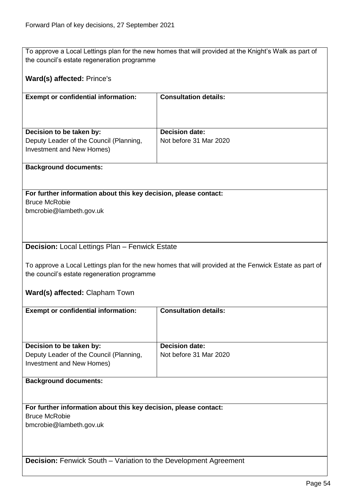To approve a Local Lettings plan for the new homes that will provided at the Knight's Walk as part of the council's estate regeneration programme

## **Ward(s) affected:** Prince's

| <b>Exempt or confidential information:</b>                           | <b>Consultation details:</b> |
|----------------------------------------------------------------------|------------------------------|
| Decision to be taken by:                                             | <b>Decision date:</b>        |
| Deputy Leader of the Council (Planning,<br>Investment and New Homes) | Not before 31 Mar 2020       |

#### **Background documents:**

**For further information about this key decision, please contact:** Bruce McRobie

bmcrobie@lambeth.gov.uk

# **Decision:** Local Lettings Plan – Fenwick Estate

To approve a Local Lettings plan for the new homes that will provided at the Fenwick Estate as part of the council's estate regeneration programme

**Ward(s) affected:** Clapham Town

| <b>Exempt or confidential information:</b>                              | <b>Consultation details:</b> |
|-------------------------------------------------------------------------|------------------------------|
|                                                                         |                              |
|                                                                         |                              |
|                                                                         |                              |
| Decision to be taken by:                                                | <b>Decision date:</b>        |
| Deputy Leader of the Council (Planning,                                 | Not before 31 Mar 2020       |
| Investment and New Homes)                                               |                              |
|                                                                         |                              |
| <b>Background documents:</b>                                            |                              |
|                                                                         |                              |
|                                                                         |                              |
| For further information about this key decision, please contact:        |                              |
| <b>Bruce McRobie</b>                                                    |                              |
|                                                                         |                              |
| bmcrobie@lambeth.gov.uk                                                 |                              |
|                                                                         |                              |
|                                                                         |                              |
|                                                                         |                              |
| <b>Decision:</b> Fenwick South – Variation to the Development Agreement |                              |
|                                                                         |                              |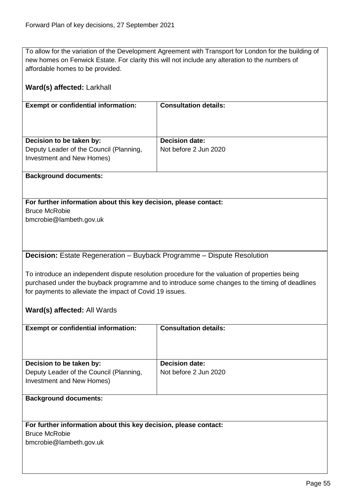To allow for the variation of the Development Agreement with Transport for London for the building of new homes on Fenwick Estate. For clarity this will not include any alteration to the numbers of affordable homes to be provided.

| Ward(s) affected: Larkhall                                                                                                                                                                                                                                   |                              |  |
|--------------------------------------------------------------------------------------------------------------------------------------------------------------------------------------------------------------------------------------------------------------|------------------------------|--|
| <b>Exempt or confidential information:</b>                                                                                                                                                                                                                   | <b>Consultation details:</b> |  |
| Decision to be taken by:                                                                                                                                                                                                                                     | <b>Decision date:</b>        |  |
| Deputy Leader of the Council (Planning,<br>Investment and New Homes)                                                                                                                                                                                         | Not before 2 Jun 2020        |  |
| <b>Background documents:</b>                                                                                                                                                                                                                                 |                              |  |
|                                                                                                                                                                                                                                                              |                              |  |
| For further information about this key decision, please contact:                                                                                                                                                                                             |                              |  |
| <b>Bruce McRobie</b>                                                                                                                                                                                                                                         |                              |  |
| bmcrobie@lambeth.gov.uk                                                                                                                                                                                                                                      |                              |  |
|                                                                                                                                                                                                                                                              |                              |  |
|                                                                                                                                                                                                                                                              |                              |  |
|                                                                                                                                                                                                                                                              |                              |  |
| Decision: Estate Regeneration - Buyback Programme - Dispute Resolution                                                                                                                                                                                       |                              |  |
| To introduce an independent dispute resolution procedure for the valuation of properties being<br>purchased under the buyback programme and to introduce some changes to the timing of deadlines<br>for payments to alleviate the impact of Covid 19 issues. |                              |  |
| Ward(s) affected: All Wards                                                                                                                                                                                                                                  |                              |  |
| <b>Exempt or confidential information:</b>                                                                                                                                                                                                                   | <b>Consultation details:</b> |  |
|                                                                                                                                                                                                                                                              |                              |  |
| Decision to be taken by:                                                                                                                                                                                                                                     | <b>Decision date:</b>        |  |
| Deputy Leader of the Council (Planning,<br>Investment and New Homes)                                                                                                                                                                                         | Not before 2 Jun 2020        |  |
| <b>Background documents:</b>                                                                                                                                                                                                                                 |                              |  |
|                                                                                                                                                                                                                                                              |                              |  |
| For further information about this key decision, please contact:                                                                                                                                                                                             |                              |  |
| <b>Bruce McRobie</b>                                                                                                                                                                                                                                         |                              |  |
| bmcrobie@lambeth.gov.uk                                                                                                                                                                                                                                      |                              |  |
|                                                                                                                                                                                                                                                              |                              |  |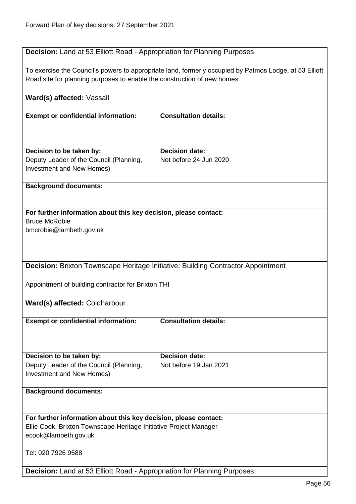# **Decision:** Land at 53 Elliott Road - Appropriation for Planning Purposes

To exercise the Council's powers to appropriate land, formerly occupied by Patmos Lodge, at 53 Elliott Road site for planning purposes to enable the construction of new homes.

# **Ward(s) affected:** Vassall

| <b>Exempt or confidential information:</b> | <b>Consultation details:</b> |
|--------------------------------------------|------------------------------|
|                                            |                              |
|                                            |                              |
|                                            |                              |
|                                            |                              |
| Decision to be taken by:                   | <b>Decision date:</b>        |
|                                            |                              |
| Deputy Leader of the Council (Planning,    | Not before 24 Jun 2020       |
| Investment and New Homes)                  |                              |
|                                            |                              |
|                                            |                              |

#### **Background documents:**

## **For further information about this key decision, please contact:** Bruce McRobie

bmcrobie@lambeth.gov.uk

**Decision:** Brixton Townscape Heritage Initiative: Building Contractor Appointment

Appointment of building contractor for Brixton THI

**Ward(s) affected:** Coldharbour

| <b>Exempt or confidential information:</b>                                                       | <b>Consultation details:</b>                    |
|--------------------------------------------------------------------------------------------------|-------------------------------------------------|
| Decision to be taken by:<br>Deputy Leader of the Council (Planning,<br>Investment and New Homes) | <b>Decision date:</b><br>Not before 19 Jan 2021 |

#### **Background documents:**

**For further information about this key decision, please contact:** Ellie Cook, Brixton Townscape Heritage Initiative Project Manager ecook@lambeth.gov.uk

Tel: 020 7926 9588

**Decision:** Land at 53 Elliott Road - Appropriation for Planning Purposes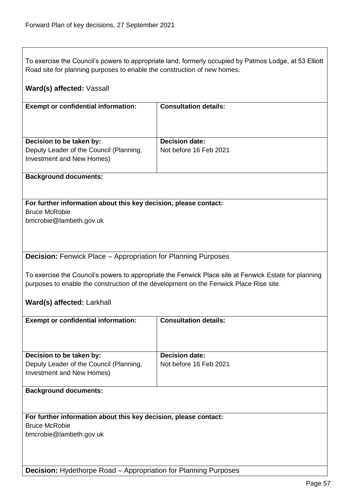$\overline{\phantom{a}}$ 

| To exercise the Council's powers to appropriate land, formerly occupied by Patmos Lodge, at 53 Elliott<br>Road site for planning purposes to enable the construction of new homes. |                                                                                                       |  |
|------------------------------------------------------------------------------------------------------------------------------------------------------------------------------------|-------------------------------------------------------------------------------------------------------|--|
| Ward(s) affected: Vassall                                                                                                                                                          |                                                                                                       |  |
| <b>Exempt or confidential information:</b>                                                                                                                                         | <b>Consultation details:</b>                                                                          |  |
|                                                                                                                                                                                    |                                                                                                       |  |
| Decision to be taken by:                                                                                                                                                           | <b>Decision date:</b>                                                                                 |  |
| Deputy Leader of the Council (Planning,<br>Investment and New Homes)                                                                                                               | Not before 16 Feb 2021                                                                                |  |
| <b>Background documents:</b>                                                                                                                                                       |                                                                                                       |  |
|                                                                                                                                                                                    |                                                                                                       |  |
| For further information about this key decision, please contact:                                                                                                                   |                                                                                                       |  |
| <b>Bruce McRobie</b><br>bmcrobie@lambeth.gov.uk                                                                                                                                    |                                                                                                       |  |
|                                                                                                                                                                                    |                                                                                                       |  |
|                                                                                                                                                                                    |                                                                                                       |  |
| <b>Decision:</b> Fenwick Place – Appropriation for Planning Purposes                                                                                                               |                                                                                                       |  |
|                                                                                                                                                                                    |                                                                                                       |  |
| purposes to enable the construction of the development on the Fenwick Place Rise site.                                                                                             | To exercise the Council's powers to appropriate the Fenwick Place site at Fenwick Estate for planning |  |
|                                                                                                                                                                                    |                                                                                                       |  |
| Ward(s) affected: Larkhall                                                                                                                                                         |                                                                                                       |  |
| <b>Exempt or confidential information:</b>                                                                                                                                         | <b>Consultation details:</b>                                                                          |  |
|                                                                                                                                                                                    |                                                                                                       |  |
|                                                                                                                                                                                    |                                                                                                       |  |
| Decision to be taken by:                                                                                                                                                           | <b>Decision date:</b>                                                                                 |  |
| Deputy Leader of the Council (Planning,                                                                                                                                            | Not before 16 Feb 2021                                                                                |  |
| Investment and New Homes)                                                                                                                                                          |                                                                                                       |  |
|                                                                                                                                                                                    |                                                                                                       |  |
| <b>Background documents:</b>                                                                                                                                                       |                                                                                                       |  |
|                                                                                                                                                                                    |                                                                                                       |  |
| For further information about this key decision, please contact:<br><b>Bruce McRobie</b>                                                                                           |                                                                                                       |  |
| bmcrobie@lambeth.gov.uk                                                                                                                                                            |                                                                                                       |  |
|                                                                                                                                                                                    |                                                                                                       |  |
|                                                                                                                                                                                    |                                                                                                       |  |
|                                                                                                                                                                                    |                                                                                                       |  |
| <b>Decision:</b> Hydethorpe Road - Appropriation for Planning Purposes                                                                                                             |                                                                                                       |  |

┑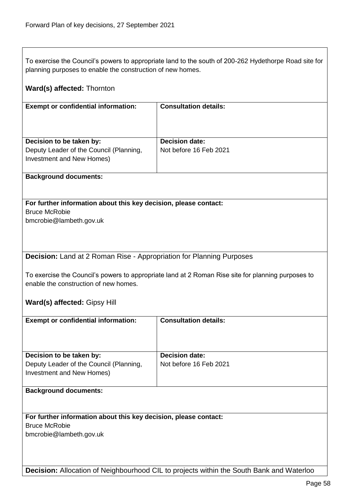To exercise the Council's powers to appropriate land to the south of 200-262 Hydethorpe Road site for planning purposes to enable the construction of new homes.

| Ward(s) affected: Thornton                                                                                                                  |                                                                                          |  |
|---------------------------------------------------------------------------------------------------------------------------------------------|------------------------------------------------------------------------------------------|--|
| <b>Exempt or confidential information:</b>                                                                                                  | <b>Consultation details:</b>                                                             |  |
| Decision to be taken by:                                                                                                                    | <b>Decision date:</b>                                                                    |  |
| Deputy Leader of the Council (Planning,<br>Investment and New Homes)                                                                        | Not before 16 Feb 2021                                                                   |  |
| <b>Background documents:</b>                                                                                                                |                                                                                          |  |
| For further information about this key decision, please contact:<br><b>Bruce McRobie</b>                                                    |                                                                                          |  |
| bmcrobie@lambeth.gov.uk                                                                                                                     |                                                                                          |  |
|                                                                                                                                             |                                                                                          |  |
| <b>Decision:</b> Land at 2 Roman Rise - Appropriation for Planning Purposes                                                                 |                                                                                          |  |
| To exercise the Council's powers to appropriate land at 2 Roman Rise site for planning purposes to<br>enable the construction of new homes. |                                                                                          |  |
| Ward(s) affected: Gipsy Hill                                                                                                                |                                                                                          |  |
| <b>Exempt or confidential information:</b>                                                                                                  | <b>Consultation details:</b>                                                             |  |
|                                                                                                                                             |                                                                                          |  |
| Decision to be taken by:                                                                                                                    | <b>Decision date:</b>                                                                    |  |
| Deputy Leader of the Council (Planning,<br>Investment and New Homes)                                                                        | Not before 16 Feb 2021                                                                   |  |
| <b>Background documents:</b>                                                                                                                |                                                                                          |  |
|                                                                                                                                             |                                                                                          |  |
| For further information about this key decision, please contact:                                                                            |                                                                                          |  |
| <b>Bruce McRobie</b><br>bmcrobie@lambeth.gov.uk                                                                                             |                                                                                          |  |
|                                                                                                                                             |                                                                                          |  |
|                                                                                                                                             |                                                                                          |  |
|                                                                                                                                             | Decision: Allocation of Neighbourhood CIL to projects within the South Bank and Waterloo |  |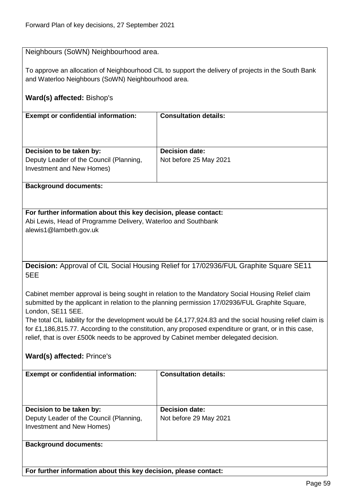## Neighbours (SoWN) Neighbourhood area.

To approve an allocation of Neighbourhood CIL to support the delivery of projects in the South Bank and Waterloo Neighbours (SoWN) Neighbourhood area.

# **Ward(s) affected:** Bishop's

| <b>Exempt or confidential information:</b>                           | <b>Consultation details:</b> |
|----------------------------------------------------------------------|------------------------------|
| Decision to be taken by:                                             | <b>Decision date:</b>        |
| Deputy Leader of the Council (Planning,<br>Investment and New Homes) | Not before 25 May 2021       |

#### **Background documents:**

# **For further information about this key decision, please contact:**

Abi Lewis, Head of Programme Delivery, Waterloo and Southbank

alewis1@lambeth.gov.uk

**Decision:** Approval of CIL Social Housing Relief for 17/02936/FUL Graphite Square SE11 5EE

Cabinet member approval is being sought in relation to the Mandatory Social Housing Relief claim submitted by the applicant in relation to the planning permission 17/02936/FUL Graphite Square, London, SE11 5EE.

The total CIL liability for the development would be £4,177,924.83 and the social housing relief claim is for £1,186,815.77. According to the constitution, any proposed expenditure or grant, or in this case, relief, that is over £500k needs to be approved by Cabinet member delegated decision.

# **Ward(s) affected:** Prince's

| <b>Exempt or confidential information:</b> | <b>Consultation details:</b> |
|--------------------------------------------|------------------------------|
|                                            |                              |
|                                            |                              |
|                                            |                              |
|                                            |                              |
|                                            |                              |
| Decision to be taken by:                   | <b>Decision date:</b>        |
|                                            |                              |
| Deputy Leader of the Council (Planning,    | Not before 29 May 2021       |
| Investment and New Homes)                  |                              |
|                                            |                              |
|                                            |                              |
|                                            |                              |
| <b>Background documents:</b>               |                              |

**For further information about this key decision, please contact:**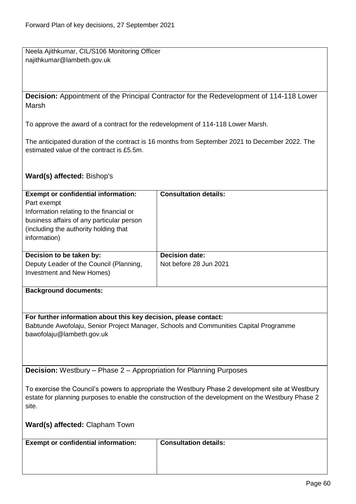Neela Ajithkumar, CIL/S106 Monitoring Officer najithkumar@lambeth.gov.uk

**Decision:** Appointment of the Principal Contractor for the Redevelopment of 114-118 Lower Marsh

To approve the award of a contract for the redevelopment of 114-118 Lower Marsh.

The anticipated duration of the contract is 16 months from September 2021 to December 2022. The estimated value of the contract is £5.5m.

# **Ward(s) affected:** Bishop's

| <b>Exempt or confidential information:</b>                                | <b>Consultation details:</b>                                                                       |
|---------------------------------------------------------------------------|----------------------------------------------------------------------------------------------------|
| Part exempt                                                               |                                                                                                    |
| Information relating to the financial or                                  |                                                                                                    |
| business affairs of any particular person                                 |                                                                                                    |
| (including the authority holding that                                     |                                                                                                    |
| information)                                                              |                                                                                                    |
|                                                                           |                                                                                                    |
| Decision to be taken by:                                                  | <b>Decision date:</b>                                                                              |
| Deputy Leader of the Council (Planning,                                   | Not before 28 Jun 2021                                                                             |
| Investment and New Homes)                                                 |                                                                                                    |
|                                                                           |                                                                                                    |
| <b>Background documents:</b>                                              |                                                                                                    |
|                                                                           |                                                                                                    |
|                                                                           |                                                                                                    |
| For further information about this key decision, please contact:          |                                                                                                    |
|                                                                           | Babtunde Awofolaju, Senior Project Manager, Schools and Communities Capital Programme              |
| bawofolaju@lambeth.gov.uk                                                 |                                                                                                    |
|                                                                           |                                                                                                    |
|                                                                           |                                                                                                    |
|                                                                           |                                                                                                    |
| <b>Decision:</b> Westbury - Phase 2 - Appropriation for Planning Purposes |                                                                                                    |
|                                                                           |                                                                                                    |
|                                                                           | To exercise the Council's powers to appropriate the Westbury Phase 2 development site at Westbury  |
|                                                                           | estate for planning purposes to enable the construction of the development on the Westbury Phase 2 |
| site.                                                                     |                                                                                                    |
|                                                                           |                                                                                                    |
| Ward(s) affected: Clapham Town                                            |                                                                                                    |
|                                                                           |                                                                                                    |
| <b>Exempt or confidential information:</b>                                | <b>Consultation details:</b>                                                                       |
|                                                                           |                                                                                                    |
|                                                                           |                                                                                                    |
|                                                                           |                                                                                                    |
|                                                                           |                                                                                                    |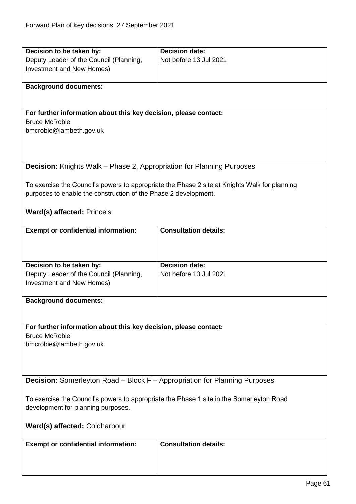| Decision to be taken by:                                                                 | <b>Decision date:</b>                                                                         |
|------------------------------------------------------------------------------------------|-----------------------------------------------------------------------------------------------|
| Deputy Leader of the Council (Planning,                                                  | Not before 13 Jul 2021                                                                        |
| Investment and New Homes)                                                                |                                                                                               |
|                                                                                          |                                                                                               |
| <b>Background documents:</b>                                                             |                                                                                               |
|                                                                                          |                                                                                               |
|                                                                                          |                                                                                               |
| For further information about this key decision, please contact:                         |                                                                                               |
| <b>Bruce McRobie</b>                                                                     |                                                                                               |
| bmcrobie@lambeth.gov.uk                                                                  |                                                                                               |
|                                                                                          |                                                                                               |
|                                                                                          |                                                                                               |
|                                                                                          |                                                                                               |
| <b>Decision:</b> Knights Walk – Phase 2, Appropriation for Planning Purposes             |                                                                                               |
|                                                                                          |                                                                                               |
| purposes to enable the construction of the Phase 2 development.                          | To exercise the Council's powers to appropriate the Phase 2 site at Knights Walk for planning |
|                                                                                          |                                                                                               |
| Ward(s) affected: Prince's                                                               |                                                                                               |
|                                                                                          |                                                                                               |
| <b>Exempt or confidential information:</b>                                               | <b>Consultation details:</b>                                                                  |
|                                                                                          |                                                                                               |
|                                                                                          |                                                                                               |
|                                                                                          |                                                                                               |
| Decision to be taken by:                                                                 | <b>Decision date:</b>                                                                         |
| Deputy Leader of the Council (Planning,                                                  | Not before 13 Jul 2021                                                                        |
| Investment and New Homes)                                                                |                                                                                               |
|                                                                                          |                                                                                               |
| <b>Background documents:</b>                                                             |                                                                                               |
|                                                                                          |                                                                                               |
|                                                                                          |                                                                                               |
| For further information about this key decision, please contact:                         |                                                                                               |
| <b>Bruce McRobie</b>                                                                     |                                                                                               |
| bmcrobie@lambeth.gov.uk                                                                  |                                                                                               |
|                                                                                          |                                                                                               |
|                                                                                          |                                                                                               |
| <b>Decision:</b> Somerleyton Road – Block F – Appropriation for Planning Purposes        |                                                                                               |
|                                                                                          |                                                                                               |
| To exercise the Council's powers to appropriate the Phase 1 site in the Somerleyton Road |                                                                                               |
| development for planning purposes.                                                       |                                                                                               |
|                                                                                          |                                                                                               |
| <b>Ward(s) affected: Coldharbour</b>                                                     |                                                                                               |
|                                                                                          |                                                                                               |
| <b>Exempt or confidential information:</b>                                               | <b>Consultation details:</b>                                                                  |
|                                                                                          |                                                                                               |
|                                                                                          |                                                                                               |
|                                                                                          |                                                                                               |
|                                                                                          |                                                                                               |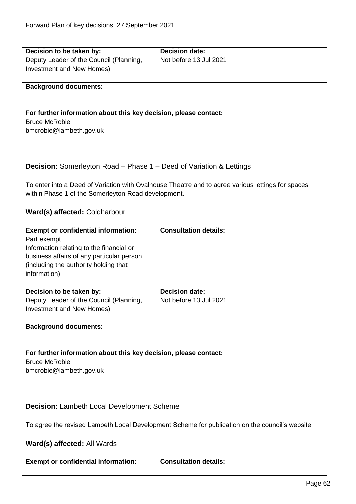| Decision to be taken by:                                                   | <b>Decision date:</b>                                                                             |
|----------------------------------------------------------------------------|---------------------------------------------------------------------------------------------------|
| Deputy Leader of the Council (Planning,                                    | Not before 13 Jul 2021                                                                            |
| Investment and New Homes)                                                  |                                                                                                   |
|                                                                            |                                                                                                   |
| <b>Background documents:</b>                                               |                                                                                                   |
|                                                                            |                                                                                                   |
| For further information about this key decision, please contact:           |                                                                                                   |
| <b>Bruce McRobie</b>                                                       |                                                                                                   |
| bmcrobie@lambeth.gov.uk                                                    |                                                                                                   |
|                                                                            |                                                                                                   |
|                                                                            |                                                                                                   |
|                                                                            |                                                                                                   |
| <b>Decision:</b> Somerleyton Road – Phase 1 – Deed of Variation & Lettings |                                                                                                   |
|                                                                            |                                                                                                   |
|                                                                            | To enter into a Deed of Variation with Ovalhouse Theatre and to agree various lettings for spaces |
| within Phase 1 of the Somerleyton Road development.                        |                                                                                                   |
|                                                                            |                                                                                                   |
| Ward(s) affected: Coldharbour                                              |                                                                                                   |
|                                                                            |                                                                                                   |
| <b>Exempt or confidential information:</b><br>Part exempt                  | <b>Consultation details:</b>                                                                      |
| Information relating to the financial or                                   |                                                                                                   |
| business affairs of any particular person                                  |                                                                                                   |
| (including the authority holding that                                      |                                                                                                   |
| information)                                                               |                                                                                                   |
|                                                                            |                                                                                                   |
| Decision to be taken by:                                                   | <b>Decision date:</b>                                                                             |
| Deputy Leader of the Council (Planning,                                    | Not before 13 Jul 2021                                                                            |
| Investment and New Homes)                                                  |                                                                                                   |
|                                                                            |                                                                                                   |
| <b>Background documents:</b>                                               |                                                                                                   |
|                                                                            |                                                                                                   |
| For further information about this key decision, please contact:           |                                                                                                   |
| <b>Bruce McRobie</b>                                                       |                                                                                                   |
| bmcrobie@lambeth.gov.uk                                                    |                                                                                                   |
|                                                                            |                                                                                                   |
|                                                                            |                                                                                                   |
|                                                                            |                                                                                                   |
| <b>Decision: Lambeth Local Development Scheme</b>                          |                                                                                                   |
|                                                                            |                                                                                                   |
|                                                                            | To agree the revised Lambeth Local Development Scheme for publication on the council's website    |
|                                                                            |                                                                                                   |
| Ward(s) affected: All Wards                                                |                                                                                                   |
|                                                                            |                                                                                                   |
| <b>Exempt or confidential information:</b>                                 | <b>Consultation details:</b>                                                                      |
|                                                                            |                                                                                                   |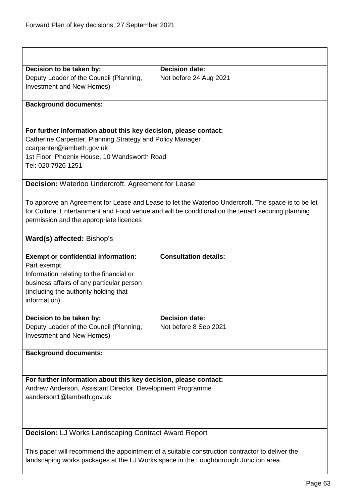| Decision to be taken by:                                                                                                      | <b>Decision date:</b>                                                                              |  |
|-------------------------------------------------------------------------------------------------------------------------------|----------------------------------------------------------------------------------------------------|--|
| Deputy Leader of the Council (Planning,                                                                                       | Not before 24 Aug 2021                                                                             |  |
| Investment and New Homes)                                                                                                     |                                                                                                    |  |
| <b>Background documents:</b>                                                                                                  |                                                                                                    |  |
|                                                                                                                               |                                                                                                    |  |
|                                                                                                                               |                                                                                                    |  |
| For further information about this key decision, please contact:<br>Catherine Carpenter, Planning Strategy and Policy Manager |                                                                                                    |  |
| ccarpenter@lambeth.gov.uk                                                                                                     |                                                                                                    |  |
| 1st Floor, Phoenix House, 10 Wandsworth Road                                                                                  |                                                                                                    |  |
| Tel: 020 7926 1251                                                                                                            |                                                                                                    |  |
| Decision: Waterloo Undercroft. Agreement for Lease                                                                            |                                                                                                    |  |
|                                                                                                                               |                                                                                                    |  |
|                                                                                                                               | To approve an Agreement for Lease and Lease to let the Waterloo Undercroft. The space is to be let |  |
|                                                                                                                               | for Culture, Entertainment and Food venue and will be conditional on the tenant securing planning  |  |
| permission and the appropriate licences                                                                                       |                                                                                                    |  |
| Ward(s) affected: Bishop's                                                                                                    |                                                                                                    |  |
| <b>Exempt or confidential information:</b>                                                                                    | <b>Consultation details:</b>                                                                       |  |
| Part exempt                                                                                                                   |                                                                                                    |  |
| Information relating to the financial or<br>business affairs of any particular person                                         |                                                                                                    |  |
| (including the authority holding that                                                                                         |                                                                                                    |  |
| information)                                                                                                                  |                                                                                                    |  |
| Decision to be taken by:                                                                                                      | <b>Decision date:</b>                                                                              |  |
| Deputy Leader of the Council (Planning,                                                                                       | Not before 8 Sep 2021                                                                              |  |
| <b>Investment and New Homes)</b>                                                                                              |                                                                                                    |  |
| <b>Background documents:</b>                                                                                                  |                                                                                                    |  |
|                                                                                                                               |                                                                                                    |  |
| For further information about this key decision, please contact:                                                              |                                                                                                    |  |
| Andrew Anderson, Assistant Director, Development Programme                                                                    |                                                                                                    |  |
| aanderson1@lambeth.gov.uk                                                                                                     |                                                                                                    |  |
|                                                                                                                               |                                                                                                    |  |
|                                                                                                                               |                                                                                                    |  |
| Decision: LJ Works Landscaping Contract Award Report                                                                          |                                                                                                    |  |
| This paper will recommend the appointment of a suitable construction contractor to deliver the                                |                                                                                                    |  |
| landscaping works packages at the LJ Works space in the Loughborough Junction area.                                           |                                                                                                    |  |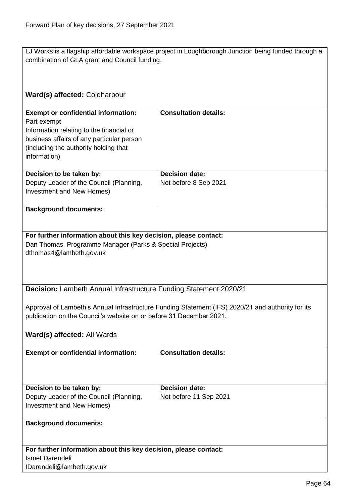LJ Works is a flagship affordable workspace project in Loughborough Junction being funded through a combination of GLA grant and Council funding.

# **Ward(s) affected:** Coldharbour

| <b>Exempt or confidential information:</b><br>Part exempt<br>Information relating to the financial or<br>business affairs of any particular person<br>(including the authority holding that)<br>information) | <b>Consultation details:</b>                   |
|--------------------------------------------------------------------------------------------------------------------------------------------------------------------------------------------------------------|------------------------------------------------|
| Decision to be taken by:<br>Deputy Leader of the Council (Planning,<br>Investment and New Homes)                                                                                                             | <b>Decision date:</b><br>Not before 8 Sep 2021 |

#### **Background documents:**

## **For further information about this key decision, please contact:** Dan Thomas, Programme Manager (Parks & Special Projects) dthomas4@lambeth.gov.uk

**Decision:** Lambeth Annual Infrastructure Funding Statement 2020/21

Approval of Lambeth's Annual Infrastructure Funding Statement (IFS) 2020/21 and authority for its publication on the Council's website on or before 31 December 2021.

# **Ward(s) affected:** All Wards

| <b>Exempt or confidential information:</b>                                                       | <b>Consultation details:</b>                    |
|--------------------------------------------------------------------------------------------------|-------------------------------------------------|
| Decision to be taken by:<br>Deputy Leader of the Council (Planning,<br>Investment and New Homes) | <b>Decision date:</b><br>Not before 11 Sep 2021 |
| <b>Background documents:</b>                                                                     |                                                 |

**For further information about this key decision, please contact:** Ismet Darendeli IDarendeli@lambeth.gov.uk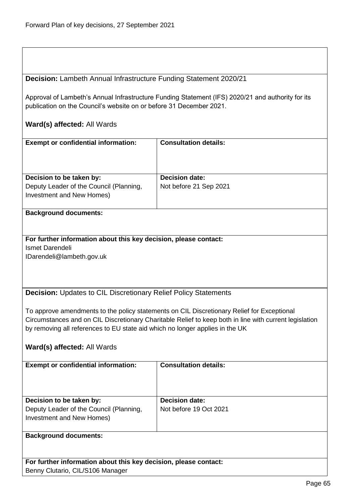**Decision:** Lambeth Annual Infrastructure Funding Statement 2020/21

Approval of Lambeth's Annual Infrastructure Funding Statement (IFS) 2020/21 and authority for its publication on the Council's website on or before 31 December 2021.

## **Ward(s) affected:** All Wards

| <b>Exempt or confidential information:</b>                           | <b>Consultation details:</b> |
|----------------------------------------------------------------------|------------------------------|
| Decision to be taken by:                                             | <b>Decision date:</b>        |
| Deputy Leader of the Council (Planning,<br>Investment and New Homes) | Not before 21 Sep 2021       |

#### **Background documents:**

**For further information about this key decision, please contact:** Ismet Darendeli IDarendeli@lambeth.gov.uk

**Decision:** Updates to CIL Discretionary Relief Policy Statements

To approve amendments to the policy statements on CIL Discretionary Relief for Exceptional Circumstances and on CIL Discretionary Charitable Relief to keep both in line with current legislation by removing all references to EU state aid which no longer applies in the UK

#### **Ward(s) affected:** All Wards

| <b>Exempt or confidential information:</b>                           | <b>Consultation details:</b> |
|----------------------------------------------------------------------|------------------------------|
| Decision to be taken by:                                             | <b>Decision date:</b>        |
| Deputy Leader of the Council (Planning,<br>Investment and New Homes) | Not before 19 Oct 2021       |
|                                                                      |                              |
| <b>Background documents:</b>                                         |                              |

**For further information about this key decision, please contact:** Benny Clutario, CIL/S106 Manager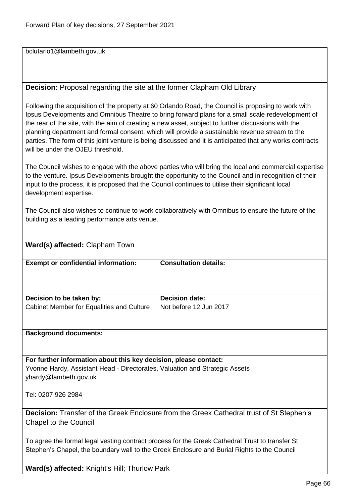bclutario1@lambeth.gov.uk

# **Decision:** Proposal regarding the site at the former Clapham Old Library

Following the acquisition of the property at 60 Orlando Road, the Council is proposing to work with Ipsus Developments and Omnibus Theatre to bring forward plans for a small scale redevelopment of the rear of the site, with the aim of creating a new asset, subject to further discussions with the planning department and formal consent, which will provide a sustainable revenue stream to the parties. The form of this joint venture is being discussed and it is anticipated that any works contracts will be under the OJEU threshold.

The Council wishes to engage with the above parties who will bring the local and commercial expertise to the venture. Ipsus Developments brought the opportunity to the Council and in recognition of their input to the process, it is proposed that the Council continues to utilise their significant local development expertise.

The Council also wishes to continue to work collaboratively with Omnibus to ensure the future of the building as a leading performance arts venue.

# **Ward(s) affected:** Clapham Town

| <b>Exempt or confidential information:</b> | <b>Consultation details:</b> |
|--------------------------------------------|------------------------------|
| Decision to be taken by:                   | <b>Decision date:</b>        |
| Cabinet Member for Equalities and Culture  | Not before 12 Jun 2017       |
|                                            |                              |
|                                            |                              |

#### **Background documents:**

**For further information about this key decision, please contact:** Yvonne Hardy, Assistant Head - Directorates, Valuation and Strategic Assets yhardy@lambeth.gov.uk

Tel: 0207 926 2984

**Decision:** Transfer of the Greek Enclosure from the Greek Cathedral trust of St Stephen's Chapel to the Council

To agree the formal legal vesting contract process for the Greek Cathedral Trust to transfer St Stephen's Chapel, the boundary wall to the Greek Enclosure and Burial Rights to the Council

**Ward(s) affected:** Knight's Hill; Thurlow Park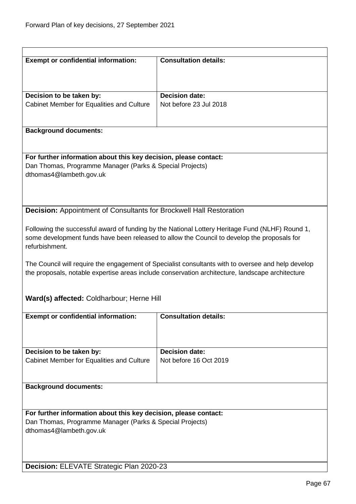| <b>Exempt or confidential information:</b>                                          | <b>Consultation details:</b>                                                                       |
|-------------------------------------------------------------------------------------|----------------------------------------------------------------------------------------------------|
|                                                                                     |                                                                                                    |
|                                                                                     |                                                                                                    |
| Decision to be taken by:                                                            | <b>Decision date:</b>                                                                              |
| Cabinet Member for Equalities and Culture                                           | Not before 23 Jul 2018                                                                             |
|                                                                                     |                                                                                                    |
| <b>Background documents:</b>                                                        |                                                                                                    |
|                                                                                     |                                                                                                    |
|                                                                                     |                                                                                                    |
| For further information about this key decision, please contact:                    |                                                                                                    |
| Dan Thomas, Programme Manager (Parks & Special Projects)<br>dthomas4@lambeth.gov.uk |                                                                                                    |
|                                                                                     |                                                                                                    |
|                                                                                     |                                                                                                    |
|                                                                                     |                                                                                                    |
| <b>Decision:</b> Appointment of Consultants for Brockwell Hall Restoration          |                                                                                                    |
|                                                                                     | Following the successful award of funding by the National Lottery Heritage Fund (NLHF) Round 1,    |
|                                                                                     | some development funds have been released to allow the Council to develop the proposals for        |
| refurbishment.                                                                      |                                                                                                    |
|                                                                                     |                                                                                                    |
|                                                                                     | The Council will require the engagement of Specialist consultants with to oversee and help develop |
|                                                                                     | the proposals, notable expertise areas include conservation architecture, landscape architecture   |
|                                                                                     |                                                                                                    |
| Ward(s) affected: Coldharbour; Herne Hill                                           |                                                                                                    |
|                                                                                     |                                                                                                    |
| <b>Exempt or confidential information:</b>                                          | <b>Consultation details:</b>                                                                       |
|                                                                                     |                                                                                                    |
|                                                                                     |                                                                                                    |
| Decision to be taken by:                                                            | <b>Decision date:</b>                                                                              |
| Cabinet Member for Equalities and Culture                                           | Not before 16 Oct 2019                                                                             |
|                                                                                     |                                                                                                    |
| <b>Background documents:</b>                                                        |                                                                                                    |
|                                                                                     |                                                                                                    |
|                                                                                     |                                                                                                    |
| For further information about this key decision, please contact:                    |                                                                                                    |
| Dan Thomas, Programme Manager (Parks & Special Projects)                            |                                                                                                    |
| dthomas4@lambeth.gov.uk                                                             |                                                                                                    |
|                                                                                     |                                                                                                    |
|                                                                                     |                                                                                                    |
| <b>Decision: ELEVATE Strategic Plan 2020-23</b>                                     |                                                                                                    |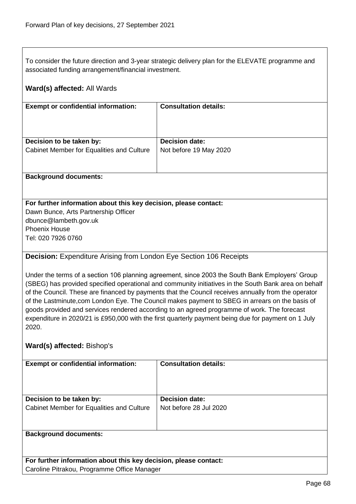To consider the future direction and 3-year strategic delivery plan for the ELEVATE programme and associated funding arrangement/financial investment.

# **Ward(s) affected:** All Wards

| <b>Exempt or confidential information:</b> | <b>Consultation details:</b> |
|--------------------------------------------|------------------------------|
| Decision to be taken by:                   | <b>Decision date:</b>        |
| Cabinet Member for Equalities and Culture  | Not before 19 May 2020       |
|                                            |                              |

#### **Background documents:**

### **For further information about this key decision, please contact:**

Dawn Bunce, Arts Partnership Officer dbunce@lambeth.gov.uk Phoenix House Tel: 020 7926 0760

# **Decision:** Expenditure Arising from London Eye Section 106 Receipts

Under the terms of a section 106 planning agreement, since 2003 the South Bank Employers' Group (SBEG) has provided specified operational and community initiatives in the South Bank area on behalf of the Council. These are financed by payments that the Council receives annually from the operator of the Lastminute,com London Eye. The Council makes payment to SBEG in arrears on the basis of goods provided and services rendered according to an agreed programme of work. The forecast expenditure in 2020/21 is £950,000 with the first quarterly payment being due for payment on 1 July 2020.

# **Ward(s) affected:** Bishop's

| <b>Exempt or confidential information:</b>                                                                                                                                                                                                                      | <b>Consultation details:</b>                    |
|-----------------------------------------------------------------------------------------------------------------------------------------------------------------------------------------------------------------------------------------------------------------|-------------------------------------------------|
| Decision to be taken by:<br>Cabinet Member for Equalities and Culture                                                                                                                                                                                           | <b>Decision date:</b><br>Not before 28 Jul 2020 |
|                                                                                                                                                                                                                                                                 |                                                 |
| <b>Background documents:</b><br>$\sim$ . The set of the set of the set of the set of the set of the set of the set of the set of the set of the set of the set of the set of the set of the set of the set of the set of the set of the set of the set of the s |                                                 |

**For further information about this key decision, please contact:** Caroline Pitrakou, Programme Office Manager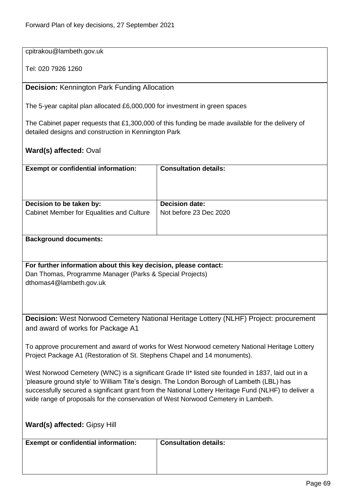cpitrakou@lambeth.gov.uk

Tel: 020 7926 1260

**Decision:** Kennington Park Funding Allocation

The 5-year capital plan allocated £6,000,000 for investment in green spaces

The Cabinet paper requests that £1,300,000 of this funding be made available for the delivery of detailed designs and construction in Kennington Park

**Ward(s) affected:** Oval

| <b>Exempt or confidential information:</b> | <b>Consultation details:</b> |
|--------------------------------------------|------------------------------|
| Decision to be taken by:                   | <b>Decision date:</b>        |
| Cabinet Member for Equalities and Culture  | Not before 23 Dec 2020       |
|                                            |                              |
|                                            |                              |

**Background documents:**

**For further information about this key decision, please contact:** Dan Thomas, Programme Manager (Parks & Special Projects) dthomas4@lambeth.gov.uk

**Decision:** West Norwood Cemetery National Heritage Lottery (NLHF) Project: procurement and award of works for Package A1

To approve procurement and award of works for West Norwood cemetery National Heritage Lottery Project Package A1 (Restoration of St. Stephens Chapel and 14 monuments).

West Norwood Cemetery (WNC) is a significant Grade II\* listed site founded in 1837, laid out in a 'pleasure ground style' to William Tite's design. The London Borough of Lambeth (LBL) has successfully secured a significant grant from the National Lottery Heritage Fund (NLHF) to deliver a wide range of proposals for the conservation of West Norwood Cemetery in Lambeth.

| <b>Ward(s) affected: Gipsy Hill</b>        |                              |
|--------------------------------------------|------------------------------|
| <b>Exempt or confidential information:</b> | <b>Consultation details:</b> |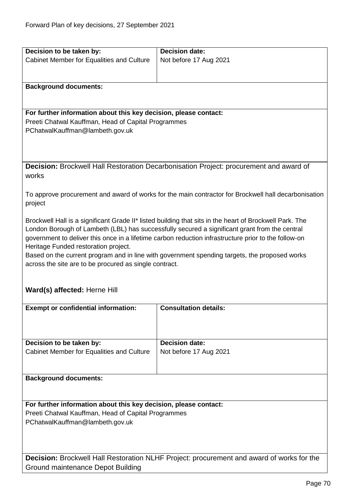| Decision to be taken by:                                                                         | <b>Decision date:</b>                                                                                   |
|--------------------------------------------------------------------------------------------------|---------------------------------------------------------------------------------------------------------|
| Cabinet Member for Equalities and Culture                                                        | Not before 17 Aug 2021                                                                                  |
|                                                                                                  |                                                                                                         |
|                                                                                                  |                                                                                                         |
| <b>Background documents:</b>                                                                     |                                                                                                         |
|                                                                                                  |                                                                                                         |
|                                                                                                  |                                                                                                         |
| For further information about this key decision, please contact:                                 |                                                                                                         |
| Preeti Chatwal Kauffman, Head of Capital Programmes                                              |                                                                                                         |
| PChatwalKauffman@lambeth.gov.uk                                                                  |                                                                                                         |
|                                                                                                  |                                                                                                         |
|                                                                                                  |                                                                                                         |
|                                                                                                  | Decision: Brockwell Hall Restoration Decarbonisation Project: procurement and award of                  |
| works                                                                                            |                                                                                                         |
|                                                                                                  |                                                                                                         |
|                                                                                                  | To approve procurement and award of works for the main contractor for Brockwell hall decarbonisation    |
| project                                                                                          |                                                                                                         |
|                                                                                                  |                                                                                                         |
|                                                                                                  | Brockwell Hall is a significant Grade II* listed building that sits in the heart of Brockwell Park. The |
|                                                                                                  | London Borough of Lambeth (LBL) has successfully secured a significant grant from the central           |
|                                                                                                  | government to deliver this once in a lifetime carbon reduction infrastructure prior to the follow-on    |
| Heritage Funded restoration project.                                                             |                                                                                                         |
|                                                                                                  | Based on the current program and in line with government spending targets, the proposed works           |
| across the site are to be procured as single contract.                                           |                                                                                                         |
|                                                                                                  |                                                                                                         |
| Ward(s) affected: Herne Hill                                                                     |                                                                                                         |
|                                                                                                  |                                                                                                         |
| <b>Exempt or confidential information:</b>                                                       | <b>Consultation details:</b>                                                                            |
|                                                                                                  |                                                                                                         |
|                                                                                                  |                                                                                                         |
|                                                                                                  |                                                                                                         |
| Decision to be taken by:                                                                         | <b>Decision date:</b>                                                                                   |
| Cabinet Member for Equalities and Culture                                                        | Not before 17 Aug 2021                                                                                  |
|                                                                                                  |                                                                                                         |
|                                                                                                  |                                                                                                         |
| <b>Background documents:</b>                                                                     |                                                                                                         |
|                                                                                                  |                                                                                                         |
| For further information about this key decision, please contact:                                 |                                                                                                         |
| Preeti Chatwal Kauffman, Head of Capital Programmes                                              |                                                                                                         |
| PChatwalKauffman@lambeth.gov.uk                                                                  |                                                                                                         |
|                                                                                                  |                                                                                                         |
|                                                                                                  |                                                                                                         |
|                                                                                                  |                                                                                                         |
| <b>Decision:</b> Brockwell Hall Restoration NLHF Project: procurement and award of works for the |                                                                                                         |
| Ground maintenance Depot Building                                                                |                                                                                                         |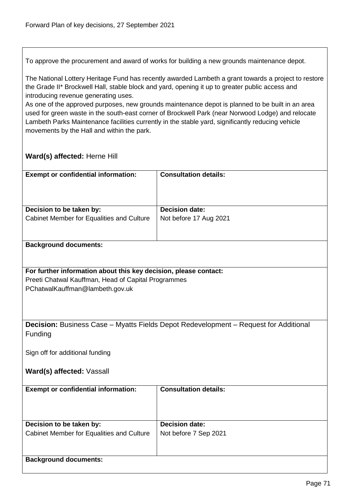To approve the procurement and award of works for building a new grounds maintenance depot.

The National Lottery Heritage Fund has recently awarded Lambeth a grant towards a project to restore the Grade II\* Brockwell Hall, stable block and yard, opening it up to greater public access and introducing revenue generating uses.

As one of the approved purposes, new grounds maintenance depot is planned to be built in an area used for green waste in the south-east corner of Brockwell Park (near Norwood Lodge) and relocate Lambeth Parks Maintenance facilities currently in the stable yard, significantly reducing vehicle movements by the Hall and within the park.

# **Ward(s) affected:** Herne Hill

| <b>Exempt or confidential information:</b> | <b>Consultation details:</b> |
|--------------------------------------------|------------------------------|
| Decision to be taken by:                   | <b>Decision date:</b>        |
| Cabinet Member for Equalities and Culture  | Not before 17 Aug 2021       |

#### **Background documents:**

# **For further information about this key decision, please contact:**

Preeti Chatwal Kauffman, Head of Capital Programmes PChatwalKauffman@lambeth.gov.uk

**Decision:** Business Case – Myatts Fields Depot Redevelopment – Request for Additional **Funding** 

Sign off for additional funding

**Ward(s) affected:** Vassall

| <b>Exempt or confidential information:</b> | <b>Consultation details:</b> |
|--------------------------------------------|------------------------------|
| Decision to be taken by:                   | <b>Decision date:</b>        |
| Cabinet Member for Equalities and Culture  | Not before 7 Sep 2021        |
| <b>Background documents:</b>               |                              |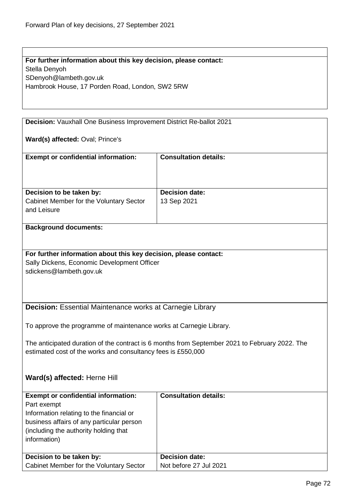**For further information about this key decision, please contact:** Stella Denyoh SDenyoh@lambeth.gov.uk Hambrook House, 17 Porden Road, London, SW2 5RW

**Decision:** Vauxhall One Business Improvement District Re-ballot 2021

**Ward(s) affected:** Oval; Prince's

| <b>Decision date:</b><br>13 Sep 2021 |
|--------------------------------------|
|                                      |

#### **Background documents:**

#### **For further information about this key decision, please contact:**

Sally Dickens, Economic Development Officer sdickens@lambeth.gov.uk

# **Decision:** Essential Maintenance works at Carnegie Library

To approve the programme of maintenance works at Carnegie Library.

The anticipated duration of the contract is 6 months from September 2021 to February 2022. The estimated cost of the works and consultancy fees is £550,000

#### **Ward(s) affected:** Herne Hill

| <b>Exempt or confidential information:</b><br>Part exempt<br>Information relating to the financial or<br>business affairs of any particular person<br>(including the authority holding that)<br>information) | <b>Consultation details:</b> |
|--------------------------------------------------------------------------------------------------------------------------------------------------------------------------------------------------------------|------------------------------|
| Decision to be taken by:                                                                                                                                                                                     | <b>Decision date:</b>        |
| Cabinet Member for the Voluntary Sector                                                                                                                                                                      | Not before 27 Jul 2021       |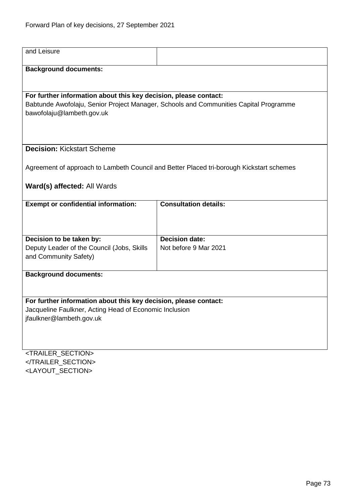| and Leisure                                                                              |                              |  |
|------------------------------------------------------------------------------------------|------------------------------|--|
| <b>Background documents:</b>                                                             |                              |  |
|                                                                                          |                              |  |
| For further information about this key decision, please contact:                         |                              |  |
| Babtunde Awofolaju, Senior Project Manager, Schools and Communities Capital Programme    |                              |  |
| bawofolaju@lambeth.gov.uk                                                                |                              |  |
|                                                                                          |                              |  |
|                                                                                          |                              |  |
|                                                                                          |                              |  |
| <b>Decision: Kickstart Scheme</b>                                                        |                              |  |
|                                                                                          |                              |  |
| Agreement of approach to Lambeth Council and Better Placed tri-borough Kickstart schemes |                              |  |
| Ward(s) affected: All Wards                                                              |                              |  |
|                                                                                          |                              |  |
| <b>Exempt or confidential information:</b>                                               | <b>Consultation details:</b> |  |
|                                                                                          |                              |  |
|                                                                                          |                              |  |
|                                                                                          |                              |  |
| Decision to be taken by:                                                                 | <b>Decision date:</b>        |  |
| Deputy Leader of the Council (Jobs, Skills                                               | Not before 9 Mar 2021        |  |
| and Community Safety)                                                                    |                              |  |
| <b>Background documents:</b>                                                             |                              |  |
|                                                                                          |                              |  |
|                                                                                          |                              |  |
| For further information about this key decision, please contact:                         |                              |  |
| Jacqueline Faulkner, Acting Head of Economic Inclusion                                   |                              |  |
| jfaulkner@lambeth.gov.uk                                                                 |                              |  |
|                                                                                          |                              |  |
|                                                                                          |                              |  |
|                                                                                          |                              |  |
| <trailer_section></trailer_section>                                                      |                              |  |

</TRAILER\_SECTION> <LAYOUT\_SECTION>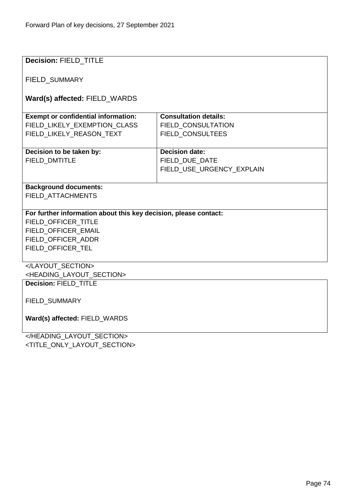| <b>Decision: FIELD TITLE</b>                                     |                              |  |
|------------------------------------------------------------------|------------------------------|--|
| <b>FIELD SUMMARY</b>                                             |                              |  |
| Ward(s) affected: FIELD_WARDS                                    |                              |  |
| <b>Exempt or confidential information:</b>                       | <b>Consultation details:</b> |  |
| FIELD_LIKELY_EXEMPTION_CLASS                                     | <b>FIELD CONSULTATION</b>    |  |
| FIELD_LIKELY_REASON_TEXT                                         | FIELD_CONSULTEES             |  |
|                                                                  |                              |  |
| Decision to be taken by:                                         | <b>Decision date:</b>        |  |
| <b>FIELD DMTITLE</b>                                             | FIELD DUE DATE               |  |
|                                                                  | FIELD USE URGENCY EXPLAIN    |  |
|                                                                  |                              |  |
| <b>Background documents:</b>                                     |                              |  |
| FIELD_ATTACHMENTS                                                |                              |  |
|                                                                  |                              |  |
| For further information about this key decision, please contact: |                              |  |
| FIELD OFFICER TITLE                                              |                              |  |
| FIELD OFFICER EMAIL                                              |                              |  |
| FIELD_OFFICER_ADDR                                               |                              |  |
| FIELD_OFFICER_TEL                                                |                              |  |
|                                                                  |                              |  |
|                                                                  |                              |  |
| <heading layout="" section=""></heading>                         |                              |  |
| <b>Decision: FIELD TITLE</b>                                     |                              |  |
|                                                                  |                              |  |
| FIELD_SUMMARY                                                    |                              |  |
| Ward(s) affected: FIELD WARDS                                    |                              |  |
|                                                                  |                              |  |
|                                                                  |                              |  |

<TITLE\_ONLY\_LAYOUT\_SECTION>